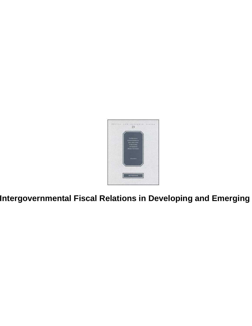

**Intergovernmental Fiscal Relations in Developing and Emerging**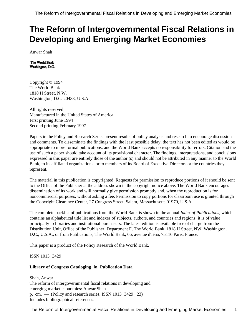Anwar Shah

The World Bank Washington, D.C.

Copyright © 1994 The World Bank 1818 H Street, N.W. Washington, D.C. 20433, U.S.A.

All rights reserved Manufactured in the United States of America First printing June 1994 Second printing February 1997

Papers in the Policy and Research Series present results of policy analysis and research to encourage discussion and comments. To disseminate the findings with the least possible delay, the text has not been edited as would be appropriate to more formal publications, and the World Bank accepts no responsibility for errors. Citation and the use of such a paper should take account of its provisional character. The findings, interpretations, and conclusions expressed in this paper are entirely those of the author (s) and should not be attributed in any manner to the World Bank, to its affiliated organizations, or to members of its Board of Executive Directors or the countries they represent.

The material in this publication is copyrighted. Requests for permission to reproduce portions of it should be sent to the Office of the Publisher at the address shown in the copyright notice above. The World Bank encourages dissemination of its work and will normally give permission promptly and, when the reproduction is for noncommercial purposes, without asking a fee. Permission to copy portions for classroom use is granted through the Copyright Clearance Center, 27 Congress Street, Salem, Massachusetts 01970, U.S.A.

The complete backlist of publications from the World Bank is shown in the annual *Index of Publications,* which contains an alphabetical title list and indexes of subjects, authors, and countries and regions; it is of value principally to libraries and institutional purchasers. The latest edition is available free of charge from the Distribution Unit, Office of the Publisher, Department F, The World Bank, 1818 H Street, NW, Washington, D.C., U.S.A., or from Publications, The World Bank, 66, avenue d'Iéna, 75116 Paris, France.

This paper is a product of the Policy Research of the World Bank.

ISSN 1013−3429

## **Library of Congress Cataloging−in−Publication Data**

Shah, Anwar The reform of intergovernmental fiscal relations in developing and emerging market economies/ Anwar Shah p. cm. — (Policy and research series, ISSN 1013−3429 ; 23) Includes bibliographical references.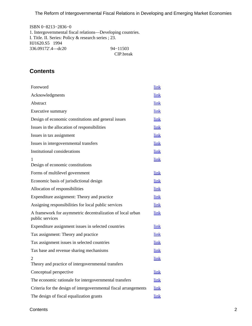ISBN 0−8213−2836−0 1. Intergovernmental fiscal relations—Developing countries. I. Title. II. Series: Policy & research series ; 23. HJ1620.S5 1994 336.09172'.4—dc20 94−11503

```
 CIP.break
```
## **Contents**

| Foreword                                                                      | link        |
|-------------------------------------------------------------------------------|-------------|
| Acknowledgments                                                               | link        |
| Abstract                                                                      | link        |
| Executive summary                                                             | link        |
| Design of economic constitutions and general issues                           | link        |
| Issues in the allocation of responsibilities                                  | <u>link</u> |
| Issues in tax assignment                                                      | link        |
| Issues in intergovernmental transfers                                         | link        |
| <b>Institutional considerations</b>                                           | <u>link</u> |
| 1<br>Design of economic constitutions                                         | link        |
| Forms of multilevel government                                                | link        |
| Economic basis of jurisdictional design                                       | link        |
| Allocation of responsibilities                                                | link        |
| Expenditure assignment: Theory and practice                                   | link        |
| Assigning responsibilities for local public services                          | link        |
| A framework for asymmetric decentralization of local urban<br>public services | link        |
| Expenditure assignment issues in selected countries                           | link        |
| Tax assignment: Theory and practice                                           | <u>link</u> |
| Tax assignment issues in selected countries                                   | link        |
| Tax base and revenue sharing mechanisms                                       | link        |
| 2<br>Theory and practice of intergovernmental transfers                       | link        |
| Conceptual perspective                                                        | link        |
| The economic rationale for intergovernmental transfers                        | link        |
| Criteria for the design of intergovernmental fiscal arrangements              | <u>link</u> |
| The design of fiscal equalization grants                                      | link        |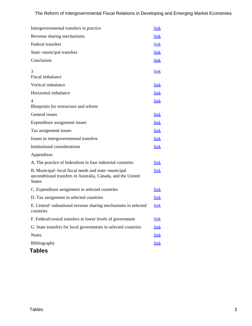| Intergovernmental transfers in practice                                                                                              | <u>link</u> |
|--------------------------------------------------------------------------------------------------------------------------------------|-------------|
| Revenue sharing mechanisms                                                                                                           | <u>link</u> |
| Federal transfers                                                                                                                    | <u>link</u> |
| State-municipal transfers                                                                                                            | <u>link</u> |
| Conclusion                                                                                                                           | <u>link</u> |
| 3<br>Fiscal imbalance                                                                                                                | <u>link</u> |
| Vertical imbalance                                                                                                                   | <u>link</u> |
| Horizontal imbalance                                                                                                                 | <u>link</u> |
| 4<br>Blueprints for restructure and reform                                                                                           | link        |
| General issues                                                                                                                       | link        |
| Expenditure assignment issues                                                                                                        | link        |
| Tax assignment issues                                                                                                                | link        |
| Issues in intergovernmental transfers                                                                                                | <u>link</u> |
| <b>Institutional considerations</b>                                                                                                  | link        |
| Appendixes                                                                                                                           |             |
| A. The practice of federalism in four industrial countries                                                                           | <u>link</u> |
| B. Municipal–local fiscal needs and state–municipal<br>unconditional transfers in Australia, Canada, and the United<br><b>States</b> | <u>link</u> |
| C. Expenditure assignment in selected countries                                                                                      | <u>link</u> |
| D. Tax assignment in selected countries                                                                                              | <u>link</u> |
| E. Central–subnational revenue sharing mechanisms in selected<br>countries                                                           | <u>link</u> |
| F. Federal/central transfers to lower levels of government                                                                           | <u>link</u> |
| G. State transfers for local governments in selected countries                                                                       | <u>link</u> |
| <b>Notes</b>                                                                                                                         | <u>link</u> |
| <b>Bibliography</b>                                                                                                                  | <u>link</u> |
|                                                                                                                                      |             |

## <span id="page-3-0"></span>**Tables**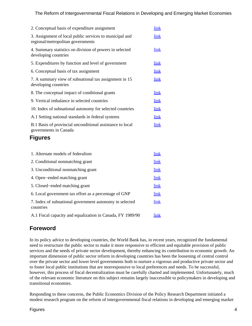| 2. Conceptual basis of expenditure assignment                                                | link        |
|----------------------------------------------------------------------------------------------|-------------|
| 3. Assignment of local public services to municipal and<br>regional/metropolitan governments | <u>link</u> |
| 4. Summary statistics on division of powers in selected<br>developing countries              | <u>link</u> |
| 5. Expenditures by function and level of government                                          | <u>link</u> |
| 6. Conceptual basis of tax assignment                                                        | <u>link</u> |
| 7. A summary view of subnational tax assignment in 15<br>developing countries                | <u>link</u> |
| 8. The conceptual impact of conditional grants                                               | link        |
| 9. Vertical imbalance in selected countries                                                  | <u>link</u> |
| 10. Index of subnational autonomy for selected countries                                     | <u>link</u> |
| A.1 Setting national standards in federal systems                                            | <u>link</u> |
| B.1 Basis of provincial unconditional assistance to local<br>governments in Canada           | link        |
| <b>Figures</b>                                                                               |             |

<span id="page-4-0"></span>

| 1. Alternate models of federalism                                    | <u>link</u> |
|----------------------------------------------------------------------|-------------|
| 2. Conditional nonmatching grant                                     | <u>link</u> |
| 3. Unconditional nonmatching grant                                   | <u>link</u> |
| 4. Open-ended matching grant                                         | <u>link</u> |
| 5. Closed–ended matching grant                                       | <u>link</u> |
| 6. Local government tax effort as a percentage of GNP                | <u>link</u> |
| 7. Index of subnational government autonomy in selected<br>countries | <u>link</u> |
| A.1 Fiscal capacity and equalization in Canada, FY 1989/90           | link        |

## <span id="page-4-1"></span>**Foreword**

In its policy advice to developing countries, the World Bank has, in recent years, recognized the fundamental need to restructure the public sector to make it more responsive to efficient and equitable provision of public services and the needs of private sector development, thereby enhancing its contribution to economic growth. An important dimension of public sector reform in developing countries has been the loosening of central control over the private sector and lower level governments both to nurture a vigorous and productive private sector and to foster local public institutions that are morresponsive to local preferences and needs. To be successful, however, this process of fiscal decentralization must be carefully charted and implemented. Unfortunately, much of the relevant economic literature on this subject remains largely inaccessible to policymakers in developing and transitional economies.

Responding to these concerns, the Public Economics Division of the Policy Research Department initiated a modest research program on the reform of intergovernmental fiscal relations in developing and emerging market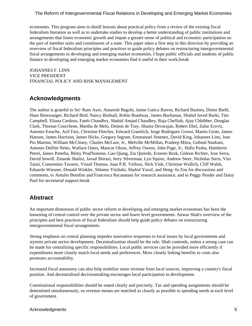economies. This program aims to distill lessons about practical policy from a review of the existing fiscal federalism literature as well as to undertake studies to develop a better understanding of public institutions and arrangements that foster economic growth and impart a greater sense of political and economic participation on the part of member units and constituents of a state. This paper takes a first step in this direction by providing an overview of fiscal federalism principles and practices to guide policy debates on restructuring intergovernmental fiscal arrangements in developing and emerging market economies. I hope public officials and students of public finance in developing and emerging market economies find it useful in their work.break

JOHANNES F. LINN VICE PRESIDENT FINANCIAL POLICY AND RISK MANAGEMENT

## **Acknowledgments**

The author is grateful to Sri−Ram Ayer, Amaresh Bagchi, Jaime Gatica Barros, Richard Bastien, Dieter Biehl, Hans Binswanger, Richard Bird, Nancy Birdsall, Robin Boadway, James Buchanan, Shahid Javed Burki, Tim Campbell, Eliana Cardoso, Fateh Chaudhry, Shahid Amjad Chaudhry, Raja Chelliah, Ajay Chhibber, Douglas Clark, Thomas Courchene, Martha de Melo, Dennis de Tray, Shanta Devarajan, Robert Ebel, Zafar Ecevit, Antonio Estache, Asif Faiz, Christine Fletcher, Edward Gramlich, Jorge Rodriguez Grossi, Martin Grote, James Hanson, James Harrison, James Hicks, Gregory Ingram, Emmanuel Jimenez, David King, Johannes Linn, Jose Pio Martins, William McCleary, Charles McLure, Jr., Melville McMillan, Pradeep Mitra, Gobind Nankani, Antonio Delfim Netto, Wallace Oates, Mancur Olson, Jeffrey Owens, John Page, Jr., Hafiz Pasha, Humberto Petrei, James Poterba, Rémy Prud'homme, Gao Qiang, Zia Qureshi, Ernesto Rezk, Gideon Richter, Jose Serra, David Sewell, Zmarak Shalizi, Javad Shirazi, Jerry Silverman, Lyn Squire, Andrew Steer, Nicholas Stern, Vito Tanzi, Consentino Tavares, Vinod Thomas, Joao P.R. Velloso, Nick Vink, Christine Wallich, Cliff Walsh, Eduardo Wiesner, Donald Winkler, Shlomo Yitzhaki, Shahid Yusuf, and Heng−fu Zou for discussions and comments, to Antulio Bomfim and Francesca Recanatani for research assistance, and to Peggy Pender and Daisy Paul for secretarial support.break

## **Abstract**

<span id="page-5-0"></span>An important dimension of public sector reform in developing and emerging market economies has been the loosening of central control over the private sector and lower level governments. Anwar Shah's overview of the principles and best practices of fiscal federalism should help guide policy debates on restructuring intergovernmental fiscal arrangements.

Strong emphasis on central planning impedes innovative responses to local issues by local governments and stymies private sector development. Decentralization should be the rule, Shah contends, unless a strong case can be made for centralizing specific responsibilities. Local public services can be provided more efficiently if expenditures more closely match local needs and preferences. More closely linking benefits to costs also promotes accountability.

Increased fiscal autonomy can also help mobilize more revenue from local sources, improving a country's fiscal position. And decentralized decisionmaking encourages local participation in development.

Constitutional responsibilities should be stated clearly and precisely. Tax and spending assignments should be determined simultaneously, so revenue means are matched as closely as possible to spending needs at each level of government.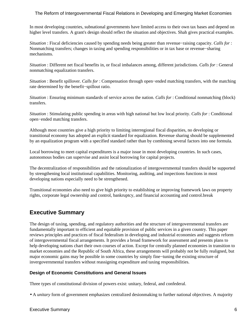In most developing countries, subnational governments have limited access to their own tax bases and depend on higher level transfers. A grant's design should reflect the situation and objectives. Shah gives practical examples.

*Situation* : Fiscal deficiencies caused by spending needs being greater than revenue−raising capacity. *Calls for* : Nonmatching transfers; changes in taxing and spending responsibilities or in tax base or revenue−sharing mechanisms.

*Situation* : Different net fiscal benefits in, or fiscal imbalances among, different jurisdictions. *Calls for* : General nonmatching equalization transfers.

*Situation* : Benefit spillover. *Calls for* : Compensation through open−ended matching transfers, with the matching rate determined by the benefit−spillout ratio.

*Situation* : Ensuring minimum standards of service across the nation. *Calls for* : Conditional nonmatching (block) transfers.

*Situation* : Stimulating public spending in areas with high national but low local priority. *Calls for* : Conditional open−ended matching transfers.

Although most countries give a high priority to limiting interregional fiscal disparities, no developing or transitional economy has adopted an explicit standard for equalization. Revenue sharing should be supplemented by an equalization program with a specified standard rather than by combining several factors into one formula.

Local borrowing to meet capital expenditures is a major issue in most developing countries. In such cases, autonomous bodies can supervise and assist local borrowing for capital projects.

<span id="page-6-0"></span>The decentralization of responsibilities and the rationalization of intergovernmental transfers should be supported by strengthening local institutional capabilities. Monitoring, auditing, and inspections functions in most developing nations especially need to be strengthened.

Transitional economies also need to give high priority to establishing or improving framework laws on property rights, corporate legal ownership and control, bankruptcy, and financial accounting and control.break

## **Executive Summary**

The design of taxing, spending, and regulatory authorities and the structure of intergovernmental transfers are fundamentally important to efficient and equitable provision of public services in a given country. This paper reviews principles and practices of fiscal federalism in developing and industrial economies and suggests reform of intergovernmental fiscal arrangements. It provides a broad framework for assessment and presents plans to help developing nations chart their own courses of action. Except for centrally planned economies in transition to market economies and the Republic of South Africa, these arrangements will probably not be fully realigned, but major economic gains may be possible in some countries by simply fine−tuning the existing structure of invergovernmental transfers without reassigning expenditure and taxing responsibilities.

## **Design of Economic Constitutions and General Issues**

Three types of constitutional division of powers exist: unitary, federal, and confederal.

• A *unitary* form of government emphasizes centralized desionmaking to further national objectives. A majority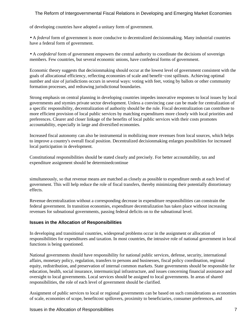of developing countries have adopted a unitary form of government.

• A *federal* form of government is more conducive to decentralized decisionmaking. Many industrial countries have a federal form of government.

• A *confederal* form of government empowers the central authority to coordinate the decisions of sovereign members. Few countries, but several economic unions, have confederal forms of government.

Economic theory suggests that decisionmaking should occur at the lowest level of government consistent with the goals of allocational efficiency, reflecting economies of scale and benefit−cost spillouts. Achieving optimal number and size of jurisdictions occurs in several ways: voting with feet, voting by ballots or other community formation processes, and redrawing jurisdictional boundaries.

Strong emphasis on central planning in developing countries impedes innovative responses to local issues by local governments and stymies private sector development. Unless a convincing case can be made for centralization of a specific responsibility, decentralization of authority should be the rule. Fiscal decentralization can contribute to more efficient provision of local public services by matching expenditures more closely with local priorities and preferences. Clearer and closer linkage of the benefits of local public services with their costs promotes accountability, especially in large and diversified economies.

Increased fiscal autonomy can also be instrumental in mobilizing more revenues from local sources, which helps to improve a country's overall fiscal position. Decentralized decisionmaking enlarges possibilities for increased local participation in development.

Constitutional responsibilities should be stated clearly and precisely. For better accountability, tax and expenditure assignment should be determinedcontinue

simultaneously, so that revenue means are matched as closely as possible to expenditure needs at each level of government. This will help reduce the role of fiscal transfers, thereby minimizing their potentially distortionary effects.

Revenue decentralization without a corresponding decrease in expenditure responsibilities can constrain the federal government. In transition economies, expenditure decentralization has taken place without increasing revenues for subnational governments, passing federal deficits on to the subnational level.

## **Issues in the Allocation of Responsibilities**

In developing and transitional countries, widespread problems occur in the assignment or allocation of responsibilities for expenditures and taxation. In most countries, the intrusive role of national government in local functions is being questioned.

National governments should have responsibility for national public services, defense, security, international affairs, monetary policy, regulation, transfers to persons and businesses, fiscal policy coordination, regional equity, redistribution, and preservation of internal common markets. State governments should be responsible for education, health, social insurance, intermunicipal infrastructure, and issues concerning financial assistance and oversight to local governments. Local services should be assigned to local governments. In areas of shared responsibilities, the role of each level of government should be clarified.

Assignment of public services to local or regional governments can be based on such considerations as economies of scale, economies of scope, benefitcost spillovers, proximity to beneficiaries, consumer preferences, and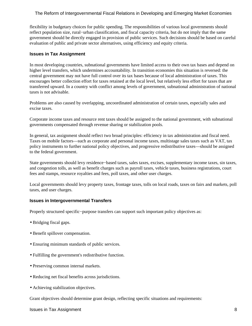<span id="page-8-0"></span>flexibility in budgetary choices for public spending. The responsibilities of various local governments should reflect population size, rural−urban classification, and fiscal capacity criteria, but do not imply that the same government should be directly engaged in provision of public services. Such decisions should be based on careful evaluation of public and private sector alternatives, using efficiency and equity criteria.

### **Issues in Tax Assignment**

In most developing countries, subnational governments have limited access to their own tax bases and depend on higher level transfers, which undermines accountability. In transition economies this situation is reversed: the central government may not have full control over its tax bases because of local administration of taxes. This encourages better collection effort for taxes retained at the local level, but relatively less effort for taxes that are transferred upward. In a country with conflict among levels of government, subnational administration of national taxes is not advisable.

Problems are also caused by overlapping, uncoordinated administration of certain taxes, especially sales and excise taxes.

Corporate income taxes and resource rent taxes should be assigned to the national government, with subnational governments compensated through revenue sharing or stabilization pools.

In general, tax assignment should reflect two broad principles: efficiency in tax administration and fiscal need. Taxes on mobile factors—such as corporate and personal income taxes, multistage sales taxes such as VAT, tax policy instruments to further national policy objectives, and progressive redistributive taxes—should be assigned to the federal government.

State governments should levy residence−based taxes, sales taxes, excises, supplementary income taxes, sin taxes, and congestion tolls, as well as benefit charges such as payroll taxes, vehicle taxes, business registrations, court fees and stamps, resource royalties and fees, poll taxes, and other user charges.

Local governments should levy property taxes, frontage taxes, tolls on local roads, taxes on fairs and markets, poll taxes, and user charges.

#### **Issues in Intergovernmental Transfers**

Properly structured specific−purpose transfers can support such important policy objectives as:

- Bridging fiscal gaps.
- Benefit spillover compensation.
- Ensuring minimum standards of public services.
- Fulfilling the government's redistributive function.
- Preserving common internal markets.
- Reducing net fiscal benefits across jurisdictions.
- Achieving stabilization objectives.

Grant objectives should determine grant design, reflecting specific situations and requirements:

#### **Issues in Tax Assignment** 8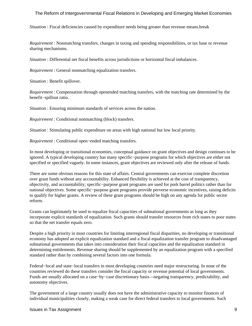*Situation* : Fiscal deficiencies caused by expenditure needs being greater than revenue means.break

*Requirement* : Nonmatching transfers, changes in taxing and spending responsibilities, or tax base or revenue sharing mechanisms.

*Situation* : Differential net fiscal benefits across jurisdictions or horizontal fiscal imbalances.

*Requirement* : General nonmatching equalization transfers.

*Situation* : Benefit spillover.

*Requirement* : Compensation through openended matching transfers, with the matching rate determined by the benefit−spillout ratio.

*Situation* : Ensuring minimum standards of services across the nation.

*Requirement* : Conditional nonmatching (block) transfers.

*Situation* : Stimulating public expenditure on areas with high national but low local priority.

*Requirement* : Conditional open−ended matching transfers.

In most developing or transitional economies, conceptual guidance on grant objectives and design continues to be ignored. A typical developing country has many specific−purpose programs for which objectives are either not specified or specified vaguely. In some instances, grant objectives are reviewed only after the release of funds.

There are some obvious reasons for this state of affairs. Central governments can exercise complete discretion over grant funds without any accountability. Enhanced flexibility is achieved at the cost of transparency, objectivity, and accountability; specific−purpose grant programs are used for pork barrel politics rather than for national objectives. Some specific−purpose grant programs provide perverse economic incentives, raising deficits to qualify for higher grants. A review of these grant programs should be high on any agenda for public sector reform.

Grants can legitimately be used to equalize fiscal capacities of subnational governments as long as they incorporate explicit standards of equalization. Such grants should transfer resources from rich states to poor states so that the net transfer equals zero.

Despite a high priority in most countries for limiting interregional fiscal disparities, no developing or transitional economy has adopted an explicit equalization standard and a fiscal equalization transfer program to disadvantaged subnational governments that takes into consideration their fiscal capacities and the equalization standard in determining entitlements. Revenue sharing should be supplemented by an equalization program with a specified standard rather than by combining several factors into one formula.

<span id="page-9-0"></span>Federal−local and state−local transfers in most developing countries need major restructuring. In none of the countries reviewed do these transfers consider the fiscal capacity or revenue potential of local governments. Funds are usually allocated on a case−by−case discretionary basis—negating transparency, predictability, and autonomy objectives.

The government of a large country usually does not have the administrative capacity to monitor finances of individual municipalities closely, making a weak case for direct federal transfers to local governments. Such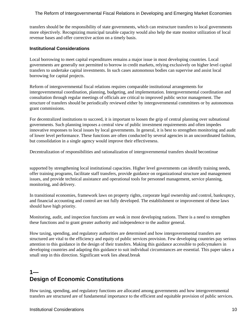transfers should be the responsibility of state governments, which can restructure transfers to local governments more objectively. Recognizing municipal taxable capacity would also help the state monitor utilization of local revenue bases and offer corrective action on a timely basis.

## **Institutional Considerations**

Local borrowing to meet capital expenditures remains a major issue in most developing countries. Local governments are generally not permitted to borrow in credit markets, relying exclusively on higher level capital transfers to undertake capital investments. In such cases autonomous bodies can supervise and assist local borrowing for capital projects.

Reform of intergovernmental fiscal relations requires comparable institutional arrangements for intergovernmental coordination, planning, budgeting, and implementation. Intergovernmental coordination and consultation through regular meetings of officials are critical to improved public sector management. The structure of transfers should be periodically reviewed either by intergovernmental committees or by autonomous grant commissions.

For decentralized institutions to succeed, it is important to loosen the grip of central planning over subnational governments. Such planning imposes a central view of public investment requirements and often impedes innovative responses to local issues by local governments. In general, it is best to strengthen monitoring and audit of lower level performance. These functions are often conducted by several agencies in an uncoordinated fashion, but consolidation in a single agency would improve their effectiveness.

Decentralization of responsibilities and rationalization of intergovernmental transfers should becontinue

supported by strengthening local institutional capacities. Higher level governments can identify training needs, offer training programs, facilitate staff transfers, provide guidance on organizational structure and management issues, and provide technical assistance and operational tools for personnel management, service planning, monitoring, and delivery.

In transitional economies, framework laws on property rights, corporate legal ownership and control, bankruptcy, and financial accounting and control are not fully developed. The establishment or improvement of these laws should have high priority.

<span id="page-10-0"></span>Monitoring, audit, and inspection functions are weak in most developing nations. There is a need to strengthen these functions and to grant greater authority and independence to the auditor general.

How taxing, spending, and regulatory authorities are determined and how intergovernmental transfers are structured are vital to the efficiency and equity of public services provision. Few developing countries pay serious attention to this guidance in the design of their transfers. Making this guidance accessible to policymakers in developing countries and adapting this guidance to suit individual circumstances are essential. This paper takes a small step in this direction. Significant work lies ahead.break

## **1— Design of Economic Constitutions**

How taxing, spending, and regulatory functions are allocated among governments and how intergovernmental transfers are structured are of fundamental importance to the efficient and equitable provision of public services.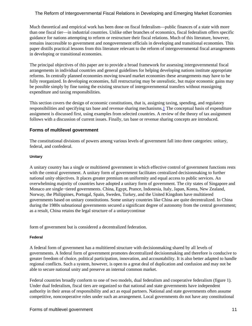Much theoretical and empirical work has been done on fiscal federalism—public finances of a state with more than one fiscal tier—in industrial countries. Unlike other branches of economics, fiscal federalism offers specific guidance for nations attempting to reform or restructure their fiscal relations. Much of this literature, however, remains inaccessible to government and nongovernment officials in developing and transitional economies. This paper distills practical lessons from this literature relevant to the reform of intergovernmental fiscal arrangements in developing or transitional economies.

The principal objectives of this paper are to provide a broad framework for assessing intergovernmental fiscal arrangements in individual countries and general guidelines for helping developing nations institute appropriate reforms. In centrally planned economies moving toward market economies these arrangements may have to be fully reorganized. In developing economies, full restructuring may be unrealistic, but major economic gains may be possible simply by fine tuning the existing structure of intergovernmental transfers without reassigning expenditure and taxing responsibilities.

This section covers the design of economic constitutions, that is, assigning taxing, spending, and regulatory responsibilities and specifying tax base and revenue sharing mechanisms.1 The conceptual basis of expenditure assignment is discussed first, using examples from selected countries. A review of the theory of tax assignment follows with a discussion of current issues. Finally, tax base or revenue sharing concepts are introduced.

## **Forms of multilevel government**

The constitutional divisions of powers among various levels of government fall into three categories: unitary, federal, and confederal.

#### **Unitary**

A unitary country has a single or multitiered government in which effective control of government functions rests with the central government. A unitary form of government facilitates centralized decisionmaking to further national unity objectives. It places greater premium on uniformity and equal access to public services. An overwhelming majority of countries have adopted a unitary form of government. The city states of Singapore and Monaco are single−tiered governments. China, Egypt, Prance, Indonesia, Italy, Japan, Korea, New Zealand, Norway, the Philippines, Portugal, Spain, Sweden, Turkey, and the United Kingdom have multitiered governments based on unitary constitutions. Some unitary countries like China are quite decentralized. In China during the 1980s subnational governments secured a significant degree of autonomy from the central government; as a result, China retains the legal structure of a unitarycontinue

form of government but is considered a decentralized federation.

#### **Federal**

A federal form of government has a multitiered structure with decisionmaking shared by all levels of governments. A federal form of government promotes decentralized decisionmaking and therefore is conducive to greater freedom of choice, political participation, innovation, and accountability. It is also better adapted to handle regional conflicts. Such a system, however, is open to a great deal of duplication and confusion and may not be able to secure national unity and preserve an internal common market.

<span id="page-11-0"></span>Federal countries broadly conform to one of two models, dual federalism and cooperative federalism (figure 1). Under dual federalism, fiscal tiers are organized so that national and state governments have independent authority in their areas of responsibility and act as equal partners. National and state governments often assume competitive, noncooperative roles under such an arrangement. Local governments do not have any constitutional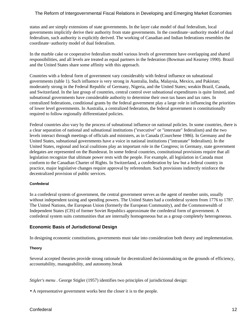status and are simply extensions of state governments. In the layer cake model of dual federalism, local governments implicitly derive their authority from state governments. In the coordinate−authority model of dual federalism, such authority is explicitly derived. The working of Canadian and Indian federations resembles the coordinate−authority model of dual federalism.

In the marble cake or cooperative federalism model various levels of government have overlapping and shared responsibilities, and all levels are treated as equal partners in the federation (Bowman and Kearney 1990). Brazil and the United States share some affinity with this approach.

Countries with a federal form of government vary considerably with federal influence on subnational governments (table 1). Such influence is very strong in Australia, India, Malaysia, Mexico, and Pakistan; moderately strong in the Federal Republic of Germany, Nigeria, and the United States; weakin Brazil, Canada, and Switzerland. In the last group of countries, central control over subnational expenditures is quite limited, and subnational governments have considerable authority to determine their own tax bases and tax rates. In centralized federations, conditional grants by the federal government play a large role in influencing the priorities of lower level governments. In Australia, a centralized federation, the federal government is constitutionally required to follow regionally differentiated policies.

Federal countries also vary by the process of subnational influence on national policies. In some countries, there is a clear separation of national and subnational institutions (''executive" or "interstate" federalism) and the two levels interact through meetings of officials and ministers, as in Canada (Courchene 1986). In Germany and the United States, subnational governments have a voice in national institutions ("intrastate" federalism). In the United States, regional and local coalitions play an important role in the Congress; in Germany, state government delegates are represented on the Bundesrat. In some federal countries, constitutional provisions require that all legislation recognize that ultimate power rests with the people. For example, all legislation in Canada must conform to the Canadian Charter of Rights. In Switzerland, a confederation by law but a federal country in practice, major legislative changes require approval by referendum. Such provisions indirectly reinforce the decentralized provision of public services.

#### **Confederal**

In a confederal system of government, the central government serves as the agent of member units, usually without independent taxing and spending powers. The United States had a confederal system from 1776 to 1787. The United Nations, the European Union (formerly the European Community), and the Commonwealth of Independent States (CIS) of former Soviet Republics approximate the confederal form of government. A confederal system suits communities that are internally homogeneous but as a group completely heterogeneous.

## **Economic Basis of Jurisdictional Design**

In designing economic constitutions, governments must take into consideration both theory and implementation.

#### **Theory**

Several accepted theories provide strong rationale for decentralized decisionmaking on the grounds of efficiency, accountability, manageability, and autonomy.break

*Stigler's menu* . George Stigler (1957) identifies two principles of jurisdictional design:

• A representative government works best the closer it is to the people.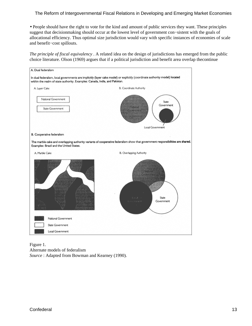• People should have the right to vote for the kind and amount of public services they want. These principles suggest that decisionmaking should occur at the lowest level of government con−sistent with the goals of allocational efficiency. Thus optimal size jurisdiction would vary with specific instances of economies of scale and benefit−cost spillouts.

*The principle of fiscal equivalency* . A related idea on the design of jurisdictions has emerged from the public choice literature. Olson (1969) argues that if a political jurisdiction and benefit area overlap thecontinue





Alternate models of federalism *Source* : Adapted from Bowman and Kearney (1990).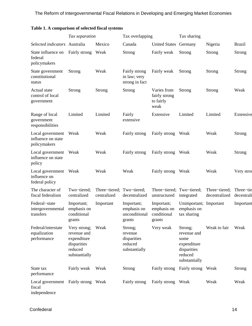<span id="page-14-0"></span>

|                                                         | Tax separation                                                                        |                                          | Tax overlapping                                               |                                                    | Tax sharing                                                                              |                                |                         |
|---------------------------------------------------------|---------------------------------------------------------------------------------------|------------------------------------------|---------------------------------------------------------------|----------------------------------------------------|------------------------------------------------------------------------------------------|--------------------------------|-------------------------|
| Selected indicators Australia                           |                                                                                       | Mexico                                   | Canada                                                        | United States Germany                              |                                                                                          | Nigeria                        | <b>Brazil</b>           |
| State influence on<br>federal<br>policymakers           | Fairly strong                                                                         | Weak                                     | <b>Strong</b>                                                 | Fairly weak                                        | Strong                                                                                   | <b>Strong</b>                  | <b>Strong</b>           |
| State government<br>constitutional<br>status            | Strong                                                                                | Weak                                     | Fairly strong<br>in law; very<br>strong in fact               | Fairly weak                                        | <b>Strong</b>                                                                            | <b>Strong</b>                  | <b>Strong</b>           |
| Actual state<br>control of local<br>government          | Strong                                                                                | Strong                                   | <b>Strong</b>                                                 | Varies from<br>fairly strong<br>to fairly<br>weak  | <b>Strong</b>                                                                            | Strong                         | Weak                    |
| Range of local<br>government<br>responsibilities        | Limited                                                                               | Limited                                  | Fairly<br>extensive                                           | Extensive                                          | Limited                                                                                  | Limited                        | Extensive               |
| Local government<br>influence on state<br>policymakers  | Weak                                                                                  | Weak                                     | Fairly strong                                                 | Fairly strong Weak                                 |                                                                                          | Weak                           | <b>Strong</b>           |
| Local government<br>influence on state<br>policy        | Weak                                                                                  | Weak                                     | Fairly strong                                                 | Fairly strong Weak                                 |                                                                                          | Weak                           | <b>Strong</b>           |
| Local government Weak<br>influence on<br>federal policy |                                                                                       | Weak                                     | Weak                                                          | Fairly strong Weak                                 |                                                                                          | Weak                           | Very stroi              |
| The character of<br>fiscal federalism                   | Two-tiered;<br>centralized                                                            | Three-tiered; Two-tiered;<br>centralized | decentralized                                                 | Three-tiered; Two-tiered;<br>unstructured          | integrated                                                                               | Three-tiered;<br>decentralized | Three-tie<br>decentrali |
| Federal-state<br>intergovernmental<br>transfers         | Important;<br>emphasis on<br>conditional<br>grants                                    | Important                                | Important;<br>emphasis on<br>unconditional<br>grants          | Important;<br>emphasis on<br>conditional<br>grants | Unimportant; Important<br>emphasis on<br>tax sharing                                     |                                | Important               |
| Federal/interstate<br>equalization<br>performance       | Very strong;<br>revenue and<br>expenditure<br>disparities<br>reduced<br>substantially | Weak                                     | Strong;<br>revenue<br>disparities<br>reduced<br>substantially | Very weak                                          | Strong;<br>revenue and<br>some<br>expenditure<br>disparities<br>reduced<br>substantially | Weak to fair                   | Weak                    |
| State tax<br>performance                                | Fairly weak                                                                           | Weak                                     | Strong                                                        | Fairly strong                                      | Fairly strong Weak                                                                       |                                | Strong                  |
| Local government<br>fiscal<br>independence              | Fairly strong Weak                                                                    |                                          | Fairly strong                                                 | Fairly strong Weak                                 |                                                                                          | Weak                           | Weak                    |

| Table 1. A comparison of selected fiscal systems |  |  |  |  |
|--------------------------------------------------|--|--|--|--|
|--------------------------------------------------|--|--|--|--|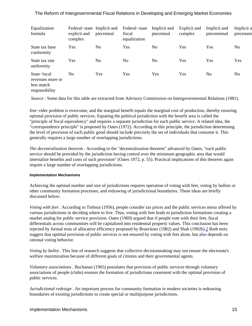| Equalization<br>formula                                         | Federal-state Implicit and<br>explicit and<br>complex | piecemeal | Federal-state<br>fiscal<br>equalization | Implicit and<br>piecemeal | Explicit and<br>complex | Implicit and<br>piecememal | Implicit a<br>piecemen |
|-----------------------------------------------------------------|-------------------------------------------------------|-----------|-----------------------------------------|---------------------------|-------------------------|----------------------------|------------------------|
| State tax base<br>conformity                                    | Yes                                                   | No        | Yes                                     | No                        | Yes                     | Yes                        | No                     |
| State tax rate<br>uniformity                                    | Yes                                                   | No        | N <sub>0</sub>                          | N <sub>0</sub>            | Yes                     | Yes                        | Yes                    |
| State-local<br>revenues more or<br>less match<br>responsibility | N <sub>o</sub>                                        | Yes       | Yes                                     | Yes                       | Yes                     | No                         | $\rm No$               |

*Source*: Some data for this table are extracted from Advisory Commission on Intergovernmental Relations (1981).

free−rider problem is overcome, and the marginal benefit equals the marginal cost of production, thereby ensuring optimal provision of public services. Equating the political jurisdiction with the benefit area is called the "principle of fiscal equivalency" and requires a separate jurisdiction for each public service. A related idea, the "correspondence principle" is proposed by Oates (1972). According to this principle, the jurisdiction determining the level of provision of each public good should include precisely the set of individuals that consume it. This generally requires a large number of overlapping jurisdictions.

*The decentralization theorem* . According to the "decentralization theorem" advanced by Oates, "each public service should be provided by the jurisdiction having control over the minimum geographic area that would internalize benefits and costs of such provision" (Oates 1972, p. 55). Practical implications of this theorem again require a large number of overlapping jurisdictions.

#### **Implementation Mechanisms**

Achieving the optimal number and size of jurisdictions requires operation of voting with feet, voting by ballots or other community formation processes, and redrawing of jurisdictional boundaries. These ideas are briefly discussed below:

*Voting with feet* . According to Tiebout (1956), people consider tax prices and the public services menu offered by various jurisdictions in deciding where to live. Thus, voting with feet leads to jurisdiction formations creating a market analog for public service provision. Oates (1969) argued that if people vote with their feet, fiscal differentials across communities will be capitalized into residential property values. This conclusion has been rejected by formal tests of allocative efficiency proposed by Brueckner (1982) and Shah (1992b).2 Both tests suggest that optimal provision of public services is not ensured by voting with feet alone, but also depends on rational voting behavior.

*Voting by ballot*. This line of research suggests that collective decisionmaking may not ensure the electorate's welfare maximization because of different goals of citizens and their governmental agents.

*Voluntary associations* . Buchanan (1965) postulates that provision of public services through voluntary associations of people (clubs) ensures the formation of jurisdictions consistent with the optimal provision of public services.

*Jurisdictional redesign* . An important process for community formation in modern societies is redrawing boundaries of existing jurisdictions to create special or multipurpose jurisdictions.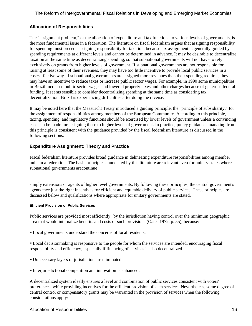## **Allocation of Responsibilities**

The "assignment problem," or the allocation of expenditure and tax functions to various levels of governments, is the most fundamental issue in a federation. The literature on fiscal federalism argues that assigning responsibility for spending must precede assigning responsibility for taxation, because tax assignment is generally guided by spending requirements at different levels and cannot be determined in advance. It may be desirable to decentralize taxation at the same time as decentralizing spending, so that subnational governments will not have to rely exclusively on grants from higher levels of government. If subnational governments are not responsible for raising at least some of their revenues, they may have too little incentive to provide local public services in a cost−effective way. If subnational governments are assigned more revenues than their spending requires, they may have an incentive to reduce taxes or increase public sector wages. For example, in 1990 some municipalities in Brazil increased public sector wages and lowered property taxes and other charges because of generous federal funding. It seems sensible to consider decentralizing spending at the same time as considering tax decentralization; Brazil is experiencing difficulties after doing the reverse.

It may be noted here that the Maastricht Treaty introduced a guiding principle, the "principle of subsidiarity," for the assignment of responsibilities among members of the European Community. According to this principle, taxing, spending, and regulatory functions should be exercised by lower levels of government unless a convincing case can be made for assigning these to higher levels of government. In practice, policy guidance emanating from this principle is consistent with the guidance provided by the fiscal federalism literature as discussed in the following sections.

## **Expenditure Assignment: Theory and Practice**

Fiscal federalism literature provides broad guidance in delineating expenditure responsibilities among member units in a federation. The basic principles enunciated by this literature are relevant even for unitary states where subnational governments arecontinue

simply extensions or agents of higher level governments. By following these principles, the central government's agents face just the right incentives for efficient and equitable delivery of public services. These principles are discussed below and qualifications where appropriate for unitary governments are stated.

#### **Efficient Provision of Public Services**

Public services are provided most efficiently "by the jurisdiction having control over the minimum geographic area that would internalize benefits and costs of such provision" (Oates 1972, p. 55), because:

- Local governments understand the concerns of local residents.
- Local decisionmaking is responsive to the people for whom the services are intended, encouraging fiscal responsibility and efficiency, especially if financing of services is also decentralized.
- Unnecessary layers of jurisdiction are eliminated.
- Interjurisdictional competition and innovation is enhanced.

A decentralized system ideally ensures a level and combination of public services consistent with voters' preferences, while providing incentives for the efficient provision of such services. Nevertheless, some degree of central control or compensatory grants may be warranted in the provision of services when the following considerations apply: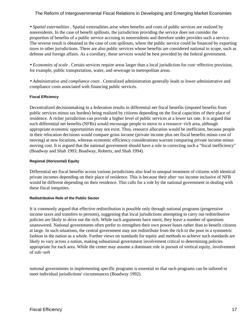• *Spatial externalities* . Spatial externalities arise when benefits and costs of public services are realized by nonresidents. In the case of benefit spillouts, the jurisdiction providing the service does not consider the proportion of benefits of a public service accruing to nonresidents and therefore under provides such a service. The reverse result is obtained in the case of cost spillouts, where the public service could be financed by exporting taxes to other jurisdictions. There are also public services whose benefits are considered national in scope, such as defense and foreign affairs. As a corollary, these services would be best provided by the federal government.

• *Economies of scale* . Certain services require areas larger than a local jurisdiction for cost−effective provision, for example, public transportation, water, and sewerage in metropolitan areas.

• *Administrative and compliance costs* . Centralized administration generally leads to lower administrative and compliance costs associated with financing public services.

#### **Fiscal Efficiency**

Decentralized decisionmaking in a federation results in differential net fiscal benefits (imputed benefits from public services minus tax burden) being realized by citizens depending on the fiscal capacities of their place of residence. A richer jurisdiction can provide a higher level of public services at a lower tax rate. It is argued that such differential net benefits (NFBs) would encourage people to move to a resource−rich area, although appropriate economic opportunities may not exist. Thus, resource allocation would be inefficient, because people in their relocation decisions would compare gross income (private income plus net fiscal benefits minus cost of moving) at new locations, whereas economic efficiency considerations warrant comparing private income minus moving cost. It is argued that the national government should have a role in correcting such a "fiscal inefficiency" (Boadway and Shah 1993; Boadway, Roberts, and Shah 1994).

#### **Regional (Horizontal) Equity**

Differential net fiscal benefits across various jurisdictions also lead to unequal treatment of citizens with identical private incomes depending on their place of residence. This is because their after−tax income inclusive of NFB would be different depending on their residence. This calls for a role by the national government in dealing with these fiscal inequities.

#### **Redistributive Role of the Public Sector**

It is commonly argued that effective redistribution is possible only through national programs (progressive income taxes and transfers to persons), suggesting that local jurisdictions attempting to carry out redistributive policies are likely to drive out the rich. While such arguments have merit, they leave a number of questions unanswered. National governments often prefer to strengthen their own power bases rather than to benefit citizens at large. In such situations, the central government may not redistribute from the rich to the poor in a symmetric fashion in the nation as a whole. Further views on standards for equity and methods to achieve such standards are likely to vary across a nation, making subnational government involvement critical to determining policies appropriate for each area. While the center may assume a dominant role in pursuit of vertical equity, involvement of sub−soft

national governments in implementing specific programs is essential so that such programs can be tailored to meet individual jurisdictions' circumstances (Boadway 1992).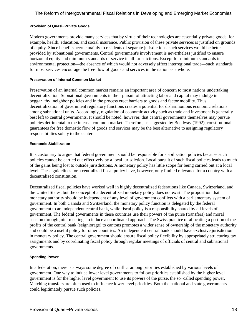#### **Provision of Quasi−Private Goods**

Modern governments provide many services that by virtue of their technologies are essentially private goods, for example, health, education, and social insurance. Public provision of these private services is justified on grounds of equity. Since benefits accrue mainly to residents of separate jurisdictions, such services would be better provided by subnational governments. Central government's involvement is nevertheless justified to ensure horizontal equity and minimum standards of service in all jurisdictions. Except for minimum standards in environmental protection—the absence of which would not adversely affect interregional trade—such standards for most services encourage the free flow of goods and services in the nation as a whole.

#### <span id="page-18-0"></span>**Preservation of Internal Common Market**

Preservation of an internal common market remains an important area of concern to most nations undertaking decentralization. Subnational governments in their pursuit of attracting labor and capital may indulge in beggar−thy−neighbor policies and in the process erect barriers to goods and factor mobility. Thus, decentralization of government regulatory functions creates a potential for disharmonious economic relations among subnational units. Accordingly, regulation of economic activity such as trade and investment is generally best left to central governments. It should be noted, however, that central governments themselves may pursue policies detrimental to the internal common market. Therefore, as suggested by Boadway (1992), constitutional guarantees for free domestic flow of goods and services may be the best alternative to assigning regulatory responsibilities solely to the center.

#### **Economic Stabilization**

It is customary to argue that federal government should be responsible for stabilization policies because such policies cannot be carried out effectively by a local jurisdiction. Local pursuit of such fiscal policies leads to much of the gains being lost to outside jurisdictions. A monetary policy has little scope for being carried out at a local level. These guidelines for a centralized fiscal policy have, however, only limited relevance for a country with a decentralized constitution.

Decentralized fiscal policies have worked well in highly decentralized federations like Canada, Switzerland, and the United States, but the concept of a decentralized monetary policy does not exist. The proposition that monetary authority should be independent of any level of government conflicts with a parliamentary system of government. In both Canada and Switzerland, the monetary policy function is delegated by the federal government to an independent central bank, while fiscal policy is a responsibility shared by all levels of government. The federal governments in these countries use their powers of the purse (transfers) and moral suasion through joint meetings to induce a coordinated approach. The Swiss practice of allocating a portion of the profits of the central bank (seigniorage) to cantons promotes a wider sense of ownership of the monetary authority and could be a useful policy for other countries. An independent central bank should have exclusive jurisdiction in monetary policy. The central government should ensure fiscal policy flexibility by appropriately structuring tax assignments and by coordinating fiscal policy through regular meetings of officials of central and subnational governments.

#### **Spending Power**

In a federation, there is always some degree of conflict among priorities established by various levels of government. One way to induce lower level governments to follow priorities established by the higher level government is for the higher level government to use its powers of the purse, the so−called spending power. Matching transfers are often used to influence lower level priorities. Both the national and state governments could legitimately pursue such policies.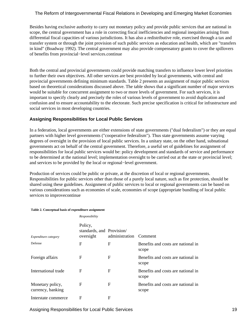Besides having exclusive authority to carry out monetary policy and provide public services that are national in scope, the central government has a role in correcting fiscal inefficiencies and regional inequities arising from differential fiscal capacities of various jurisdictions. It has also a redistributive role, exercised through a tax and transfer system or through the joint provision of such public services as education and health, which are "transfers in kind" (Boadway 1992). The central government may also provide compensatory grants to cover the spillovers of benefits from provincial−level services.continue

Both the central and provincial governments could provide matching transfers to influence lower level priorities to further their own objectives. All other services are best provided by local governments, with central and provincial governments defining minimum standards. Table 2 presents an assignment of major public services based on theoretical considerations discussed above. The table shows that a significant number of major services would be suitable for concurrent assignment to two or more levels of government. For such services, it is important to specify clearly and precisely the roles of various levels of government to avoid duplication and confusion and to ensure accountability to the electorate. Such precise specification is critical for infrastructure and social services in most developing countries.

## **Assigning Responsibilities for Local Public Services**

In a federation, local governments are either extensions of state governments ("dual federalism") or they are equal partners with higher level governments ("cooperative federalism"). Thus state governments assume varying degrees of oversight in the provision of local public services. In a unitary state, on the other hand, subnational governments act on behalf of the central government. Therefore, a useful set of guidelines for assignment of responsibilities for local public services would be: policy development and standards of service and performance to be determined at the national level; implementation oversight to be carried out at the state or provincial level; and services to be provided by the local or regional−level government.

Production of services could be public or private, at the discretion of local or regional governments. Responsibilities for public services other than those of a purely local nature, such as fire protection, should be shared using these guidelines. Assignment of public services to local or regional governments can be based on various considerations such as economies of scale, economies of scope (appropriate bundling of local public services to improvecontinue

<span id="page-19-0"></span>

|                                       | Responsibility                                   |                        |                                             |
|---------------------------------------|--------------------------------------------------|------------------------|---------------------------------------------|
| Expenditure category                  | Policy,<br>standards, and Provision<br>oversight | administration Comment |                                             |
| Defense                               | F                                                | F                      | Benefits and costs are national in<br>scope |
| Foreign affairs                       | F                                                | F                      | Benefits and costs are national in<br>scope |
| International trade                   | F                                                | F                      | Benefits and costs are national in<br>scope |
| Monetary policy,<br>currency, banking | F                                                | F                      | Benefits and costs are national in<br>scope |
| Interstate commerce                   | F                                                | F                      |                                             |

#### **Table 2. Conceptual basis of expenditure assignment**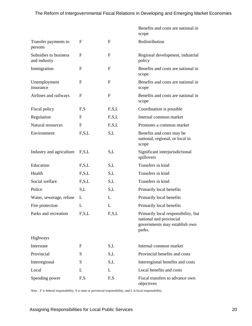|                                       |                  |              | Benefits and costs are national in<br>scope                                                               |
|---------------------------------------|------------------|--------------|-----------------------------------------------------------------------------------------------------------|
| Transfer payments to<br>persons       | F                | F            | Redistribution                                                                                            |
| Subsidies to business<br>and industry | F                | F            | Regional development, industrial<br>policy                                                                |
| Immigration                           | F                | $\mathbf{F}$ | Benefits and costs are national in<br>scope                                                               |
| Unemployment<br>insurance             | F                | F            | Benefits and costs are national in<br>scope                                                               |
| Airlines and railways                 | $\boldsymbol{F}$ | F            | Benefits and costs are national in<br>scope                                                               |
| Fiscal policy                         | F,S              | F,S,L        | Coordination is possible                                                                                  |
| Regulation                            | F                | F,S,L        | Internal common market                                                                                    |
| Natural resources                     | F                | F.S.L        | Promotes a common market                                                                                  |
| Environment                           | F,S,L            | S,L          | Benefits and costs may be<br>national, regional, or local in<br>scope                                     |
| Industry and agriculture              | F,S,L            | S,L          | Significant interjurisdictional<br>spillovers                                                             |
| Education                             | F,S,L            | S,L          | Transfers in kind                                                                                         |
| Health                                | F,S,L            | S,L          | Transfers in kind                                                                                         |
| Social welfare                        | F,S,L            | S,L          | Transfers in kind                                                                                         |
| Police                                | S,L              | S,L          | Primarily local benefits                                                                                  |
| Water, sewerage, refuse               | L                | L            | Primarily local benefits                                                                                  |
| Fire protection                       | L                | L            | Primarily local benefits                                                                                  |
| Parks and recreation                  | F,S,L            | F,S,L        | Primarily local responsibility, but<br>national and provincial<br>governments may establish own<br>parks. |
| Highways                              |                  |              |                                                                                                           |
| Interstate                            | F                | S,L          | Internal common market                                                                                    |
| Provincial                            | S                | S,L          | Provincial benefits and costs                                                                             |
| Interregional                         | S                | S,L          | Interregional benefits and costs                                                                          |
| Local                                 | L                | L            | Local benefits and costs                                                                                  |
| Spending power                        | F,S              | F,S          | Fiscal transfers to advance own<br>objectives                                                             |

*Note* : F is federal responsibility, S is state or provincial responsibility, and L is local responsibility.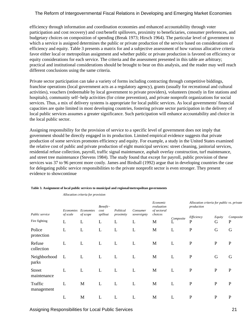efficiency through information and coordination economies and enhanced accountability through voter participation and cost recovery) and cost/benefit spillovers, proximity to beneficiaries, consumer preferences, and budgetary choices on composition of spending (Break 1973; Hirsch 1964). The particular level of government to which a service is assigned determines the public or private production of the service based on considerations of efficiency and equity. Table 3 presents a matrix for and a subjective assessment of how various allocative criteria favor either local or metropolitan assignment and whether public or private production is favored on efficiency or equity considerations for each service. The criteria and the assessment presented in this table are arbitrary; practical and institutional considerations should be brought to bear on this analysis, and the reader may well reach different conclusions using the same criteria.

Private sector participation can take a variety of forms including contracting through competitive biddings, franchise operations (local government acts as a regulatory agency), grants (usually for recreational and cultural activities), vouchers (redeemable by local government to private providers), volunteers (mostly in fire stations and hospitals), community self−help activities (for crime prevention), and private nonprofit organizations for social services. Thus, a mix of delivery systems is appropriate for local public services. As local governments' financial capacities are quite limited in most developing countries, fostering private sector participation in the delivery of local public services assumes a greater significance. Such participation will enhance accountability and choice in the local public sector.

Assigning responsibility for the provision of service to a specific level of government does not imply that government should be directly engaged in its production. Limited empirical evidence suggests that private production of some services promotes efficiency and equity. For example, a study in the United States examined the relative cost of public and private production of eight municipal services: street cleaning, janitorial services, residential refuse collection, payroll, traffic signal maintenance, asphalt overlay construction, turf maintenance, and street tree maintenance (Stevens 1984). The study found that except for payroll, public provision of these services was 37 to 96 percent more costly. James and Birdsall (1992) argue that in developing countries the case for delegating public service responsibilities to the private nonprofit sector is even stronger. They present evidence to showcontinue

|                              | Economies | Economies | $Benefit-$<br>cost | Political | Consumer    | Economic<br>evaluation<br>of sectoral |           | Allocation criteria for public vs. private<br>production |             |              |
|------------------------------|-----------|-----------|--------------------|-----------|-------------|---------------------------------------|-----------|----------------------------------------------------------|-------------|--------------|
| Public service               | of scale  | of scope  | spillout           | proximity | sovereignty | choices                               | Composite | Efficiency                                               | Equity      | Composite    |
| Fire fighting                | L         | L         | L                  | L         | L           | M                                     | L         | ${\bf P}$                                                | G           | $\mathbf P$  |
| Police<br>protection         | L         | L         | L                  | L         | L           | M                                     | L         | ${\bf P}$                                                | G           | G            |
| Refuse<br>collection         | L         | L         | L                  | L         | L           | M                                     | L         | ${\bf P}$                                                | $\mathbf P$ | ${\bf P}$    |
| Neighborhood<br>parks        | L         | L         | L                  | L         | L           | M                                     | L         | ${\bf P}$                                                | G           | G            |
| <b>Street</b><br>maintenance | L         | L         | L                  | L         | L           | M                                     | L         | $\mathbf P$                                              | ${\bf P}$   | $\, {\bf P}$ |
| Traffic<br>management        | L         | M         | L                  | L         | L           | M                                     | L         | ${\bf P}$                                                | ${\bf P}$   | $\mathbf P$  |
|                              | L         | M         | L                  | L         | L           | M                                     | L         | $\mathbf P$                                              | P           | $\mathbf P$  |

#### <span id="page-21-0"></span>**Table 3. Assignment of local public services to municipal and regional/metropolitan governments**

*Allocation criteria for provision*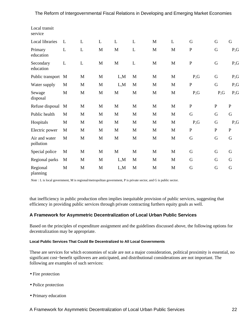| Local transit<br>service   |              |             |              |             |              |             |             |             |             |             |
|----------------------------|--------------|-------------|--------------|-------------|--------------|-------------|-------------|-------------|-------------|-------------|
| Local libraries            | L            | L           | L            | L           | L            | M           | L           | G           | G           | $\mathbf G$ |
| Primary<br>education       | L            | L           | $\mathbf M$  | $\mathbf M$ | $\mathbf{L}$ | $\mathbf M$ | $\mathbf M$ | $\mathbf P$ | $\mathbf G$ | P,G         |
| Secondary<br>education     | L            | L           | $\mathbf M$  | $\mathbf M$ | L            | M           | M           | ${\bf P}$   | $\mathbf G$ | P,G         |
| Public transport M         |              | M           | M            | L,M         | M            | M           | $\mathbf M$ | P,G         | $\mathbf G$ | P,G         |
| Water supply               | M            | $\mathbf M$ | $\mathbf M$  | L,M         | M            | $\mathbf M$ | $\mathbf M$ | $\mathbf P$ | G           | P,G         |
| Sewage<br>disposal         | M            | $\mathbf M$ | $\mathbf M$  | $\mathbf M$ | $\mathbf M$  | $\mathbf M$ | M           | P,G         | P,G         | P,G         |
| Refuse disposal            | M            | M           | M            | M           | M            | M           | M           | ${\bf P}$   | ${\bf P}$   | ${\bf P}$   |
| Public health              | M            | M           | M            | $\mathbf M$ | M            | M           | M           | G           | G           | G           |
| Hospitals                  | M            | M           | M            | M           | M            | M           | M           | P,G         | G           | P,G         |
| Electric power             | M            | M           | M            | $\mathbf M$ | M            | $\mathbf M$ | M           | ${\bf P}$   | ${\bf P}$   | ${\bf P}$   |
| Air and water<br>pollution | $\mathbf{M}$ | M           | $\mathbf{M}$ | M           | M            | M           | M           | G           | G           | G           |
| Special police             | M            | M           | M            | M           | M            | M           | M           | G           | G           | G           |
| Regional parks             | M            | M           | M            | L,M         | M            | M           | M           | G           | G           | G           |
| Regional<br>planning       | $\mathbf{M}$ | M           | M            | L,M         | M            | M           | M           | G           | G           | $\mathbf G$ |

*Note* : L is local government, M is regional/metropolitan government, P is private sector, and G is public sector.

that inefficiency in public production often implies inequitable provision of public services, suggesting that efficiency in providing public services through private contracting furthers equity goals as well.

## **A Framework for Asymmetric Decentralization of Local Urban Public Services**

Based on the principles of expenditure assignment and the guidelines discussed above, the following options for decentralization may be appropriate.

#### **Local Public Services That Could Be Decentralized to All Local Governments**

These are services for which economies of scale are not a major consideration, political proximity is essential, no significant cost−benefit spillovers are anticipated, and distributional considerations are not important. The following are examples of such services:

- Fire protection
- Police protection
- Primary education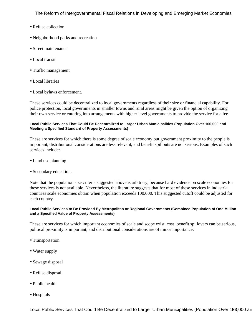- Refuse collection
- Neighborhood parks and recreation
- Street maintenance
- Local transit
- Traffic management
- Local libraries
- Local bylaws enforcement.

These services could be decentralized to local governments regardless of their size or financial capability. For police protection, local governments in smaller towns and rural areas might be given the option of organizing their own service or entering into arrangements with higher level governments to provide the service for a fee.

#### **Local Public Services That Could Be Decentralized to Larger Urban Municipalities (Population Over 100,000 and Meeting a Specified Standard of Property Assessments)**

These are services for which there is some degree of scale economy but government proximity to the people is important, distributional considerations are less relevant, and benefit spillouts are not serious. Examples of such services include:

- Land use planning
- <span id="page-23-0"></span>• Secondary education.

Note that the population size criteria suggested above is arbitrary, because hard evidence on scale economies for these services is not available. Nevertheless, the literature suggests that for most of these services in industrial countries scale economies obtain when population exceeds 100,000. This suggested cutoff could be adjusted for each country.

#### **Local Public Services to Be Provided By Metropolitan or Regional Governments (Combined Population of One Million and a Specified Value of Property Assessments)**

These are services for which important economies of scale and scope exist, cost−benefit spillovers can be serious, political proximity is important, and distributional considerations are of minor importance:

- Transportation
- Water supply
- Sewage disposal
- Refuse disposal
- Public health
- Hospitals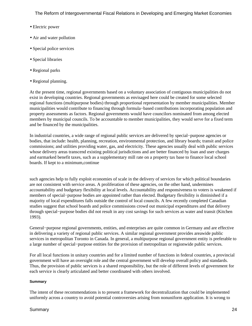- Electric power
- Air and water pollution
- Special police services
- Special libraries
- Regional parks
- Regional planning.

At the present time, regional governments based on a voluntary association of contiguous municipalities do not exist in developing countries. Regional governments as envisaged here could be created for some selected regional functions (multipurpose bodies) through proportional representation by member municipalities. Member municipalities would contribute to financing through formula−based contributions incorporating population and property assessments as factors. Regional governments would have councilors nominated from among elected members by municipal councils. To be accountable to member municipalities, they would serve for a fixed term and be financed by the municipalities.

In industrial countries, a wide range of regional public services are delivered by special−purpose agencies or bodies, that include: health, planning, recreation, environmental protection, and library boards; transit and police commissions; and utilities providing water, gas, and electricity. These agencies usually deal with public services whose delivery areas transcend existing political jurisdictions and are better financed by loan and user charges and earmarked benefit taxes, such as a supplementary mill rate on a property tax base to finance local school boards. If kept to a minimum,continue

such agencies help to fully exploit economies of scale in the delivery of services for which political boundaries are not consistent with service areas. A proliferation of these agencies, on the other hand, undermines accountability and budgetary flexibility at local levels. Accountability and responsiveness to voters is weakened if members of special−purpose bodies are appointed rather than elected. Budgetary flexibility is diminished if a majority of local expenditures falls outside the control of local councils. A few recently completed Canadian studies suggest that school boards and police commissions crowd out municipal expenditures and that delivery through special−purpose bodies did not result in any cost savings for such services as water and transit (Kitchen 1993).

General−purpose regional governments, entities, and enterprises are quite common in Germany and are effective in delivering a variety of regional public services. A similar regional government provides areawide public services in metropolitan Toronto in Canada. In general, a multipurpose regional government entity is preferable to a large number of special−purpose entities for the provision of metropolitan or regionwide public services.

For all local functions in unitary countries and for a limited number of functions in federal countries, a provincial government will have an oversight role and the central government will develop overall policy and standards. Thus, the provision of public services is a shared responsibility, but the role of different levels of government for each service is clearly articulated and better coordinated with others involved.

#### **Summary**

The intent of these recommendations is to present a framework for decentralization that could be implemented uniformly across a country to avoid potential controversies arising from nonuniform application. It is wrong to

#### Summary 24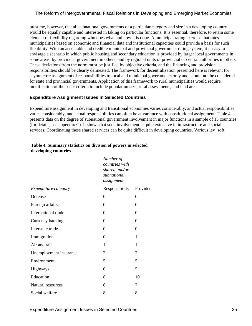presume, however, that all subnational governments of a particular category and size in a developing country would be equally capable and interested in taking on particular functions. It is essential, therefore, to retain some element of flexibility regarding who does what and how it is done. A municipal rating exercise that rates municipalities based on economic and financial data and institutional capacities could provide a basis for such flexibility. With an acceptable and credible municipal and provincial government rating system, it is easy to envisage a scenario in which public housing and secondary education is provided by larger local governments in some areas, by provincial government in others, and by regional units of provincial or central authorities in others. These deviations from the norm must be justified by objective criteria, and the financing and provision responsibilities should be clearly delineated. The framework for decentralization presented here is relevant for asymmetric assignment of responsibilities to local and municipal governments only and should not be considered for state and provincial governments. Application of this framework to rural municipalities would require modification of the basic criteria to include population size, rural assessments, and land area.

## **Expenditure Assignment Issues in Selected Countries**

Expenditure assignment in developing and transitional economies varies considerably, and actual responsibilities varies considerably, and actual responsibilities can often be at variance with constitutional assignment. Table 4 presents data on the degree of subnational government involvement in major functions in a sample of 13 countries (for details, see appendix C). It shows that such involvement is quite extensive in infrastructure and social services. Coordinating these shared services can be quite difficult in developing countries. Various lev−soft

#### **Table 4. Summary statistics on division of powers in selected developing countries**

|                             | Number of<br>countries with<br>shared and/or<br>subnational<br>assignment |                |
|-----------------------------|---------------------------------------------------------------------------|----------------|
| <i>Expenditure category</i> | Responsibility                                                            | Provider       |
| Defense                     | $\overline{0}$                                                            | 0              |
| Foreign affairs             | $\theta$                                                                  | 0              |
| International trade         | $\theta$                                                                  | 0              |
| Currency banking            | 0                                                                         | 0              |
| Interstate trade            | $\Omega$                                                                  | 0              |
| Immigration                 | $\theta$                                                                  | 1              |
| Air and rail                | 1                                                                         | 1              |
| Unemployment insurance      | $\overline{2}$                                                            | $\overline{2}$ |
| Environment                 | 5                                                                         | 5              |
| Highways                    | 6                                                                         | 5              |
| Education                   | 8                                                                         | 10             |
| Natural resources           | 8                                                                         | 7              |
| Social welfare              | 8                                                                         | 8              |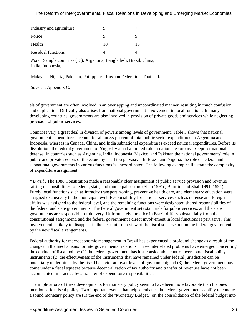| Industry and agriculture  | Ч  |    |
|---------------------------|----|----|
| Police                    | q  | ч  |
| Health                    | 10 | 10 |
| <b>Residual functions</b> |    |    |

*Note* : Sample countries (13): Argentina, Bangladesh, Brazil, China, India, Indonesia,

Malaysia, Nigeria, Pakistan, Philippines, Russian Federation, Thailand.

*Source* : Appendix C.

els of government are often involved in an overlapping and uncoordinated manner, resulting in much confusion and duplication. Difficulty also arises from national government involvement in local functions. In many developing countries, governments are also involved in provision of private goods and services while neglecting provision of public services.

<span id="page-26-0"></span>Countries vary a great deal in division of powers among levels of government. Table 5 shows that national government expenditures account for about 85 percent of total public sector expenditures in Argentina and Indonesia, whereas in Canada, China, and India subnational expenditures exceed national expenditures. Before its dissolution, the federal government of Yugoslavia had a limited role in national economy except for national defense. In countries such as Argentina, India, Indonesia, Mexico, and Pakistan the national governments' role in public and private sectors of the economy is all too pervasive. In Brazil and Nigeria, the role of federal and subnational governments in various functions is uncoordinated. The following examples illustrate the complexity of expenditure assignment.

• *Brazil* . The 1988 Constitution made a reasonably clear assignment of public service provision and revenue raising responsibilities to federal, state, and municipal sectors (Shah 1991c; Bomfim and Shah 1991, 1994). Purely local functions such as intracity transport, zoning, preventive health care, and elementary education were assigned exclusively to the municipal level. Responsibility for national services such as defense and foreign affairs was assigned to the federal level, and the remaining functions were designated shared responsibilities of the federal and state governments. The federal government sets standards for public services, and the state governments are responsible for delivery. Unfortunately, practice in Brazil differs substantially from the constitutional assignment, and the federal government's direct involvement in local functions is pervasive. This involvement is likely to disappear in the near future in view of the fiscal squeeze put on the federal government by the new fiscal arrangements.

Federal authority for macroeconomic management in Brazil has experienced a profound change as a result of the changes in the mechanisms for intergovernmental relations. Three interrelated problems have emerged concerning the conduct of fiscal policy: (1) the federal government has lost considerable control over some fiscal policy instruments; (2) the effectiveness of the instruments that have remained under federal jurisdiction can be potentially undermined by the fiscal behavior at lower levels of government; and (3) the federal government has come under a fiscal squeeze because decentralization of tax authority and transfer of revenues have not been accompanied in practice by a transfer of expenditure responsibilities.

The implications of these developments for monetary policy seem to have been more favorable than the ones mentioned for fiscal policy. Two important events that helped enhance the federal government's ability to conduct a sound monetary policy are (1) the end of the ''Monetary Budget," or, the consolidation of the federal budget into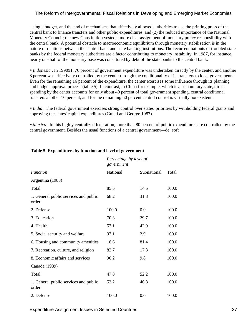a single budget, and the end of mechanisms that effectively allowed authorities to use the printing press of the central bank to finance transfers and other public expenditures, and (2) the reduced importance of the National Monetary Council; the new Constitution vested a more clear assignment of monetary policy responsibility with the central bank. A potential obstacle to macroeconomic equilibrium through monetary stabilization is in the nature of relations between the central bank and state banking institutions. The recurrent bailouts of troubled state banks by the federal monetary authorities are a factor contributing to monetary instability. In 1987, for instance, nearly one half of the monetary base was constituted by debt of the state banks to the central bank.

• *Indonesia* . In 199091, 76 percent of government expenditure was undertaken directly by the center, and another 8 percent was effectively controlled by the center through the conditionality of its transfers to local governments. Even for the remaining 16 percent of the expenditure, the center exercises some influence through its planning and budget approval process (table 5). In contrast, in China for example, which is also a unitary state, direct spending by the center accounts for only about 40 percent of total government spending, central conditional transfers another 10 percent, and for the remaining 50 percent central control is virtually nonexistent.

• *India* . The federal government exercises strong control over states' priorities by withholding federal grants and approving the states' capital expenditures (Gulati and George 1987).

• *Mexico* . In this highly centralized federation, more than 80 percent of public expenditures are controlled by the central government. Besides the usual functions of a central government—de−soft

|                                                | Percentage by level of<br>government |             |       |  |
|------------------------------------------------|--------------------------------------|-------------|-------|--|
| <i>Function</i>                                | National                             | Subnational | Total |  |
| Argentina (1988)                               |                                      |             |       |  |
| Total                                          | 85.5                                 | 14.5        | 100.0 |  |
| 1. General public services and public<br>order | 68.2                                 | 31.8        | 100.0 |  |
| 2. Defense                                     | 100.0                                | 0.0         | 100.0 |  |
| 3. Education                                   | 70.3                                 | 29.7        | 100.0 |  |
| 4. Health                                      | 57.1                                 | 42.9        | 100.0 |  |
| 5. Social security and welfare                 | 97.1                                 | 2.9         | 100.0 |  |
| 6. Housing and community amenities             | 18.6                                 | 81.4        | 100.0 |  |
| 7. Recreation, culture, and religion           | 82.7                                 | 17.3        | 100.0 |  |
| 8. Economic affairs and services               | 90.2                                 | 9.8         | 100.0 |  |
| Canada (1989)                                  |                                      |             |       |  |
| Total                                          | 47.8                                 | 52.2        | 100.0 |  |
| 1. General public services and public<br>order | 53.2                                 | 46.8        | 100.0 |  |
| 2. Defense                                     | 100.0                                | 0.0         | 100.0 |  |

## **Table 5. Expenditures by function and level of government**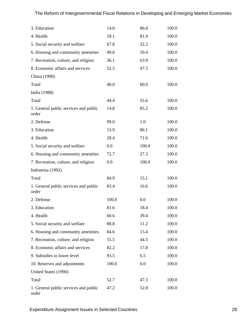<span id="page-28-0"></span>

| 3. Education                                   | 14.0  | 86.0  | 100.0 |
|------------------------------------------------|-------|-------|-------|
| 4. Health                                      | 18.1  | 81.9  | 100.0 |
| 5. Social security and welfare                 | 67.8  | 32.2  | 100.0 |
| 6. Housing and community amenities             | 49.6  | 50.4  | 100.0 |
| 7. Recreation, culture, and religion           | 36.1  | 63.9  | 100.0 |
| 8. Economic affairs and services               | 52.5  | 47.5  | 100.0 |
| China (1990)                                   |       |       |       |
| Total                                          | 40.0  | 60.0  | 100.0 |
| India (1988)                                   |       |       |       |
| Total                                          | 44.4  | 55.6  | 100.0 |
| 1. General public services and public<br>order | 14.8  | 85.2  | 100.0 |
| 2. Defense                                     | 99.0  | 1.0   | 100.0 |
| 3. Education                                   | 13.9  | 86.1  | 100.0 |
| 4. Health                                      | 28.4  | 71.6  | 100.0 |
| 5. Social security and welfare                 | 0.0   | 100.0 | 100.0 |
| 6. Housing and community amenities             | 72.7  | 27.3  | 100.0 |
| 7. Recreation, culture, and religion           | 0.0   | 100.0 | 100.0 |
| Indonesia (1992)                               |       |       |       |
| Total                                          | 84.9  | 15.1  | 100.0 |
| 1. General public services and public<br>order | 83.4  | 16.6  | 100.0 |
| 2. Defense                                     | 100.0 | 0.0   | 100.0 |
| 3. Education                                   | 81.6  | 18.4  | 100.0 |
| 4. Health                                      | 60.6  | 39.4  | 100.0 |
| 5. Social security and welfare                 | 88.8  | 11.2  | 100.0 |
| 6. Housing and community amenities             | 84.6  | 15.4  | 100.0 |
| 7. Recreation, culture, and religion           | 55.5  | 44.5  | 100.0 |
| 8. Economic affairs and services               | 82.2  | 17.8  | 100.0 |
| 9. Subsidies to lower level                    | 93.5  | 6.5   | 100.0 |
| 10. Reserves and adjustments                   | 100.0 | 0.0   | 100.0 |
| United States (1990)                           |       |       |       |
| Total                                          | 52.7  | 47.3  | 100.0 |
| 1. General public services and public<br>order | 47.2  | 52.8  | 100.0 |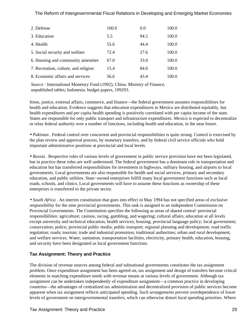| 2. Defense                           | 100.0 | 0.0  | 100.0 |
|--------------------------------------|-------|------|-------|
| 3. Education                         | 5.5   | 94.5 | 100.0 |
| 4. Health                            | 55.6  | 44.4 | 100.0 |
| 5. Social security and welfare       | 72.4  | 27.6 | 100.0 |
| 6. Housing and community amenities   | 67.0  | 33.0 | 100.0 |
| 7. Recreation, culture, and religion | 15.4  | 84.6 | 100.0 |
| 8. Economic affairs and services     | 56.6  | 43.4 | 100.0 |

*Source* : International Monetary Fund (1992); China: Ministry of Finance, unpublished tables; Indonesia: budget papers, 199293.

fense, justice, external affairs, commerce, and finance—the federal government assumes responsibilities for health and education. Evidence suggests that education expenditures in Mexico are distributed equitably, but health expenditures and per capita health spending is positively correlated with per capita income of the state. States are responsible for only public transport and infrastructure expenditures. Mexico is expected to decentralize or relax federal authority over a number of functions, including health and education, in the near future.

• *Pakistan* . Federal control over concurrent and provincial responsibilities is quite strong. Control is exercised by the plan review and approval process, by monetary transfers, and by federal civil service officials who hold important administrative positions at provincial and local levels.

<span id="page-29-0"></span>• *Russia* . Respective roles of various levels of government in public service provision have not been legislated, but in practice these roles are well understood. The federal government has a dominant role in transportation and education but has transferred responsibilities for investment in highways, military housing, and airports to local governments. Local governments are also responsible for health and social services, primary and secondary education, and public utilities. State−owned enterprises fulfill many local government functions such as local roads, schools, and clinics. Local governments will have to assume these functions as ownership of these enterprises is transferred to the private sector.

• *South Africa* . An interim constitution that goes into effect in May 1994 has not specified areas of exclusive responsibility for the nine provincial governments. This task is assigned to an independent Commission on Provincial Governments. The Constitution specifies the following as areas of shared central−provincial responsibilities: agriculture; casinos, racing, gambling, and wagering; cultural affairs; education at all levels except university and technical education; health services; housing; provincial language policy; local government; conservation; police; provincial public media; public transport; regional planning and development; road traffic regulation; roads; tourism; trade and industrial promotion; traditional authorities; urban and rural development; and welfare services. Water, sanitation, transportation facilities, electricity, primary health, education, housing, and security have been designated as local government functions.

## **Tax Assignment: Theory and Practice**

The division of revenue sources among federal and subnational governments constitutes the tax assignment problem. Once expenditure assignment has been agreed on, tax assignment and design of transfers become critical elements in matching expenditure needs with revenue means at various levels of government. Although tax assignment can be undertaken independently of expenditure assignment—a common practice in developing countries—the advantages of centralized tax administration and decentralized provision of public services become apparent when tax assignment reflects anticipated spending. Such arrangements prevent overdependence of lower levels of government on intergovernmental transfers, which can otherwise distort local spending priorities. Where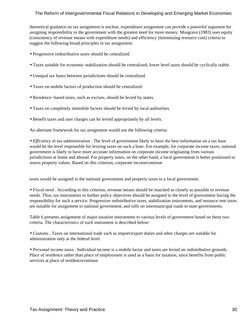theoretical guidance on tax assignment is unclear, expenditure assignment can provide a powerful argument for assigning responsibility to the government with the greatest need for more money. Musgrave (1983) uses equity (consistency of revenue means with expenditure needs) and efficiency (minimizing resource cost) criteria to suggest the following broad principles in tax assignment:

- Progressive redistributive taxes should be centralized.
- Taxes suitable for economic stabilization should be centralized; lower level taxes should be cyclically stable.
- Unequal tax bases between jurisdictions should be centralized.
- Taxes on mobile factors of production should be centralized.
- Residence−based taxes, such as excises, should be levied by states.
- Taxes on completely immobile factors should be levied by local authorities.
- Benefit taxes and user charges can be levied appropriately by all levels.

An alternate framework for tax assignment would use the following criteria:

• *Efficiency in tax administration* . The level of government likely to have the best information on a tax base would be the level responsible for levying taxes on such a base. For example, for corporate income taxes, national government is likely to have more accurate information on corporate income originating from various jurisdictions at home and abroad. For property taxes, on the other hand, a local government is better positioned to assess property values. Based on this criterion, corporate incomecontinue

taxes would be assigned to the national government and property taxes to a local government.

• *Fiscal need* . According to this criterion, revenue means should be matched as closely as possible to revenue needs. Thus, tax instruments to further policy objectives should be assigned to the level of government having the responsibility for such a service. Progressive redistributive taxes, stabilization instruments, and resource rent taxes are suitable for assignment to national government, and tolls on intermunicipal roads to state governments.

Table 6 presents assignment of major taxation instruments to various levels of government based on these two criteria. The characteristics of each instrument is described below:

• *Customs* . Taxes on international trade such as import/export duties and other charges are suitable for administration only at the federal level.

• *Personal income taxes* . Individual income is a mobile factor and taxes are levied on redistributive grounds. Place of residence rather than place of employment is used as a basis for taxation, since benefits from public services at place of residencecontinue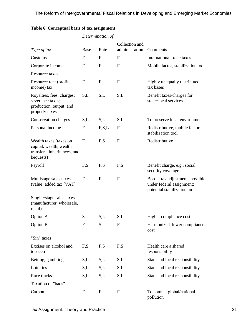| Type of tax                                                                                    | Base         | Rate                      | Collection and<br>administration | Comments                                                                                     |
|------------------------------------------------------------------------------------------------|--------------|---------------------------|----------------------------------|----------------------------------------------------------------------------------------------|
| Customs                                                                                        | $\mathbf{F}$ | $\mathbf F$               | F                                | International trade taxes                                                                    |
| Corporate income                                                                               | $\mathbf{F}$ | $\mathbf{F}$              | F                                | Mobile factor, stabilization tool                                                            |
| Resource taxes                                                                                 |              |                           |                                  |                                                                                              |
| Resource rent (profits,<br>income) tax                                                         | F            | $\boldsymbol{\mathrm{F}}$ | $\mathbf F$                      | Highly unequally distributed<br>tax bases                                                    |
| Royalties, fees, charges;<br>severance taxes;<br>production, output, and<br>property taxes     | S,L          | S,L                       | S,L                              | Benefit taxes/charges for<br>state-local services                                            |
| Conservation charges                                                                           | S,L          | S,L                       | S,L                              | To preserve local environment                                                                |
| Personal income                                                                                | F            | F,S,L                     | F                                | Redistributive, mobile factor;<br>stabilization tool                                         |
| Wealth taxes (taxes on<br>capital, wealth, wealth<br>transfers, inheritances, and<br>bequests) | F            | F,S                       | $\mathbf F$                      | Redistributive                                                                               |
| Payroll                                                                                        | F,S          | F,S                       | F,S                              | Benefit charge, e.g., social<br>security coverage                                            |
| Multistage sales taxes<br>(value-added tax [VAT]                                               | $\mathbf F$  | $\mathbf{F}$              | $\mathbf F$                      | Border tax adjustments possible<br>under federal assignment;<br>potential stabilization tool |
| Single-stage sales taxes<br>(manufacturer, wholesale,<br>retail)                               |              |                           |                                  |                                                                                              |
| Option A                                                                                       | S            | S,L                       | S,L                              | Higher compliance cost                                                                       |
| Option B                                                                                       | $\mathbf F$  | ${\bf S}$                 | $\mathbf F$                      | Harmonized, lower compliance<br>cost                                                         |
| "Sin" taxes                                                                                    |              |                           |                                  |                                                                                              |
| Excises on alcohol and<br>tobacco                                                              | F,S          | F,S                       | F,S                              | Health care a shared<br>responsibility                                                       |
| Betting, gambling                                                                              | S,L          | S,L                       | S,L                              | State and local responsibility                                                               |
| Lotteries                                                                                      | S,L          | S,L                       | S,L                              | State and local responsibility                                                               |
| Race tracks                                                                                    | S,L          | S,L                       | S,L                              | State and local responsibility                                                               |
| Taxation of "bads"                                                                             |              |                           |                                  |                                                                                              |
| Carbon                                                                                         | F            | $\boldsymbol{F}$          | $_{\rm F}$                       | To combat global/national                                                                    |

pollution

## **Table 6. Conceptual basis of tax assignment**

*Determination of*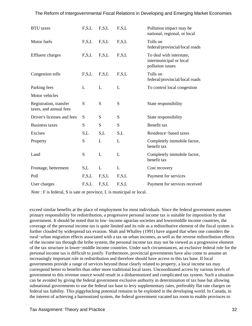| <b>BTU</b> taxes                                 | F.S.L     | F.S.L | F,S,L | Pollution impact may be<br>national, regional, or local                 |
|--------------------------------------------------|-----------|-------|-------|-------------------------------------------------------------------------|
| Motor fuels                                      | F.S.L     | F.S.L | F.S.L | Tolls on<br>federal/provincial/local roads                              |
| <b>Effluent</b> charges                          | F,S,L     | F,S,L | F,S,L | To deal with interstate,<br>intermunicipal or local<br>pollution issues |
| Congestion tolls                                 | F,S,L     | F,S,L | F,S,L | Tolls on<br>federal/provincial/local roads                              |
| Parking fees                                     | L         | L     | L     | To control local congestion                                             |
| Motor vehicles                                   |           |       |       |                                                                         |
| Registration, transfer<br>taxes, and annual fees | S         | S     | S     | State responsibility                                                    |
| Driver's licenses and fees                       | S         | S     | S     | State responsibility                                                    |
| <b>Business taxes</b>                            | S         | S     | S     | Benefit tax                                                             |
| Excises                                          | S,L       | S,L   | S,L   | Residence-based taxes                                                   |
| Property                                         | ${\bf S}$ | L     | L     | Completely immobile factor,<br>benefit tax                              |
| Land                                             | S         | L     | L     | Completely immobile factor,<br>benefit tax                              |
| Frontage, betterment                             | S,L       | L     | L     | Cost recovery                                                           |
| Poll                                             | F,S,L     | F,S,L | F,S,L | Payment for services                                                    |
| User charges                                     | F.S.L     | F,S,L | F.S.L | Payment for services received                                           |

*Note*: F is federal, S is sate or province, L is municipal or local.

<span id="page-32-0"></span>exceed similar benefits at the place of employment for most individuals. Since the federal government assumes primary responsibility for redistribution, a progressive personal income tax is suitable for imposition by that government. It should be noted that in low−income agrarian societies and lowermiddle income countries, the coverage of the personal income tax is quite limited and its role as a redistributive element of the fiscal system is further clouded by widespread tax evasion. Shah and Whalley (1991) have argued that when one considers the rural−urban migration effects associated with a tax on urban incomes, as well as the reverse redistribution effects of the income tax through the bribe system, the personal income tax may not be viewed as a progressive element of the tax structure in lower−middle income countries. Under such circumstances, an exclusive federal role for the personal income tax is difficult to justify. Furthermore, provincial governments have also come to assume an increasingly important role in redistribution and therefore should have access to this tax base. If local governments provide a range of services beyond those clearly related to property, a local income tax may correspond better to benefits than other more traditional local taxes. Uncoordinated access by various levels of government to this revenue source would result in a disharmonized and complicated tax system. Such a situation can be avoided by giving the federal government exclusive authority in determination of tax base but allowing subnational governments to use the federal tax base to levy supplementary rates, preferably flat rate charges on federal tax liability. This piggybacking potential remains to be exploited in the developing world. In Canada, in the interest of achieving a harmonized system, the federal government vacated tax room to enable provinces to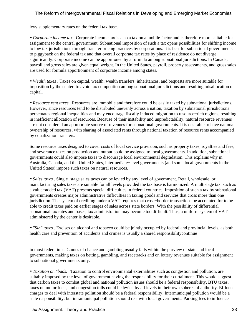levy supplementary rates on the federal tax base.

• *Corporate income tax* . Corporate income tax is also a tax on a mobile factor and is therefore more suitable for assignment to the central government. Subnational imposition of such a tax opens possibilities for shifting income to low tax jurisdictions through transfer pricing practices by corporations. It is best for subnational governments to piggyback on the federal tax and that overall corporate tax rates by place of residence do not diverge significantly. Corporate income can be apportioned by a formula among subnational jurisdictions. In Canada, payroll and gross sales are given equal weight. In the United States, payroll, property assessments, and gross sales are used for formula apportionment of corporate income among states.

• *Wealth taxes* . Taxes on capital, wealth, wealth transfers, inheritances, and bequests are more suitable for imposition by the center, to avoid tax competition among subnational jurisdictions and resulting misallocation of capital.

• *Resource rent taxes* . Resources are immobile and therefore could be easily taxed by subnational jurisdictions. However, since resources tend to be distributed unevenly across a nation, taxation by subnational jurisdictions perpetuates regional inequalities and may encourage fiscally induced migration to resource−rich regions, resulting in inefficient allocation of resources. Because of their instability and unpredictability, natural resource revenues are not considered an appropriate source of revenues for subnational governments. It is desirable to have national ownership of resources, with sharing of associated rents through national taxation of resource rents accompanied by equalization transfers.

Some resource taxes designed to cover costs of local service provision, such as property taxes, royalties and fees, and severance taxes on production and output could be assigned to local governments. In addition, subnational governments could also impose taxes to discourage local environmental degradation. This explains why in Australia, Canada, and the United States, intermediate−level governments (and some local governments in the United States) impose such taxes on natural resources.

• *Sales taxes* . Single−stage sales taxes can be levied by any level of government. Retail, wholesale, or manufacturing sales taxes are suitable for all levels provided the tax base is harmonized. A multistage tax, such as a value−added tax (VAT) presents special difficulties in federal countries. Imposition of such a tax by subnational governments creates major administrative difficulties in taxing goods and services that cross more than one jurisdiction. The system of crediting under a VAT requires that cross−border transactions be accounted for to be able to credit taxes paid on earlier stages of sales across state borders. With the possibility of differential subnational tax rates and bases, tax administration may become too difficult. Thus, a uniform system of VATs administered by the center is desirable.

• *"Sin" taxes* . Excises on alcohol and tobacco could be jointly occupied by federal and provincial levels, as both health care and prevention of accidents and crimes is usually a shared responsibilitycontinue

in most federations. Games of chance and gambling usually falls within the purview of state and local governments, making taxes on betting, gambling, and racetracks and on lottery revenues suitable for assignment to subnational governments only.

• *Taxation on "bads."* Taxation to control environmental externalities such as congestion and pollution, are suitably imposed by the level of government having the responsibility for their curtailment. This would suggest that carbon taxes to combat global and national pollution issues should be a federal responsibility. BTU taxes, taxes on motor fuels, and congestion tolls could be levied by all levels in their own spheres of authority. Effluent charges to deal with interstate pollution should be a federal responsibility. Intermunicipal pollution would be a state responsibility, but intramunicipal pollution should rest with local governments. Parking fees to influence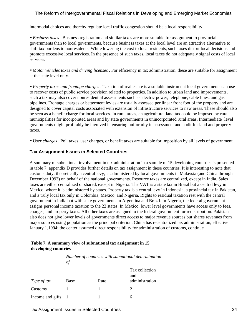intermodal choices and thereby regulate local traffic congestion should be a local responsibility.

• *Business taxes* . Business registration and similar taxes are more suitable for assignment to provincial governments than to local governments, because business taxes at the local level are an attractive alternative to shift tax burdens to nonresidents. While lowering the cost to local residents, such taxes distort local decisions and promote excessive local services. In the presence of such taxes, local taxes do not adequately signal costs of local services.

• *Motor vehicles taxes and driving licenses*. For efficiency in tax administration, these are suitable for assignment at the state level only.

• *Property taxes and frontage charges* . Taxation of real estate is a suitable instrument local governments can use to recover costs of public service provision related to properties. In addition to urban land and improvements, such a tax may also cover nonresidential assessments such as electric power, telephone, cable lines, and gas pipelines. Frontage charges or betterment levies are usually assessed per linear front foot of the property and are designed to cover capital costs associated with extension of infrastructure services to new areas. These should also be seen as a benefit charge for local services. In rural areas, an agricultural land tax could be imposed by rural municipalities for incorporated areas and by state governments in unincorporated rural areas. Intermediate−level governments might profitably be involved in ensuring uniformity in assessment and audit for land and property taxes.

• *User charges* . Poll taxes, user charges, or benefit taxes are suitable for imposition by all levels of government.

## **Tax Assignment Issues in Selected Countries**

A summary of subnational involvement in tax administration in a sample of 15 developing countries is presented in table 7; appendix D provides further details on tax assignment in these countries. It is interesting to note that customs duty, theoretically a central levy, is administered by local governments in Malaysia (and China through December 1993) on behalf of the national governments. Resource taxes are centralized, except in India. Sales taxes are either centralized or shared, except in Nigeria. The VAT is a state tax in Brazil but a central levy in Mexico, where it is administered by states. Property tax is a central levy in Indonesia, a provincial tax in Pakistan, and a truly local tax only in Colombia, Mexico, and Nigeria. Rights to residual taxation rest with the central government in India but with state governments in Argentina and Brazil. In Nigeria, the federal government assigns personal income taxation to the 22 states. In Mexico, lower level governments have access only to fees, charges, and property taxes. All other taxes are assigned to the federal government for redistribution. Pakistan also does not give lower levels of governments direct access to major revenue sources but shares revenues from major sources using population as the principal criterion. China has recentralized tax administration, effective January 1,1994; the center assumed direct responsibility for administration of customs, continue

#### **Table 7. A summary view of subnational tax assignment in 15 developing countries**

*Number of countries with subnational determination of*

| Type of tax      | Base | Rate | Tax collection<br>and<br>administration |
|------------------|------|------|-----------------------------------------|
| Customs          |      |      |                                         |
| Income and gifts |      |      |                                         |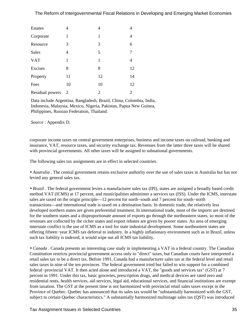| Estates         | 4  | 4  | 4  |
|-----------------|----|----|----|
| Corporate       | 1  | 1  | 4  |
| Resource        | 3  | 3  | 6  |
| Sales           | 4  | 5  | 7  |
| <b>VAT</b>      | 1  | 1  | 4  |
| Excises         | 8  | 8  | 12 |
| Property        | 11 | 12 | 14 |
| Fees            | 10 | 10 | 12 |
| Residual powers | 2  | 2  | 2  |

Data include Argentina, Bangladesh, Brazil, China, Colombia, India, Indonesia, Malaysia, Mexico, Nigeria, Pakistan, Papua New Guinea, Philippines, Russian Federation, Thailand.

*Source* : Appendix D.

corporate income taxes on central government enterprises, business and income taxes on railroad, banking and insurance, VAT, resource taxes, and security exchange tax. Revenues from the latter three taxes will be shared with provincial governments. All other taxes will be assigned to subnational governments.

The following sales tax assignments are in effect in selected countries.

• *Australia* . The central government retains exclusive authority over the use of sales taxes in Australia but has not levied any general sales tax.

<span id="page-35-0"></span>• *Brazil* . The federal government levies a manufacturer sales tax (IPI), states are assigned a broadly based credit method VAT (ICMS) at 17 percent, and municipalities administer a services tax (ISS). Under the ICMS, interstate sales are taxed on the origin principle—12 percent for north−south and 7 percent for south−north transactions—and international trade is taxed on a destination basis. In domestic trade, the relatively less developed northern states are given preferential treatment. In international trade, most of the imports are destined for the southern states and a disproportionate amount of exports go through the northeastern states, so most of the revenues are collected by the richer states and export rebates are given by poorer states. An area of emerging interstate conflict is the use of ICMS as a tool for state industrial development. Some northeastern states are offering fifteen−year ICMS tax deferral to industry. In a highly inflationary environment such as in Brazil, unless such tax liability is indexed, it would wipe out all ICMS tax liability.

• *Canada* . Canada presents an interesting case study in implementing a VAT in a federal country. The Canadian Constitution restricts provincial government access only to "direct" taxes, but Canadian courts have interpreted a retail sales tax to be a direct tax. Before 1991, Canada had a manufacturer sales tax at the federal level and retail sales taxes in nine of the ten provinces. The federal government tried but failed to win support for a combined federal−provincial VAT. It then acted alone and introduced a VAT, the "goods and services tax" (GST) at 7 percent in 1991. Under this tax, basic groceries, prescription drugs, and medical devices are rated zero and residential rents, health services, aid services, legal aid, educational services, and financial institutions are exempt from taxation. The GST at the present time is not harmonized with provincial retail sales taxes except in the Province of Quebec. Quebec has announced that its sales tax would be ''substantially harmonized with the GST, subject to certain Quebec characteristics." A substantially harmonized multistage sales tax (QST) was introduced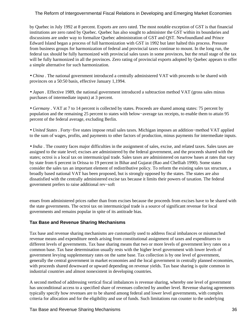by Quebec in July 1992 at 8 percent. Exports are zero rated. The most notable exception of GST is that financial institutions are zero rated by Quebec. Quebec has also sought to administer the GST within its boundaries and discussions are under way to formalize Quebec administration of GST and QST. Newfoundland and Prince Edward Island began a process of full harmonization with GST in 1992 but later halted this process. Pressure from business groups for harmonization of federal and provincial taxes continue to mount. In the long run, the federal tax should be fully harmonized with provincial sales taxes in some provinces, but the retail stage of the tax will be fully harmonized in all the provinces. Zero rating of provincial exports adopted by Quebec appears to offer a simple alternative for such harmonization.

• *China* . The national government introduced a centrally administered VAT with proceeds to be shared with provinces on a 50:50 basis, effective January 1,1994.

• *Japan* . Effective 1989, the national government introduced a subtraction method VAT (gross sales minus purchases of intermediate inputs) at 3 percent.

• *Germany* . VAT at 7 to 14 percent is collected by states. Proceeds are shared among states: 75 percent by population and the remaining 25 percent to states with below−average tax receipts, to enable them to attain 95 percent of the federal average, excluding Berlin.

• *United States* . Forty−five states impose retail sales taxes. Michigan imposes an addition−method VAT applied to the sum of wages, profits, and payments to other factors of production, minus payments for intermediate inputs.

• *India* . The country faces major difficulties in the assignment of sales, excise, and related taxes. Sales taxes are assigned to the state level; excises are administered by the federal government, and the proceeds shared with the states; octroi is a local tax on intermunicipal trade. Sales taxes are administered on narrow bases at rates that vary by state from 6 percent in Orissa to 19 percent in Bihar and Gujarat (Rao and Chelliah 1990). Some states consider the sales tax an important element of redistributive policy. To reform the existing sales tax structure, a broadly based national VAT has been proposed, but is strongly opposed by the states. The states are also dissatisfied with the centrally administered excise tax because it limits their powers of taxation. The federal government prefers to raise additional rev−soft

enues from administered prices rather than from excises because the proceeds from excises have to be shared with the state governments. The octroi tax on intermunicipal trade is a source of significant revenue for local governments and remains popular in spite of its antitrade bias.

#### **Tax Base and Revenue Sharing Mechanisms**

Tax base and revenue sharing mechanisms are customarily used to address fiscal imbalances or mismatched revenue means and expenditure needs arising from constitutional assignment of taxes and expenditures to different levels of governments. Tax base sharing means that two or more levels of government levy rates on a common base. Tax base determination usually rests with the higher level government with lower levels of government levying supplementary rates on the same base. Tax collection is by one level of government, generally the central government in market economies and the local government in centrally planned economies, with proceeds shared downward or upward depending on revenue yields. Tax base sharing is quite common in industrial countries and almost nonexistent in developing countries.

A second method of addressing vertical fiscal imbalances is revenue sharing, whereby one level of government has unconditional access to a specified share of revenues collected by another level. Revenue sharing agreements typically specify how revenues are to be shared among federal and lower level governments, with complex criteria for allocation and for the eligibility and use of funds. Such limitations run counter to the underlying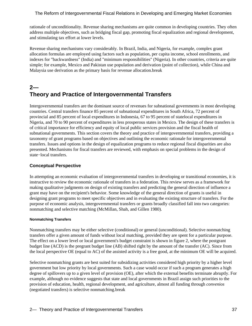rationale of unconditionality. Revenue sharing mechanisms are quite common in developing countries. They often address multiple objectives, such as bridging fiscal gap, promoting fiscal equalization and regional development, and stimulating tax effort at lower levels.

Revenue sharing mechanisms vary considerably. In Brazil, India, and Nigeria, for example, complex grant allocation formulas are employed using factors such as population, per capita income, school enrollments, and indexes for "backwardness" (India) and "minimum responsibilities" (Nigeria). In other countries, criteria are quite simple; for example, Mexico and Pakistan use population and derivation (point of collection), while China and Malaysia use derivation as the primary basis for revenue allocation.break

# **2— Theory and Practice of Intergovernmental Transfers**

Intergovernmental transfers are the dominant source of revenues for subnational governments in most developing countries. Central transfers finance 85 percent of subnational expenditures in South Africa, 72 percent of provincial and 85 percent of local expenditures in Indonesia, 67 to 95 percent of statelocal expenditures in Nigeria, and 70 to 90 percent of expenditures in less prosperous states in Mexico. The design of these transfers is of critical importance for efficiency and equity of local public services provision and the fiscal health of subnational governments. This section covers the theory and practice of intergovernmental transfers, providing a taxonomy of grant programs based on objectives and outlining the economic rationale for intergovernmental transfers. Issues and options in the design of equalization programs to reduce regional fiscal disparities are also presented. Mechanisms for fiscal transfers are reviewed, with emphasis on special problems in the design of state−local transfers.

# **Conceptual Perspective**

In attempting an economic evaluation of intergovernmental transfers in developing or transitional economies, it is instructive to review the economic rationale of transfers in a federation. This review serves as a framework for making qualitative judgments on design of existing transfers and predicting the general direction of influence a grant may have on the recipient's behavior. Some knowledge of the general direction of grants is useful in designing grant programs to meet specific objectives and in evaluating the existing structure of transfers. For the purpose of economic analysis, intergovernmental transfers or grants broadly classified fall into two categories: nonmatching and selective matching (McMillan, Shah, and Gillen 1980).

#### **Nonmatching Transfers**

Nonmatching transfers may be either selective (conditional) or general (unconditional). Selective nonmatching transfers offer a given amount of funds without local matching, provided they are spent for a particular purpose. The effect on a lower level or local government's budget constraint is shown in figure 2, where the postgrant budget line (ACD) is the pregrant budget line (AB) shifted right by the amount of the transfer (AC). Since from the local perspective OE (equal to AC) of the assisted activity is a free good, at the minimum OE will be acquired.

Selective nonmatching grants are best suited for subsidizing activities considered high priority by a higher level government but low priority by local governments. Such a case would occur if such a program generates a high degree of spillovers up to a given level of provision (OE), after which the external benefits terminate abruptly. For example, although no evidence suggests that state and local governments in Brazil assign such priorities to the provision of education, health, regional development, and agriculture, almost all funding through *convenios* (negotiated transfers) is selective nonmatching.break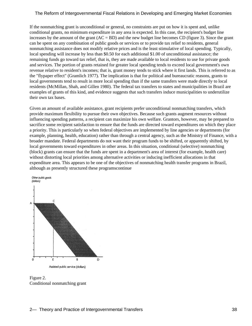If the nonmatching grant is unconditional or general, no constraints are put on how it is spent and, unlike conditional grants, no minimum expenditure in any area is expected. In this case, the recipient's budget line increases by the amount of the grant  $(AC = BD)$  and the new budget line becomes CD (figure 3). Since the grant can be spent on any combination of public goods or services or to provide tax relief to residents, general nonmatching assistance does not modify relative prices and is the least stimulative of local spending. Typically, local spending will increase by less than \$0.50 for each additional \$1.00 of unconditional assistance; the remaining funds go toward tax relief, that is, they are made available to local residents to use for private goods and services. The portion of grants retained for greater local spending tends to exceed local government's own revenue relative to resident's incomes; that is, grant money tends to stick where it first lands. This is referred to as the "flypaper effect" (Gramlich 1977). The implication is that for political and bureaucratic reasons, grants to local governments tend to result in more local spending than if the same transfers were made directly to local residents (McMillan, Shah, and Gillen 1980). The federal tax transfers to states and municipalities in Brazil are examples of grants of this kind, and evidence suggests that such transfers induce municipalities to underutilize their own tax bases.

Given an amount of available assistance, grant recipients prefer unconditional nonmatching transfers, which provide maximum flexibility to pursue their own objectives. Because such grants augment resources without influencing spending patterns, a recipient can maximize his own welfare. Grantors, however, may be prepared to sacrifice some recipient satisfaction to ensure that the funds are directed toward expenditures on which they place a priority. This is particularly so when federal objectives are implemented by line agencies or departments (for example, planning, health, education) rather than through a central agency, such as the Ministry of Finance, with a broader mandate. Federal departments do not want their program funds to be shifted, or apparently shifted, by local governments toward expenditures in other areas. In this situation, conditional (selective) nonmatching (block) grants can ensure that the funds are spent in a department's area of interest (for example, health care) without distorting local priorities among alternative activities or inducing inefficient allocations in that expenditure area. This appears to be one of the objectives of nonmatching health transfer programs in Brazil, although as presently structured these programscontinue



Figure 2. Conditional nonmatching grant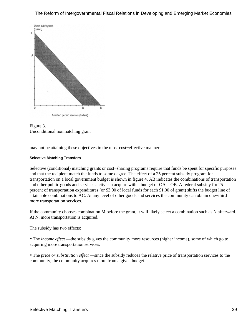



may not be attaining these objectives in the most cost−effective manner.

#### **Selective Matching Transfers**

Selective (conditional) matching grants or cost−sharing programs require that funds be spent for specific purposes and that the recipient match the funds to some degree. The effect of a 25 percent subsidy program for transportation on a local government budget is shown in figure 4. AB indicates the combinations of transportation and other public goods and services a city can acquire with a budget of  $OA = OB$ . A federal subsidy for 25 percent of transportation expenditures (or \$3.00 of local funds for each \$1.00 of grant) shifts the budget line of attainable combinations to AC. At any level of other goods and services the community can obtain one−third more transportation services.

If the community chooses combination M before the grant, it will likely select a combination such as N afterward. At N, more transportation is acquired.

The subsidy has two effects:

• The *income effect* —the subsidy gives the community more resources (higher income), some of which go to acquiring more transportation services.

• The *price or substitution effect* —since the subsidy reduces the relative price of transportation services to the community, the community acquires more from a given budget.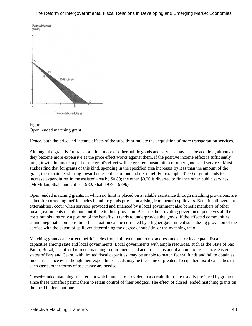



Hence, both the price and income effects of the subsidy stimulate the acquisition of more transportation services.

Although the grant is for transportation, more of other public goods and services may also be acquired, although they become more expensive as the price effect works against them. If the positive income effect is sufficiently large, it will dominate; a part of the grant's effect will be greater consumption of other goods and services. Most studies find that for grants of this kind, spending in the specified area increases by less than the amount of the grant, the remainder shifting toward other public output and tax relief. For example, \$1.00 of grant tends to increase expenditures in the assisted area by \$0.80; the other \$0.20 is diverted to finance other public services (McMillan, Shah, and Gillen 1980; Shah 1979, 1989b).

Open−ended matching grants, in which no limit is placed on available assistance through matching provisions, are suited for correcting inefficiencies in public goods provision arising from benefit spillovers. Benefit spillovers, or externalities, occur when services provided and financed by a local government also benefit members of other local governments that do not contribute to their provision. Because the providing government perceives all the costs but obtains only a portion of the benefits, it tends to underprovide the goods. If the affected communities cannot negotiate compensation, the situation can be corrected by a higher government subsidizing provision of the service with the extent of spillover determining the degree of subsidy, or the matching ratio.

Matching grants can correct inefficiencies from spillovers but do not address uneven or inadequate fiscal capacities among state and local governments. Local governments with ample resources, such as the State of São Paulo, Brazil, can afford to meet matching requirements and acquire a substantial amount of assistance. Sister states of Para and Ceara, with limited fiscal capacities, may be unable to match federal funds and fail to obtain as much assistance even though their expenditure needs may be the same or greater. To equalize fiscal capacities in such cases, other forms of assistance are needed.

Closed−ended matching transfers, in which funds are provided to a certain limit, are usually preferred by grantors, since these transfers permit them to retain control of their budgets. The effect of closed−ended matching grants on the local budgetcontinue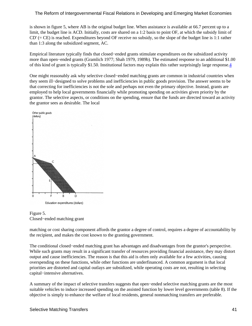is shown in figure 5, where AB is the original budget line. When assistance is available at 66.7 percent up to a limit, the budget line is ACD. Initially, costs are shared on a 1:2 basis to point OF, at which the subsidy limit of CD' (= CE) is reached. Expenditures beyond OF receive no subsidy, so the slope of the budget line is 1:1 rather than 1:3 along the subsidized segment, AC.

Empirical literature typically finds that closed−ended grants stimulate expenditures on the subsidized activity more than open−ended grants (Gramlich 1977; Shah 1979, 1989b). The estimated response to an additional \$1.00 of this kind of grant is typically \$1.50. Institutional factors may explain this rather surprisingly large response.4

One might reasonably ask why selective closed−ended matching grants are common in industrial countries when they seem ill−designed to solve problems and inefficiencies in public goods provision. The answer seems to be that correcting for inefficiencies is not the sole and perhaps not even the primary objective. Instead, grants are employed to help local governments financially while promoting spending on activities given priority by the grantor. The selective aspects, or conditions on the spending, ensure that the funds are directed toward an activity the grantor sees as desirable. The local



Figure 5. Closed−ended matching grant

matching or cost sharing component affords the grantor a degree of control, requires a degree of accountability by the recipient, and makes the cost known to the granting government.

The conditional closed−ended matching grant has advantages and disadvantages from the grantor's perspective. While such grants may result in a significant transfer of resources providing financial assistance, they may distort output and cause inefficiencies. The reason is that this aid is often only available for a few activities, causing overspending on these functions, while other functions are underfinanced. A common argument is that local priorities are distorted and capital outlays are subsidized, while operating costs are not, resulting in selecting capital−intensive alternatives.

A summary of the impact of selective transfers suggests that open−ended selective matching grants are the most suitable vehicles to induce increased spending on the assisted function by lower level governments (table 8). If the objective is simply to enhance the welfare of local residents, general nonmatching transfers are preferable.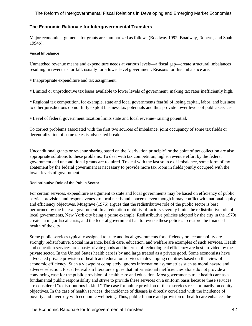# **The Economic Rationale for Intergovernmental Transfers**

Major economic arguments for grants are summarized as follows (Boadway 1992; Boadway, Roberts, and Shah 1994b):

#### **Fiscal Imbalance**

Unmatched revenue means and expenditure needs at various levels—a fiscal gap—create structural imbalances resulting in revenue shortfall, usually for a lower level government. Reasons for this imbalance are:

- Inappropriate expenditure and tax assignment.
- Limited or unproductive tax bases available to lower levels of government, making tax rates inefficiently high.

• Regional tax competition, for example, state and local governments fearful of losing capital, labor, and business to other jurisdictions do not fully exploit business tax potentials and thus provide lower levels of public services.

• Level of federal government taxation limits state and local revenue−raising potential.

To correct problems associated with the first two sources of imbalance, joint occupancy of some tax fields or decentralization of some taxes is advocated.break

Unconditional grants or revenue sharing based on the "derivation principle" or the point of tax collection are also appropriate solutions to these problems. To deal with tax competition, higher revenue effort by the federal government and unconditional grants are required. To deal with the last source of imbalance, some form of tax abatement by the federal government is necessary to provide more tax room in fields jointly occupied with the lower levels of government.

#### **Redistributive Role of the Public Sector**

For certain services, expenditure assignment to state and local governments may be based on efficiency of public service provision and responsiveness to local needs and concerns even though it may conflict with national equity and efficiency objectives. Musgrave (1976) argues that the redistributive role of the public sector is best performed by the federal government. In a federation mobility of factors severely limits the redistributive role of local governments, New York city being a prime example. Redistributive policies adopted by the city in the 1970s created a major fiscal crisis, and the federal government had to reverse these policies to restore the financial health of the city.

Some public services typically assigned to state and local governments for efficiency or accountability are strongly redistributive. Social insurance, health care, education, and welfare are examples of such services. Health and education services are quasi−private goods and in terms of technological efficiency are best provided by the private sector. In the United States health care is by and large treated as a private good. Some economists have advocated private provision of health and education services in developing countries based on this view of economic efficiency. Such a viewpoint completely ignores information asymmetries such as moral hazard and adverse selection. Fiscal federalism literature argues that informational inefficiencies alone do not provide a convincing case for the public provision of health care and education. Most governments treat health care as a fundamental public responsibility and strive to provide these services on a uniform basis because these services are considered "redistributions in kind." The case for public provision of these services rests primarily on equity objectives. In the case of health services, the incidence of disease is directly correlated with the incidence of poverty and inversely with economic wellbeing. Thus, public finance and provision of health care enhances the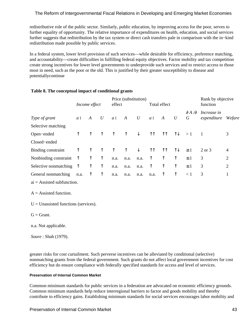redistributive role of the public sector. Similarly, public education, by improving access for the poor, serves to further equality of opportunity. The relative importance of expenditures on health, education, and social services further suggests that redistribution by the tax system or direct cash transfers pale in comparison with the in−kind redistribution made possible by public services.

In a federal system, lower level provision of such services—while desirable for efficiency, preference matching, and accountability—create difficulties in fulfilling federal equity objectives. Factor mobility and tax competition create strong incentives for lower level governments to underprovide such services and to restrict access to those most in need, such as the poor or the old. This is justified by their greater susceptibility to disease and potentiallycontinue

|                              | Income effect |            | Price (substitution)<br>effect |                | Total effect     |              |                     |                     | Rank by objective<br>function |                                           |                            |                |
|------------------------------|---------------|------------|--------------------------------|----------------|------------------|--------------|---------------------|---------------------|-------------------------------|-------------------------------------------|----------------------------|----------------|
| Type of grant                | a i           | A          | U                              | a <sub>i</sub> | $\boldsymbol{A}$ | U            | a <sub>i</sub>      | $\boldsymbol{A}$    | U                             | $\partial A/\partial$<br>$\boldsymbol{G}$ | Increase in<br>expenditure | Wefare         |
| Selective matching           |               |            |                                |                |                  |              |                     |                     |                               |                                           |                            |                |
| Open-ended                   |               |            |                                |                | $\uparrow$       | $\downarrow$ | $\uparrow \uparrow$ | ↑↑                  | ↑↓                            | >1                                        |                            | 3              |
| Closed-ended                 |               |            |                                |                |                  |              |                     |                     |                               |                                           |                            |                |
| Binding constraint           | $\uparrow$    |            | ↑                              | ↑              | $\uparrow$       | ↓            | $\uparrow \uparrow$ | $\uparrow \uparrow$ | ↑↓                            | $\geq 1$                                  | 2 or 3                     | $\overline{4}$ |
| Nonbinding constraint        | $\uparrow$    | $\uparrow$ | ↑                              | n.a.           | n.a.             | n.a.         | $\uparrow$          | ↑                   | $\uparrow$                    | $\leq$ 1                                  | 3                          | $\mathbf{2}$   |
| Selective nonmatching        | $\uparrow$    |            | ↑                              | n.a.           | n.a.             | n.a.         | $\uparrow$          | ↑                   | $\uparrow$                    | $\leq 1$                                  | 3                          | $\mathbf{2}$   |
| General nonmatching          | n.a.          | $\uparrow$ |                                | n.a.           | n.a.             | n.a.         | n.a.                | $\uparrow$          | $\uparrow$                    | < 1                                       | 3                          | $\mathbf{1}$   |
| $ai = Assisted subfunction.$ |               |            |                                |                |                  |              |                     |                     |                               |                                           |                            |                |

#### **Table 8. The conceptual impact of conditional grants**

 $A =$  Assisted function.

 $G =$  Grant.

*Soure* : Shah (1979).

greater risks for cost curtailment. Such perverse incentives can be alleviated by conditional (selective) nonmatching grants from the federal government. Such grants do not affect local government incentives for cost efficiency but do ensure compliance with federally specified standards for access and level of services.

#### **Preservation of Internal Common Market**

Common minimum standards for public services in a federation are advocated on economic efficiency grounds. Common minimum standards help reduce interregional barriers to factor and goods mobility and thereby contribute to efficiency gains. Establishing minimum standards for social services encourages labor mobility and

#### Preservation of Internal Common Market 43

 $U =$  Unassisted functions (services).

n.a. Not applicable.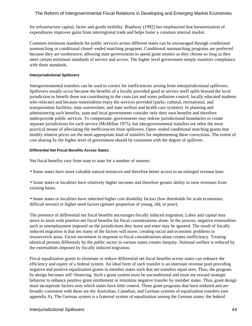for infrastructure capital, factor and goods mobility. Boadway (1992) has emphasized that harmonization of expenditures improves gains from interregional trade and helps foster a common internal market.

Common minimum standards for public services across different states can be encouraged through conditional nonmatching or conditional closed−ended matching programs. Conditional nonmatching programs are preferred because they are unobtrusive, allowing state governments to spend grant monies as they choose so long as they meet certain minimum standards of service and access. The higher level government simply monitors compliance with these standards.

#### **Interjurisdictional Spillovers**

Intergovernmental transfers can be used to correct for inefficiencies arising from interjurisdictional spillovers. Spillovers usually occur because the benefits of a locally provided good or service itself spills beyond the local jurisdiction to benefit those not contributing to the costs (air and water pollution control, locally educated students who relocate) and because nonresidents enjoy the services provided (parks; cultural, recreational, and transportation facilities; state universities; and state welfare and health care systems). In planning and administering such benefits, state and local governments consider only their own benefits and therefore underprovide public services. To compensate, governments may redraw jurisdictional boundaries or create separate jurisdictions for each service (McMillan 1975), but intergovernmental transfers are often the most practical means of alleviating the inefficiencies from spillovers. Open−ended conditional matching grants that modify relative prices are the most appropriate kind of transfers for implementing these corrections. The extent of cost sharing by the higher level of government should be consistent with the degree of spillover.

#### **Differential Net Fiscal Benefits Across States**

Net fiscal benefits vary from state to state for a number of reasons:

- Some states have more valuable natural resources and therefore better access to an enlarged revenue base.
- Some states or localities have relatively higher incomes and therefore greater ability to raise revenues from existing bases.
- Some states or localities have inherited higher cost disability factors (low thresholds for scale economies, difficult terrain) or higher need factors (greater proportion of young, old, or poor).

The presence of differential net fiscal benefits encourages fiscally induced migration. Labor and capital may move to areas with positive net fiscal benefits for fiscal considerations alone. In the process, negative externalities such as unemployment imposed on the jurisdictions they leave and enter may be ignored. The result of fiscally induced migration is that too many of the factors will move, creating social and economic problems in resourcerich areas. Factor movement in response to fiscal considerations alone creates inefficiency. Treating identical persons differently by the public sector in various states creates inequity. National welfare is reduced by the externalities imposed by fiscally induced migration.

Fiscal equalization grants to eliminate or reduce differential net fiscal benefits across states can enhance the efficiency and equity of a federal system. An ideal form of such transfer is an interstate revenue pool providing negative and positive equalization grants to member states such that net transfers equal zero. Thus, the program by design becomes self−financing. Such a grant system must be unconditional and must not reward strategic behavior to enhance positive grant entitlement or minimize negative transfer by member states. Thus, grant design must incorporate factors over which states have little control. Three grant programs that have endured and are broadly consistent with these are the Australian, Canadian, and German systems of equalization transfers (see appendix A). The German system is a fraternal system of equalization among the German states; the federal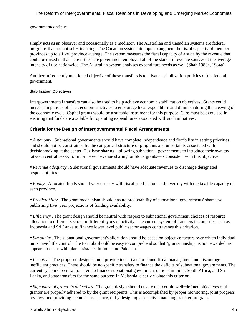governmentcontinue

simply acts as an observer and occasionally as a mediator. The Australian and Canadian systems are federal programs that are not self−financing. The Canadian system attempts to augment the fiscal capacity of member provinces up to a five−province average. The system measures the fiscal capacity of a state by the revenue that could be raised in that state if the state government employed all of the standard revenue sources at the average intensity of use nationwide. The Australian system analyses expenditure needs as well (Shah 1983c, 1984a).

Another infrequently mentioned objective of these transfers is to advance stabilization policies of the federal government.

#### **Stabilization Objectives**

Intergovernmental transfers can also be used to help achieve economic stabilization objectives. Grants could increase in periods of slack economic activity to encourage local expenditure and diminish during the upswing of the economic cycle. Capital grants would be a suitable instrument for this purpose. Care must be exercised in ensuring that funds are available for operating expenditures associated with such initiatives.

## **Criteria for the Design of Intergovernmental Fiscal Arrangements**

• *Autonomy* . Subnational governments should have complete independence and flexibility in setting priorities, and should not be constrained by the categorical structure of programs and uncertainty associated with decisionmaking at the center. Tax base sharing—allowing subnational governments to introduce their own tax rates on central bases, formula−based revenue sharing, or block grants—is consistent with this objective.

• *Revenue adequacy* . Subnational governments should have adequate revenues to discharge designated responsibilities.

• *Equity* . Allocated funds should vary directly with fiscal need factors and inversely with the taxable capacity of each province.

• *Predictability* . The grant mechanism should ensure predictability of subnational governments' shares by publishing five−year projections of funding availability.

• *Efficiency* . The grant design should be neutral with respect to subnational government choices of resource allocation to different sectors or different types of activity. The current system of transfers in countries such as Indonesia and Sri Lanka to finance lower level public sector wages contravenes this criterion.

• *Simplicity* . The subnational government's allocation should be based on objective factors over which individual units have little control. The formula should be easy to comprehend so that "grantsmanship" is not rewarded, as appears to occur with plan assistance in India and Pakistan.

• *Incentive* . The proposed design should provide incentives for sound fiscal management and discourage inefficient practices. There should be no specific transfers to finance the deficits of subnational governments. The current system of central transfers to finance subnational government deficits in India, South Africa, and Sri Lanka, and state transfers for the same purpose in Malaysia, clearly violate this criterion.

• *Safeguard of grantor's objectives* . The grant design should ensure that certain well−defined objectives of the grantor are properly adhered to by the grant recipients. This is accomplished by proper monitoring, joint progress reviews, and providing technical assistance, or by designing a selective matching transfer program.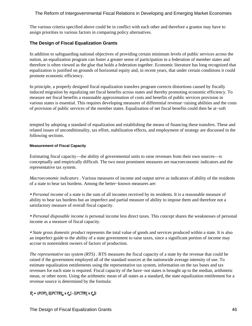The various criteria specified above could be in conflict with each other and therefore a grantor may have to assign priorities to various factors in comparing policy alternatives.

# **The Design of Fiscal Equalization Grants**

In addition to safeguarding national objectives of providing certain minimum levels of public services across the nation, an equalization program can foster a greater sense of participation in a federation of member states and therefore is often viewed as the glue that holds a federation together. Economic literature has long recognized that equalization is justified on grounds of horizontal equity and, in recent years, that under certain conditions it could promote economic efficiency.

In principle, a properly designed fiscal equalization transfers program corrects distortions caused by fiscally induced migration by equalizing net fiscal benefits across states and thereby promoting economic efficiency. To measure net fiscal benefits a reasonable approximation of costs and benefits of public services provision in various states is essential. This requires developing measures of differential revenue−raising abilities and the costs of provision of public services of the member states. Equalization of net fiscal benefits could then be at−soft

tempted by adopting a standard of equalization and establishing the means of financing these transfers. These and related issues of unconditionality, tax effort, stabilization effects, and employment of strategy are discussed in the following sections.

#### **Measurement of Fiscal Capacity**

Estimating fiscal capacity—the ability of governmental units to raise revenues from their own sources—is conceptually and empirically difficult. The two most prominent measures are macroeconomic indicators and the representative tax system.

*Macroeconomic indicators* . Various measures of income and output serve as indicators of ability of the residents of a state to bear tax burdens. Among the better−known measures are:

• *Personal income* of a state is the sum of all incomes received by its residents. It is a reasonable measure of ability to bear tax burdens but an imperfect and partial measure of ability to impose them and therefore not a satisfactory measure of overall fiscal capacity.

• *Personal disposable income* is personal income less direct taxes. This concept shares the weaknesses of personal income as a measure of fiscal capacity.

• *State gross domestic product* represents the total value of goods and services produced within a state. It is also an imperfect guide to the ability of a state government to raise taxes, since a significant portion of income may accrue to nonresident owners of factors of production.

*The representative tax system (RTS)* . RTS measures the fiscal capacity of a state by the revenue that could be raised if the government employed all of the standard sources at the nationwide average intensity of use. To estimate equalization entitlements using the representative tax system, information on the tax bases and tax revenues for each state is required. Fiscal capacity of the have−not states is brought up to the median, arithmetic mean, or other norm. Using the arithmetic mean of all states as a standard, the state equalization entitlement for a revenue source is determined by the formula:

 $E_x^i = (POP)_x \{ [(PCTB)_{na}^i \times t_{na}^i] - [(PCTB)_{x}^i \times t_{na}^i] \}$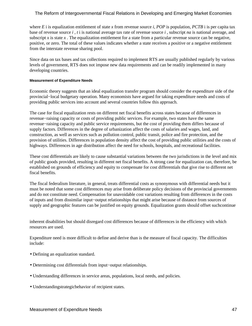where *E* i is equalization entitlement of state *x* from revenue source *i, POP* is population, *PCTB* i is per capita tax base of revenue source *i* , *t* i is national average tax rate of revenue source *i* , subscript *na* is national average, and subscript  $x$  is state  $x$ . The equalization entitlement for a state from a particular revenue source can be negative, positive, or zero. The total of these values indicates whether a state receives a positive or a negative entitlement from the interstate revenue sharing pool.

Since data on tax bases and tax collections required to implement RTS are usually published regularly by various levels of government, RTS does not impose new data requirements and can be readily implemented in many developing countries.

#### **Measurement of Expenditure Needs**

Economic theory suggests that an ideal equalization transfer program should consider the expenditure side of the provincial−local budgetary operation. Many economists have argued for taking expenditure needs and costs of providing public services into account and several countries follow this approach.

The case for fiscal equalization rests on different net fiscal benefits across states because of differences in revenue−raising capacity or costs of providing public services. For example, two states have the same revenue−raising capacity and public service requirements, but the cost of providing them differs because of supply factors. Differences in the degree of urbanization affect the costs of salaries and wages, land, and construction, as well as services such as pollution control, public transit, police and fire protection, and the provision of utilities. Differences in population density affect the cost of providing public utilities and the costs of highways. Differences in age distribution affect the need for schools, hospitals, and recreational facilities.

These cost differentials are likely to cause substantial variations between the two jurisdictions in the level and mix of public goods provided, resulting in different net fiscal benefits. A strong case for equalization can, therefore, be established on grounds of efficiency and equity to compensate for cost differentials that give rise to different net fiscal benefits.

The fiscal federalism literature, in general, treats differential costs as synonymous with differential needs but it must be noted that some cost differences may arise from deliberate policy decisions of the provincial governments and do not constitute need. Compensation for unavoidable cost variations resulting from differences in the costs of inputs and from dissimilar input−output relationships that might arise because of distance from sources of supply and geographic features can be justified on equity grounds. Equalization grants should offset suchcontinue

inherent disabilities but should disregard cost differences because of differences in the efficiency with which resources are used.

Expenditure need is more difficult to define and derive than is the measure of fiscal capacity. The difficulties include:

- Defining an equalization standard.
- Determining cost differentials from input−output relationships.
- Understanding differences in service areas, populations, local needs, and policies.
- Understandingstrategicbehavior of recipient states.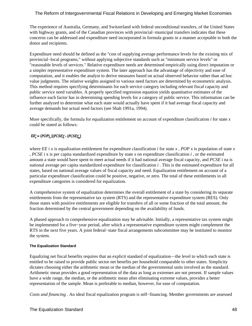The experience of Australia, Germany, and Switzerland with federal unconditional transfers, of the United States with highway grants, and of the Canadian provinces with provincial−municipal transfers indicates that these concerns can be addressed and expenditure need incorporated in formula grants in a manner acceptable to both the donor and recipients.

Expenditure need should be defined as the ''cost of supplying average performance levels for the existing mix of provincial−local programs," without applying subjective standards such as "minimum service levels" or "reasonable levels of services." Relative expenditure needs are determined empirically using direct imputation or a simpler representative expenditure system. The later approach has the advantage of objectivity and ease of computation, and it enables the analyst to derive measures based on actual observed behavior rather than ad hoc value judgments. The relative weights assigned to various need factors are determined by econometric analysis. This method requires specifying determinants for each service category including relevant fiscal capacity and public service need variables. A properly specified regression equation yields quantitative estimates of the influence each factor has in determining spending levels for a category of public service. This information can be further analyzed to determine what each state would actually have spent if it had average fiscal capacity and average demands but actual need factors (see Shah 1991a, 1994).

More specifically, the formula for equalization entitlement on account of expenditure classification *i* for state *x* could be stated as follows:

#### $EE' = (POP)$ ,  $[(PCSE)' - (PCSE)'$ .]

where *EE* i x is equalization entitlement for expenditure classification *i* for state x, *POP* x is population of state x , *PCSE* i x is per capita standardized expenditure by state *x* on expenditure classification *i* , or the estimated amount a state would have spent to meet actual needs if it had national average fiscal capacity, and *PCSE* i na is national average per capita standardized expenditure for classification *i* . This is the estimated expenditure for all states, based on national average values of fiscal capacity and need. Equalization entitlement on account of a particular expenditure classification could be positive, negative, or zero. The total of these entitlements in all expenditure categories is considered for equalization.

A comprehensive system of equalization determines the overall entitlement of a state by considering its separate entitlements from the representative tax system (RTS) and the representative expenditure system (RES). Only those states with positive entitlements are eligible for transfers of all or some fraction of the total amount, the fraction determined by the central government depending on the availability of funds.

A phased approach to comprehensive equalization may be advisable. Initially, a representative tax system might be implemented for a five−year period, after which a representative expenditure system might complement the RTS in the next five years. A joint federal−state fiscal arrangements subcommittee may be instituted to monitor the system.

#### **The Equalization Standard**

Equalizing net fiscal benefits requires that an explicit standard of equalization—the level to which each state is entitled to be raised to provide public sector net benefits per household comparable to other states. Simplicity dictates choosing either the arithmetic mean or the median of the governmental units involved as the standard. Arithmetic mean provides a good representation of the data as long as extremes are not present. If sample values have a wide range, the median, or the arithmetic mean after eliminating extreme values, provides a better representation of the sample. Mean is preferable to median, however, for ease of computation.

*Costs and financing* . An ideal fiscal equalization program is self−financing. Member governments are assessed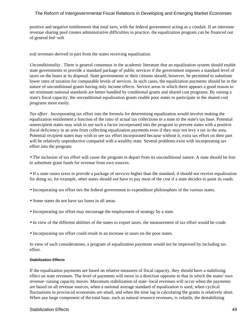positive and negative entitlements that total zero, with the federal government acting as a conduit. If an interstate revenue sharing pool creates administrative difficulties in practice, the equalization program can be financed out of general fed−soft

eral revenues derived in part from the states receiving equalization.

*Unconditionality* . There is general consensus in the academic literature that an equalization system should enable state governments to provide a standard package of public services if the government imposes a standard level of taxes on the bases at its disposal. State governments or their citizens should, however, be permitted to substitute lower rates of taxation for comparable levels of services. In such cases, the equalization payments should be in the nature of unconditional grants having only income effects. Service areas in which there appears a good reason to set minimum national standards are better handled by conditional grants and shared cost programs. By raising a state's fiscal capacity, the unconditional equalization grants enable poor states to participate in the shared cost programs more easily.

*Tax effort* . Incorporating tax effort into the formula for determining equalization would involve making the equalization entitlement a function of the ratio of actual tax collections in a state to the state's tax base. Potential nonrecipient states may wish to see such a factor incorporated into the program to prevent states with a positive fiscal deficiency in an area from collecting equalization payments even if they may not levy a tax in the area. Potential recipient states may wish to see tax effort incorporated because without it, extra tax effort on their part will be relatively unproductive compared with a wealthy state. Several problems exist with incorporating tax effort into the program:

• The inclusion of tax effort will cause the program to depart from its unconditional nature. A state should be free to substitute grant funds for revenue from own sources.

• If a state raises taxes to provide a package of services higher than the standard, it should not receive equalization for doing so; for example, other states should not have to pay most of the cost if a state decides to paint its roads.

- Incorporating tax effort ties the federal government to expenditure philosophies of the various states.
- Some states do not have tax bases in all areas.
- Incorporating tax effort may encourage the employment of strategy by a state.
- In view of the different abilities of the states to export taxes, the measurement of tax effort would be crude.
- Incorporating tax effort could result in an increase in taxes on the poor states.

In view of such considerations, a program of equalization payments would not be improved by including tax effort.

#### **Stabilization Effects**

If the equalization payments are based on relative measures of fiscal capacity, they should have a stabilizing effect on state revenues. The level of payments will move in a direction opposite to that in which the states' own revenue−raising capacity moves. Maximum stabilization of state−local revenues will occur when the payments are based on all revenue sources, when a national average standard of equalization is used, when cyclical fluctuations in provincial economies are small, and when the time lag in calculating the grants is relatively short. When any large component of the total base, such as natural resource revenues, is volatile, the destabilizing

#### Stabilization Effects 49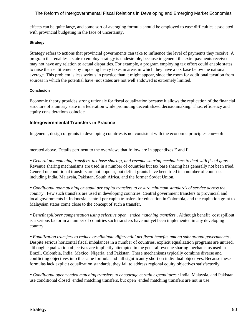effects can be quite large, and some sort of averaging formula should be employed to ease difficulties associated with provincial budgeting in the face of uncertainty.

#### **Strategy**

Strategy refers to actions that provincial governments can take to influence the level of payments they receive. A program that enables a state to employ strategy is undesirable, because in general the extra payments received may not have any relation to actual disparities. For example, a program employing tax effort could enable states to raise their entitlements by imposing heavy taxes in areas in which they have a tax base below the national average. This problem is less serious in practice than it might appear, since the room for additional taxation from sources in which the potential have−not states are not well endowed is extremely limited.

#### **Conclusion**

Economic theory provides strong rationale for fiscal equalization because it allows the replication of the financial structure of a unitary state in a federation while promoting decentralized decisionmaking. Thus, efficiency and equity considerations coincide.

#### **Intergovernmental Transfers in Practice**

In general, design of grants in developing countries is not consistent with the economic principles enu−soft

merated above. Details pertinent to the overviews that follow are in appendixes E and F.

• *General nonmatching transfers, tax base sharing, and revenue sharing mechanisms to deal with fiscal gaps* . Revenue sharing mechanisms are used in a number of countries but tax base sharing has generally not been tried. General unconditional transfers are not popular, but deficit grants have been tried in a number of countries including India, Malaysia, Pakistan, South Africa, and the former Soviet Union.

• *Conditional nonmatching or equal per capita transfers to ensure minimum standards of service across the country* . Few such transfers are used in developing countries. Central government transfers to provincial and local governments in Indonesia, central per capita transfers for education in Colombia, and the capitation grant to Malaysian states come close to the concept of such a transfer.

• *Benefit spillover compensation using selective open−ended matching transfers* . Although benefit−cost spillout is a serious factor in a number of countries such transfers have not yet been implemented in any developing country.

• *Equalization transfers to reduce or eliminate differential net fiscal benefits among subnational governments* . Despite serious horizontal fiscal imbalances in a number of countries, explicit equalization programs are untried, although equalization objectives are implicitly attempted in the general revenue sharing mechanisms used in Brazil, Colombia, India, Mexico, Nigeria, and Pakistan. These mechanisms typically combine diverse and conflicting objectives into the same formula and fall significantly short on individual objectives. Because these formulas lack explicit equalization standards, they fail to address regional equity objectives satisfactorily.

• *Conditional open−ended matching transfers to encourage certain expenditures* : India, Malaysia, and Pakistan use conditional closed−ended matching transfers, but open−ended matching transfers are not in use.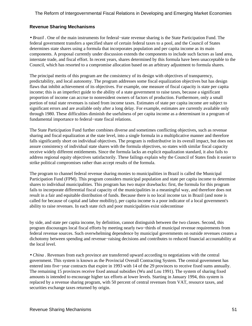# **Revenue Sharing Mechanisms**

• *Brazil* . One of the main instruments for federal−state revenue sharing is the State Participation Fund. The federal government transfers a specified share of certain federal taxes to a pool, and the Council of States determines state shares using a formula that incorporates population and per capita income as its main components. A proposal currently under discussion extends the components to include such factors as land area, interstate trade, and fiscal effort. In recent years, shares determined by this formula have been unacceptable to the Council, which has resorted to a compromise allocation based on an arbitrary adjustment to formula shares.

The principal merits of this program are the consistency of its design with objectives of transparency, predictability, and local autonomy. The program addresses some fiscal equalization objectives but has design flaws that inhibit achievement of its objectives. For example, one measure of fiscal capacity is state per capita income; this is an imperfect guide to the ability of a state government to raise taxes, because a significant proportion of income can accrue to nonresident owners of factors of production. Furthermore, only a small portion of total state revenues is raised from income taxes. Estimates of state per capita income are subject to significant errors and are available only after a long delay. For example, estimates are currently available only through 1980. These difficulties diminish the usefulness of per capita income as a determinant in a program of fundamental importance to federal−state fiscal relations.

The State Participation Fund further combines diverse and sometimes conflicting objectives, such as revenue sharing and fiscal equalization at the state level, into a single formula in a multiplicative manner and therefore falls significantly short on individual objectives. The program is redistributive in its overall impact, but does not assure consistency of individual state shares with the formula objectives, so states with similar fiscal capacity receive widely different entitlements. Since the formula lacks an explicit equalization standard, it also fails to address regional equity objectives satisfactorily. These failings explain why the Council of States finds it easier to strike political compromises rather than accept results of the formula.

The program to channel federal revenue sharing monies to municipalities in Brazil is called the Municipal Participation Fund (FPM). This program considers municipal population and state per capita income to determine shares to individual municipalities. This program has two major drawbacks: first, the formula for this program fails to incorporate differential fiscal capacity of the municipalities in a meaningful way, and therefore does not result in a fair and equitable distribution of funds. Because there is no local income tax in Brazil (and none is called for because of capital and labor mobility), per capita income is a poor indicator of a local government's ability to raise revenues. In each state rich and poor municipalities exist sidecontinue

by side, and state per capita income, by definition, cannot distinguish between the two classes. Second, this program discourages local fiscal efforts by meeting nearly two−thirds of municipal revenue requirements from federal revenue sources. Such overwhelming dependence by municipal governments on outside revenues creates a dichotomy between spending and revenue−raising decisions and contributes to reduced financial accountability at the local level.

• *China* . Revenues from each province are transferred upward according to negotiations with the central government. This system is known as the Provincial Overall Contracting System. The central government has entered into five−year contracts that expire in 1993 with 14 of the 29 provinces to receive fixed sums annually. The remaining 15 provinces receive fixed annual subsidies (Wu and Lou 1991). The system of sharing fixed amounts is intended to encourage higher tax efforts at lower levels. Starting in January 1994, this system is replaced by a revenue sharing program, with 50 percent of central revenues from VAT, resource taxes, and securities exchange taxes returned by origin.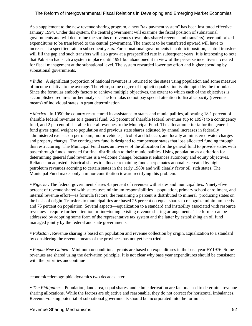As a supplement to the new revenue sharing program, a new "tax payment system" has been instituted effective January 1994. Under this system, the central government will examine the fiscal position of subnational governments and will determine the surplus of revenues (own plus shared revenue and transfers) over authorized expenditures to be transferred to the central government. The amount to be transferred upward will have to increase at a specified rate in subsequent years. For subnational governments in a deficit position, central transfers will fill the gap and such transfers will also grow at a prespecified rate in subsequent years. It is interesting to note that Pakistan had such a system in place until 1991 but abandoned it in view of the perverse incentives it created for fiscal management at the subnational level. The system rewarded lower tax effort and higher spending by subnational governments.

• *India* . A significant proportion of national revenues is returned to the states using population and some measure of income relative to the average. Therefore, some degree of implicit equalization is attempted by the formulas. Since the formulas embody factors to achieve multiple objectives, the extent to which each of the objectives is accomplished requires further analysis. The formulas do not pay special attention to fiscal capacity (revenue means) of individual states in grant determination.

• *Mexico* . In 1990 the country restructured its assistance to states and municipalities, allocating 18.1 percent of sharable federal revenues to a general fund, 6.5 percent of sharable federal revenues (up to 1997) to a contingency fund, and 2 percent of sharable federal revenues to the Municipal Fund. The allocation criteria for the general fund gives equal weight to population and previous state shares adjusted by annual increases in federally administered excises on petroleum, motor vehicles, alcohol and tobacco, and locally administered water charges and property charges. The contingency fund is designed to compensate states that lose allocated funding through this restructuring. The Municipal Fund uses an inverse of the allocation for the general fund to provide states with pass−through funds intended for final distribution to their municipalities. Using population as a criterion for determining general fund revenues is a welcome change, because it enhances autonomy and equity objectives. Reliance on adjusted historical shares to allocate remaining funds perpetuates anomalies created by high petroleum revenues accruing to certain states in the early 1980s and will clearly favor oil−rich states. The Municipal Fund makes only a minor contribution toward rectifying this problem.

• *Nigeria* . The federal government shares 45 percent of revenues with states and municipalities. Ninety−five percent of revenue shared with states uses minimum responsibilities—population, primary school enrollment, and internal revenue effort—as formula factors; the remaining 5 percent is distributed to mineral−producing states on the basis of origin. Transfers to municipalities are based 25 percent on equal shares to recognize minimum needs and 75 percent on population. Several aspects—equalization to a standard and instability associated with resource revenues—require further attention in fine−tuning existing revenue sharing arrangements. The former can be addressed by adopting some form of the representative tax system and the latter by establishing an oil fund managed jointly by the federal and state governments.

• *Pakistan* . Revenue sharing is based on population and revenue collection by origin. Equalization to a standard by considering the revenue means of the provinces has not yet been tried.

• *Papua New Guinea* . Minimum unconditional grants are based on expenditures in the base year FY1976. Some revenues are shared using the derivation principle. It is not clear why base year expenditures should be consistent with the priorities andcontinue

economic−demographic dynamics two decades later.

• *The Philippines* . Population, land area, equal shares, and ethnic derivation are factors used to determine revenue sharing allocations. While the factors are objective and reasonable, they do not correct for horizontal imbalances. Revenue−raising potential of subnational governments should be incorporated into the formulas.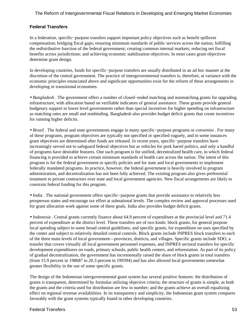# **Federal Transfers**

In a federation, specific−purpose transfers support important policy objectives such as benefit spillover compensation; bridging fiscal gaps; ensuring minimum standards of public services across the nation; fulfilling the redistributive function of the federal government; creating common internal markets; reducing net fiscal benefits across jurisdictions; and achieving economic stabilization objectives. In most cases grant objectives determine grant design.

In developing countries, funds for specific−purpose transfers are usually distributed in an ad hoc manner at the discretion of the central government. The practice of intergovernmental transfers is, therefore, at variance with the economic principles enunciated above and significant opportunities exist for the reform of these arrangements in developing or transitional economies.

• *Bangladesh* . The government offers a number of closed−ended matching and nonmatching grants for upgrading infrastructure, with allocation based on verifiable indicators of general assistance. These grants provide general budgetary support to lower level governments rather than special incentives for higher spending on infrastructure as matching rates are small and nonbinding. Bangladesh also provides budget deficit grants that create incentives for running higher deficits.

• *Brazil* . The federal and state governments engage in many specific−purpose programs or *convenios* . For many of these programs, program objectives are typically not specified or specified vaguely, and in some instances grant objectives are determined after funds are released. In recent years, specific−purpose transfers have increasingly served not to safeguard federal objectives but as vehicles for pork barrel politics, and only a handful of programs have desirable features. One such program is for unified, decentralized health care, in which federal financing is provided to achieve certain minimum standards of health care across the nation. The intent of this program is for the federal government to specify policies and for state and local governments to implement federally mandated programs. In practice, however, the federal government is heavily involved in program administration, and decentralization has not been fully achieved. The existing program also gives preferential treatment to private contractors over state and local government agencies. New fiscal arrangements are likely to constrain federal funding for this program.

• *India* . The national government offers specific−purpose grants that provide assistance to relatively less prosperous states and encourage tax effort at subnational levels. The complex review and approval processes used for grant allocation work against some of these goals. India also provides budget deficit grants.

• *Indonesia* . Central grants currently finance about 64.9 percent of expenditure at the provincial level and 71.4 percent of expenditure at the district level. These transfers are of two kinds: block grants, for general purpose local spending subject to some broad central guidelines; and specific grants, for expenditure on uses specified by the center and subject to relatively detailed central controls. Block grants include INPRES block transfers to each of the three main levels of local government—provinces, districts, and villages. Specific grants include SDO, a transfer that covers virtually all local government personnel expenses, and INPRES sectoral transfers for specific development expenditures on roads, primary schools, public health centers, and reforestation. As part of its policy of gradual decentralization, the government has incrementally raised the share of block grants in total transfers (from 15.9 percent in 198687 to 20.3 percent in 199394) and has also allowed local governments somewhat greater flexibility in the use of some specific grants.

The design of the Indonesian intergovernmental grant system has several positive features: the distribution of grants is transparent, determined by formulas utilizing objective criteria; the structure of grants is simple, as both the grants and the criteria used for distribution are few in number; and the grants achieve an overall equalizing effect on regional revenue availabilities. In its transparency and simplicity, the Indonesian grant system compares favorably with the grant systems typically found in other developing countries.

#### Federal Transfers 53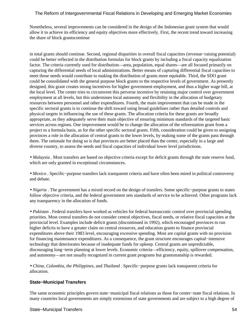Nonetheless, several improvements can be considered in the design of the Indonesian grant system that would allow it to achieve its efficiency and equity objectives more effectively. First, the recent trend toward increasing the share of block grantscontinue

in total grants should continue. Second, regional disparities in overall fiscal capacities (revenue−raising potential) could be better reflected in the distribution formulas for block grants by including a fiscal capacity equalization factor. The criteria currently used for distribution—area, population, equal shares—are all focused primarily on capturing the differential needs of local administrations. Better means of capturing differential fiscal capacities to meet those needs would contribute to making the distribution of grants more equitable. Third, the SDO grant could be consolidated with the general purpose block grants to the respective levels of government. As presently designed, this grant creates strong incentives for higher government employment, and thus a higher wage bill, at the local level. The center tries to circumvent this perverse incentive by retaining major control over government employment at all levels, but this undermines local autonomy and flexibility in the allocation of budgetary resources between personnel and other expenditures. Fourth, the main improvement that can be made in the specific sectoral grants is to continue the shift toward using broad guidelines rather than detailed controls and physical targets in influencing the use of these grants. The allocation criteria for these grants are broadly appropriate, as they adequately serve their main objective of ensuring minimum standards of the targeted basic services across regions. One improvement would be to change the allocation of the reforestation grant from a project to a formula basis, as for the other specific sectoral grants. Fifth, consideration could be given to assigning provinces a role in the allocation of central grants to the lower levels, by making some of the grants pass through them. The rationale for doing so is that provinces are better placed than the center, especially in a large and diverse country, to assess the needs and fiscal capacities of individual lower level jurisdictions.

• *Malaysia* . Most transfers are based on objective criteria except for deficit grants through the state reserve fund, which are only granted in exceptional circumstances.

• *Mexico* . Specific−purpose transfers lack transparent criteria and have often been mired in political controversy and debate.

• *Nigeria* . The government has a mixed record on the design of transfers. Some specific−purpose grants to states follow objective criteria, and the federal government sets standards of service to be achieved. Other programs lack any transparency in the allocation of funds.

• *Pakistan* . Federal transfers have worked as vehicles for federal bureaucratic control over provincial spending priorities. Most central transfers do not consider central objectives, fiscal needs, or relative fiscal capacities at the provincial level. Examples include deficit grants (discontinued in 1992), which encouraged provinces to run higher deficits to have a greater claim on central resources, and education grants to finance provincial expenditures above their 1983 level, encouraging excessive spending. Most are capital grants with no provision for financing maintenance expenditures. As a consequence, the grant structure encourages capital−intensive technology that deteriorates because of inadequate funds for upkeep. Central grants are unpredictable, discouraging long−term planning at lower levels. Economic criteria—efficiency, equity, spillover compensation, and autonomy—are not usually recognized in current grant programs but grantsmanship is rewarded.

• *China, Colombia, the Philippines,* and *Thailand* . Specific−purpose grants lack transparent criteria for allocation.

#### **State−Municipal Transfers**

The same economic principles govern state−municipal fiscal relations as those for center–state fiscal relations. In many countries local governments are simply extensions of state governments and are subject to a high degree of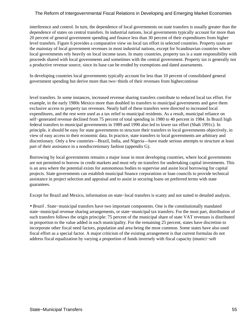interference and control. In turn, the dependence of local governments on state transfers is usually greater than the dependence of states on central transfers. In industrial nations, local governments typically account for more than 20 percent of general government spending and finance less than 30 percent of their expenditures from higher level transfers. Figure 6 provides a comparative view on local tax effort in selected countries. Property taxes are the mainstay of local government revenues in most industrial nations, except for Scandinavian countries where local governments rely heavily on local income taxes. In many countries, property tax is a state responsibility with proceeds shared with local governments and sometimes with the central government. Property tax is generally not a productive revenue source, since its base can be eroded by exemptions and dated assessments.

In developing countries local governments typically account for less than 10 percent of consolidated general government spending but derive more than two−thirds of their revenues from highercontinue

level transfers. In some instances, increased revenue sharing transfers contribute to reduced local tax effort. For example, in the early 1980s Mexico more than doubled its transfers to municipal governments and gave them exclusive access to property tax revenues. Nearly half of these transfers were directed to increased local expenditures, and the rest were used as a tax relief to municipal residents. As a result, municipal reliance on self−generated revenue declined from 75 percent of total spending in 1980 to 40 percent in 1984. In Brazil high federal transfers to municipal governments in 1989 and 1990 also led to lower tax effort (Shah 1991c). In principle, it should be easy for state governments to structure their transfers to local governments objectively, in view of easy access to their economic data. In practice, state transfers to local governments are arbitrary and discretionary. Only a few countries—Brazil, India, and Nigeria—have made serious attempts to structure at least part of their assistance in a nondiscretionary fashion (appendix G).

Borrowing by local governments remains a major issue in most developing countries, where local governments are not permitted to borrow in credit markets and must rely on transfers for undertaking capital investments. This is an area where the potential exists for autonomous bodies to supervise and assist local borrowing for capital projects. State governments can establish municipal finance corporations or loan councils to provide technical assistance in project selection and appraisal and to assist in securing loans on preferred terms with state guarantees.

Except for Brazil and Mexico, information on state−local transfers is scanty and not suited to detailed analysis.

• *Brazil* . State−municipal transfers have two important components. One is the constitutionally mandated state−municipal revenue sharing arrangements, or state−municipal tax transfers. For the most part, distribution of such transfers follows the origin principle: 75 percent of the municipal share of state VAT revenues is distributed in proportion to the value added in each municipality. For the remaining 25 percent, states have discretion to incorporate other fiscal need factors, population and area being the most common. Some states have also used fiscal effort as a special factor. A major criticism of the existing arrangement is that current formulas do not address fiscal equalization by varying a proportion of funds inversely with fiscal capacity (munici−soft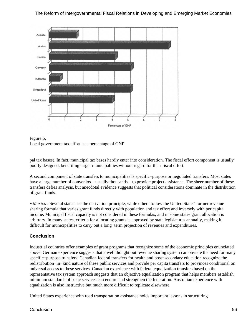

Figure 6. Local government tax effort as a percentage of GNP

pal tax bases). In fact, municipal tax bases hardly enter into consideration. The fiscal effort component is usually poorly designed, benefiting larger municipalities without regard for their fiscal effort.

A second component of state transfers to municipalities is specific−purpose or negotiated transfers. Most states have a large number of convenios—usually thousands—to provide project assistance. The sheer number of these transfers defies analysis, but anecdotal evidence suggests that political considerations dominate in the distribution of grant funds.

• *Mexico* . Several states use the derivation principle, while others follow the United States' former revenue sharing formula that varies grant funds directly with population and tax effort and inversely with per capita income. Municipal fiscal capacity is not considered in these formulas, and in some states grant allocation is arbitrary. In many states, criteria for allocating grants is approved by state legislatures annually, making it difficult for municipalities to carry out a long−term projection of revenues and expenditures.

# **Conclusion**

Industrial countries offer examples of grant programs that recognize some of the economic principles enunciated above. German experience suggests that a well thought out revenue sharing system can obviate the need for many specific−purpose transfers. Canadian federal transfers for health and post−secondary education recognize the redistribution−in−kind nature of these public services and provide per capita transfers to provinces conditional on universal access to these services. Canadian experience with federal equalization transfers based on the representative tax system approach suggests that an objective equalization program that helps members establish minimum standards of basic services can endure and strengthen the federation. Australian experience with equalization is also instructive but much more difficult to replicate elsewhere.

United States experience with road transportation assistance holds important lessons in structuring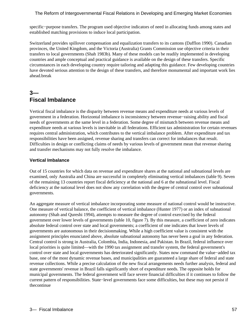specific−purpose transfers. The program used objective indicators of need in allocating funds among states and established matching provisions to induce local participation.

Switzerland provides spillover compensation and equalization transfers to its cantons (Dafflon 1990). Canadian provinces, the United Kingdom, and the Victoria (Australia) Grants Commission use objective criteria in their transfers to local governments (Shah 1983b). Many of these models can be readily implemented in developing countries and ample conceptual and practical guidance is available on the design of these transfers. Specific circumstances in each developing country require tailoring and adapting this guidance. Few developing countries have devoted serious attention to the design of these transfers, and therefore monumental and important work lies ahead.break

# **3— Fiscal Imbalance**

Vertical fiscal imbalance is the disparity between revenue means and expenditure needs at various levels of government in a federation. Horizontal imbalance is inconsistency between revenue−raising ability and fiscal needs of governments at the same level in a federation. Some degree of mismatch between revenue means and expenditure needs at various levels is inevitable in all federations. Efficient tax administration for certain revenues requires central administration, which contributes to the vertical imbalance problem. After expenditure and tax responsibilities have been assigned, revenue sharing and transfers can correct for imbalances that result. Difficulties in design or conflicting claims of needs by various levels of government mean that revenue sharing and transfer mechanisms may not fully resolve the imbalance.

## **Vertical Imbalance**

Out of 15 countries for which data on revenue and expenditure shares at the national and subnational levels are examined, only Australia and China are successful in completely eliminating vertical imbalances (table 9). Seven of the remaining 13 countries report fiscal deficiency at the national and 6 at the subnational level. Fiscal deficiency at the national level does not show any correlation with the degree of central control over subnational governments.

An aggregate measure of vertical imbalance incorporating some measure of national control would be instructive. One measure of vertical balance, the coefficient of vertical imbalance (Hunter 1977) or an index of subnational autonomy (Shah and Qureshi 1994), attempts to measure the degree of control exercised by the federal government over lower levels of governments (table 10, figure 7). By this measure, a coefficient of zero indicates absolute federal control over state and local governments; a coefficient of one indicates that lower levels of governments are autonomous in their decisionmaking. While a high coefficient value is consistent with the assignment principles enunciated above, absolute subnational autonomy has never been a goal in any federation. Central control is strong in Australia, Colombia, India, Indonesia, and Pakistan. In Brazil, federal influence over local priorities is quite limited—with the 1990 tax assignment and transfer system, the federal government's control over state and local governments has deteriorated significantly. States now command the value−added tax base, one of the most dynamic revenue bases, and municipalities are guaranteed a large share of federal and state revenue collections. While a precise calculation of the new fiscal arrangements needs further analysis, federal and state governments' revenue in Brazil falls significantly short of expenditure needs. The opposite holds for municipal governments. The federal government will face severe financial difficulties if it continues to follow the current pattern of responsibilities. State−level governments face some difficulties, but these may not persist if thecontinue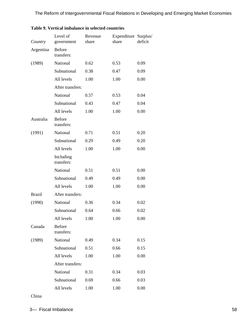| Country       | Level of<br>government      | Revenue<br>share | Expenditure Surplus/<br>share | deficit |
|---------------|-----------------------------|------------------|-------------------------------|---------|
| Argentina     | <b>Before</b><br>transfers: |                  |                               |         |
| (1989)        | National                    | 0.62             | 0.53                          | 0.09    |
|               | Subnational                 | 0.38             | 0.47                          | 0.09    |
|               | All levels                  | 1.00             | 1.00                          | 0.00    |
|               | After transfers:            |                  |                               |         |
|               | National                    | 0.57             | 0.53                          | 0.04    |
|               | Subnational                 | 0.43             | 0.47                          | 0.04    |
|               | All levels                  | 1.00             | 1.00                          | 0.00    |
| Australia     | <b>Before</b><br>transfers: |                  |                               |         |
| (1991)        | National                    | 0.71             | 0.51                          | 0.20    |
|               | Subnational                 | 0.29             | 0.49                          | 0.20    |
|               | All levels                  | 1.00             | 1.00                          | 0.00    |
|               | Including<br>transfers:     |                  |                               |         |
|               | National                    | 0.51             | 0.51                          | 0.00    |
|               | Subnational                 | 0.49             | 0.49                          | 0.00    |
|               | All levels                  | 1.00             | 1.00                          | 0.00    |
| <b>Brazil</b> | After transfers:            |                  |                               |         |
| (1990)        | National                    | 0.36             | 0.34                          | 0.02    |
|               | Subnational                 | 0.64             | 0.66                          | 0.02    |
|               | All levels                  | 1.00             | 1.00                          | 0.00    |
| Canada        | <b>Before</b><br>transfers: |                  |                               |         |
| (1989)        | National                    | 0.49             | 0.34                          | 0.15    |
|               | Subnational                 | 0.51             | 0.66                          | 0.15    |
|               | All levels                  | 1.00             | 1.00                          | 0.00    |
|               | After transfers:            |                  |                               |         |
|               | National                    | 0.31             | 0.34                          | 0.03    |
|               | Subnational                 | 0.69             | 0.66                          | 0.03    |
|               | All levels                  | 1.00             | 1.00                          | 0.00    |
|               |                             |                  |                               |         |

# **Table 9. Vertical imbalance in selected countries**

#### China

3— Fiscal Imbalance 58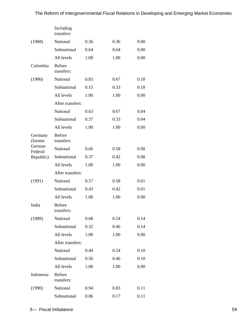|                    | Including<br>transfers:     |      |      |      |
|--------------------|-----------------------------|------|------|------|
| (1988)             | National                    | 0.36 | 0.36 | 0.00 |
|                    | Subnational                 | 0.64 | 0.64 | 0.00 |
|                    | All levels                  | 1.00 | 1.00 | 0.00 |
| Colombia           | <b>Before</b><br>transfers: |      |      |      |
| (1986)             | National                    | 0.85 | 0.67 | 0.18 |
|                    | Subnational                 | 0.15 | 0.33 | 0.18 |
|                    | All levels                  | 1.00 | 1.00 | 0.00 |
|                    | After transfers:            |      |      |      |
|                    | National                    | 0.63 | 0.67 | 0.04 |
|                    | Subnational                 | 0.37 | 0.33 | 0.04 |
|                    | All levels                  | 1.00 | 1.00 | 0.00 |
| Germany<br>(former | <b>Before</b><br>transfers: |      |      |      |
| German<br>Federal  | National                    | 0.66 | 0.58 | 0.08 |
| Republic)          | Subnational                 | 0.37 | 0.42 | 0.08 |
|                    | All levels                  | 1.00 | 1.00 | 0.00 |
|                    | After transfers:            |      |      |      |
| (1991)             | National                    | 0.57 | 0.58 | 0.01 |
|                    | Subnational                 | 0.43 | 0.42 | 0.01 |
|                    | All levels                  | 1.00 | 1.00 | 0.00 |
| India              | <b>Before</b><br>transfers: |      |      |      |
| (1989)             | National                    | 0.68 | 0.54 | 0.14 |
|                    | Subnational                 | 0.32 | 0.46 | 0.14 |
|                    | All levels                  | 1.00 | 1.00 | 0.00 |
|                    | After transfers:            |      |      |      |
|                    | National                    | 0.44 | 0.54 | 0.10 |
|                    | Subnational                 | 0.56 | 0.46 | 0.10 |
|                    | All levels                  | 1.00 | 1.00 | 0.00 |
| Indonesia          | <b>Before</b><br>transfers: |      |      |      |
| (1990)             | National                    | 0.94 | 0.83 | 0.11 |
|                    | Subnational                 | 0.06 | 0.17 | 0.11 |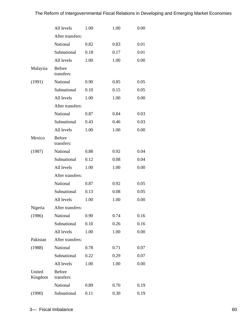|                   | All levels                  | 1.00 | 1.00 | 0.00 |
|-------------------|-----------------------------|------|------|------|
|                   | After transfers:            |      |      |      |
|                   | National                    | 0.82 | 0.83 | 0.01 |
|                   | Subnational                 | 0.18 | 0.17 | 0.01 |
|                   | All levels                  | 1.00 | 1.00 | 0.00 |
| Malaysia          | <b>Before</b><br>transfers: |      |      |      |
| (1991)            | National                    | 0.90 | 0.85 | 0.05 |
|                   | Subnational                 | 0.10 | 0.15 | 0.05 |
|                   | All levels                  | 1.00 | 1.00 | 0.00 |
|                   | After transfers:            |      |      |      |
|                   | National                    | 0.87 | 0.84 | 0.03 |
|                   | Subnational                 | 0.43 | 0.46 | 0.03 |
|                   | All levels                  | 1.00 | 1.00 | 0.00 |
| Mexico            | <b>Before</b><br>transfers: |      |      |      |
| (1987)            | National                    | 0.88 | 0.92 | 0.04 |
|                   | Subnational                 | 0.12 | 0.08 | 0.04 |
|                   | All levels                  | 1.00 | 1.00 | 0.00 |
|                   | After transfers:            |      |      |      |
|                   | National                    | 0.87 | 0.92 | 0.05 |
|                   | Subnational                 | 0.13 | 0.08 | 0.05 |
|                   | All levels                  | 1.00 | 1.00 | 0.00 |
| Nigeria           | After transfers:            |      |      |      |
| (1986)            | National                    | 0.90 | 0.74 | 0.16 |
|                   | Subnational                 | 0.10 | 0.26 | 0.16 |
|                   | All levels                  | 1.00 | 1.00 | 0.00 |
| Pakistan          | After transfers:            |      |      |      |
| (1988)            | National                    | 0.78 | 0.71 | 0.07 |
|                   | Subnational                 | 0.22 | 0.29 | 0.07 |
|                   | All levels                  | 1.00 | 1.00 | 0.00 |
| United<br>Kingdom | <b>Before</b><br>transfers: |      |      |      |
|                   | National                    | 0.89 | 0.70 | 0.19 |
| (1990)            | Subnational                 | 0.11 | 0.30 | 0.19 |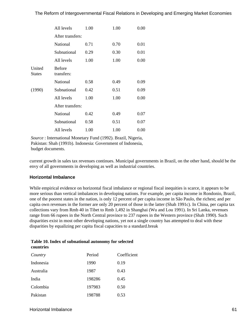|                         | All levels                  | 1.00 | 1.00 | 0.00 |
|-------------------------|-----------------------------|------|------|------|
|                         | After transfers:            |      |      |      |
|                         | <b>National</b>             | 0.71 | 0.70 | 0.01 |
|                         | Subnational                 | 0.29 | 0.30 | 0.01 |
|                         | All levels                  | 1.00 | 1.00 | 0.00 |
| United<br><b>States</b> | <b>Before</b><br>transfers: |      |      |      |
|                         | National                    | 0.58 | 0.49 | 0.09 |
| (1990)                  | Subnational                 | 0.42 | 0.51 | 0.09 |
|                         | All levels                  | 1.00 | 1.00 | 0.00 |
|                         | After transfers:            |      |      |      |
|                         | <b>National</b>             | 0.42 | 0.49 | 0.07 |
|                         | Subnational                 | 0.58 | 0.51 | 0.07 |
|                         | All levels                  | 1.00 | 1.00 | 0.00 |

*Source* : International Monetary Fund (1992). Brazil, Nigeria, Pakistan: Shah (1991b). Indonesia: Government of Indonesia, budget documents.

current growth in sales tax revenues continues. Municipal governments in Brazil, on the other hand, should be the envy of all governments in developing as well as industrial countries.

#### **Horizontal Imbalance**

While empirical evidence on horizontal fiscal imbalance or regional fiscal inequities is scarce, it appears to be more serious than vertical imbalances in developing nations. For example, per capita income in Rondonio, Brazil, one of the poorest states in the nation, is only 12 percent of per capita income in São Paulo, the richest; and per capita own revenues in the former are only 20 percent of those in the latter (Shah 1991c). In China, per capita tax collections vary from Rmb 40 in Tibet to Rmb 1,492 in Shanghai (Wu and Lou 1991). In Sri Lanka, revenues range from 66 rupees in the North Central province to 237 rupees in the Western province (Shah 1990). Such disparities exist in most other developing nations, yet not a single country has attempted to deal with these disparities by equalizing per capita fiscal capacities to a standard.break

#### **Table 10. Index of subnational autonomy for selected countries**

| Country   | Period | Coefficient |
|-----------|--------|-------------|
| Indonesia | 1990   | 0.19        |
| Australia | 1987   | 0.43        |
| India     | 198286 | 0.45        |
| Colombia  | 197983 | 0.50        |
| Pakistan  | 198788 | 0.53        |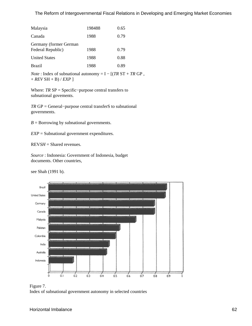| Malaysia                                     | 198488 | 0.65 |
|----------------------------------------------|--------|------|
| Canada                                       | 1988   | 0.79 |
| Germany (former German)<br>Federal Republic) | 1988   | 0.79 |
| <b>United States</b>                         | 1988   | 0.88 |
| <b>Brazil</b>                                | 1988   | 0.89 |

*Note* : Index of subnational autonomy =  $I - [(TR ST + TR GP,$ + *REV* SH + B) / *EXP* ]

Where: *TR* SP = Specific−purpose central transfers to subnational govements.

*TR* GP = General−purpose central transferS to subnational governments.

 $B =$  Borrowing by subnational governments.

*EXP* = Subnational government expenditures.

REV*SH* = Shared revenues.

*Source* : Indonesia: Government of Indonesia, budget documents. Other countries,

see Shah (1991 b).





Index of subnational government autonomy in selected countries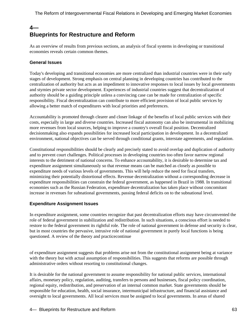# **4— Blueprints for Restructure and Reform**

As an overview of results from previous sections, an analysis of fiscal systems in developing or transitional economies reveals certain common themes.

# **General Issues**

Today's developing and transitional economies are more centralized than industrial countries were in their early stages of development. Strong emphasis on central planning in developing countries has contributed to the centralization of authority but acts as an impediment to innovative responses to local issues by local governments and stymies private sector development. Experiences of industrial countries suggest that decentralization of authority should be a guiding principle unless a convincing case can be made for centralization of specific responsibility. Fiscal decentralization can contribute to more efficient provision of local public services by allowing a better match of expenditures with local priorities and preferences.

Accountability is promoted through clearer and closer linkage of the benefits of local public services with their costs, especially in large and diverse countries. Increased fiscal autonomy can also be instrumental in mobilizing more revenues from local sources, helping to improve a country's overall fiscal position. Decentralized decisionmaking also expands possibilities for increased local participation in development. In a decentralized environment, national objectives can be served through conditional grants, interstate agreements, and regulation.

Constitutional responsibilities should be clearly and precisely stated to avoid overlap and duplication of authority and to prevent court challenges. Political processes in developing countries too often favor narrow regional interests to the detriment of national concerns. To enhance accountability, it is desirable to determine tax and expenditure assignment simultaneously so that revenue means can be matched as closely as possible to expenditure needs of various levels of governments. This will help reduce the need for fiscal transfers, minimizing their potentially distortional effects. Revenue decentralization without a corresponding decrease in expenditure responsibilities can constrain the federal government, as happened in Brazil in 1988. In transitional economies such as the Russian Federation, expenditure decentralization has taken place without concomitant increase in revenues for subnational governments, passing federal deficits on to the subnational level.

# **Expenditure Assignment Issues**

In expenditure assignment, some countries recognize that past decentralization efforts may have circumvented the role of federal government in stabilization and redistribution. In such situations, a conscious effort is needed to restore to the federal government its rightful role. The role of national government in defense and security is clear, but in most countries the pervasive, intrusive role of national government in purely local functions is being questioned. A review of the theory and practicecontinue

of expenditure assignment suggests that problems arise not from the constitutional assignment being at variance with the theory but with actual assumption of responsibilities. This suggests that reforms are possible through administrative orders without resorting to constitutional changes.

It is desirable for the national government to assume responsibility for national public services, international affairs, monetary policy, regulation, auditing, transfers to persons and businesses, fiscal policy coordination, regional equity, redistribution, and preservation of an internal common market. State governments should be responsible for education, health, social insurance, intermunicipal infrastructure, and financial assistance and oversight to local governments. All local services must be assigned to local governments. In areas of shared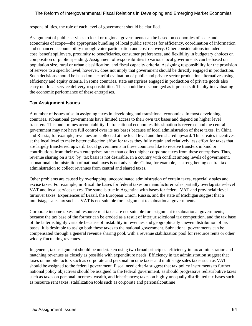responsibilities, the role of each level of government should be clarified.

Assignment of public services to local or regional governments can be based on economies of scale and economies of scope—the appropriate bundling of local public services for efficiency, coordination of information, and enhanced accountability through voter participation and cost recovery. Other considerations included cost−benefit spillovers, proximity to beneficiaries, consumer preferences, and flexibility in budgetary choices on composition of public spending. Assignment of responsibilities to various local governments can be based on population size, rural or urban classification, and fiscal capacity criteria. Assigning responsibility for the provision of service to a specific level, however, does not imply that government should be directly engaged in production. Such decisions should be based on a careful evaluation of public and private sector production alternatives using efficiency and equity criteria. In some countries, state enterprises engaged in production of private goods also carry out local service delivery responsibilities. This should be discouraged as it presents difficulty in evaluating the economic performance of these enterprises.

## **Tax Assignment Issues**

A number of issues arise in assigning taxes in developing and transitional economies. In most developing countries, subnational governments have limited access to their own tax bases and depend on higher level transfers. This undermines accountability. In transitional economies this situation is reversed and the central government may not have full control over its tax bases because of local administration of these taxes. In China and Russia, for example, revenues are collected at the local level and then shared upward. This creates incentives at the local level to make better collection effort for taxes they fully retain and relatively less effort for taxes that are largely transferred upward. Local governments in these countries like to receive transfers in kind or contributions from their own enterprises rather than collect higher corporate taxes from these enterprises. Thus, revenue sharing on a tax−by−tax basis is not desirable. In a country with conflict among levels of government, subnational administration of national taxes is not advisable. China, for example, is strengthening central tax administration to collect revenues from central and shared taxes.

Other problems are caused by overlapping, uncoordinated administration of certain taxes, especially sales and excise taxes. For example, in Brazil the bases for federal taxes on manufacturer sales partially overlap state−level VAT and local services taxes. The same is true in Argentina with bases for federal VAT and provincial−level turnover taxes. Experiences of Brazil, the European Union, Russia, and the state of Michigan suggest that a multistage sales tax such as VAT is not suitable for assignment to subnational governments.

Corporate income taxes and resource rent taxes are not suitable for assignment to subnational governments, because the tax base of the former can be eroded as a result of interjurisdictional tax competition, and the tax base of the latter is highly variable because of instability in revenues and geographically uneven distribution of tax bases. It is desirable to assign both these taxes to the national government. Subnational governments can be compensated through a general revenue sharing pool, with a revenue stabilization pool for resource rents or other widely fluctuating revenues.

In general, tax assignment should be undertaken using two broad principles: efficiency in tax administration and matching revenues as closely as possible with expenditure needs. Efficiency in tax administration suggest that taxes on mobile factors such as corporate and personal income taxes and multistage sales taxes such as VAT should be assigned to the federal government. Fiscal need criteria suggest that tax policy instruments to further national policy objectives should be assigned to the federal government, as should progressive redistributive taxes such as taxes on personal incomes, wealth, and inheritances; taxes on highly unequally distributed tax bases such as resource rent taxes; stabilization tools such as corporate and personalcontinue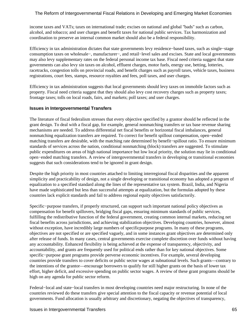income taxes and VATs; taxes on international trade; excises on national and global ''bads" such as carbon, alcohol, and tobacco; and user charges and benefit taxes for national public services. Tax harmonization and coordination to preserve an internal common market should also be a federal responsibility.

Efficiency in tax administration dictates that state governments levy residence−based taxes, such as single−stage consumption taxes on wholesale−, manufacturer−, and retail−level sales and excises. State and local governments may also levy supplementary rates on the federal personal income tax base. Fiscal need criteria suggest that state governments can also levy sin taxes on alcohol, effluent charges, motor fuels, energy use, betting, lotteries, racetracks, congestion tolls on provincial roads, and benefit charges such as payroll taxes, vehicle taxes, business registrations, court fees, stamps, resource royalties and fees, poll taxes, and user charges.

Efficiency in tax administration suggests that local governments should levy taxes on immobile factors such as property. Fiscal need criteria suggest that they should also levy cost recovery charges such as property taxes; frontage taxes; tolls on local roads, fairs, and markets; poll taxes; and user charges.

#### **Issues in Intergovernmental Transfers**

The literature of fiscal federalism stresses that every objective specified by a grantor should be reflected in the grant design. To deal with a fiscal gap, for example, general nonmatching transfers or tax base revenue sharing mechanisms are needed. To address differential net fiscal benefits or horizontal fiscal imbalances, general nonmatching equalization transfers are required. To correct for benefit spillout compensation, open−ended matching transfers are desirable, with the matching rate determined by benefit−spillout ratio. To ensure minimum standards of services across the nation, conditional nonmatching (block) transfers are suggested. To stimulate public expenditures on areas of high national importance but low local priority, the solution may lie in conditional open−ended matching transfers. A review of intergovernmental transfers in developing or transitional economies suggests that such considerations tend to be ignored in grant design.

Despite the high priority in most countries attached to limiting interregional fiscal disparities and the apparent simplicity and practicability of design, not a single developing or transitional economy has adopted a program of equalization to a specified standard along the lines of the representative tax system. Brazil, India, and Nigeria have made sophisticated but less than successful attempts at equalization, but the formulas adopted by these countries lack explicit standards and fail to address regional equity objectives satisfactorily.

Specific−purpose transfers, if properly structured, can support such important national policy objectives as compensation for benefit spillovers, bridging fiscal gaps, ensuring minimum standards of public services, fulfilling the redistributive function of the federal government, creating common internal markets, reducing net fiscal benefits across jurisdictions, and achieving stabilization objectives. Developing countries, however, almost without exception, have incredibly large numbers of specificpurpose programs. In many of these programs, objectives are not specified or are specified vaguely, and in some instances grant objectives are determined only after release of funds. In many cases, central governments exercise complete discretion over funds without having any accountability. Enhanced flexibility is being achieved at the expense of transparency, objectivity, and accountability, and grants are frequently used for political ends rather than for key national objectives. Some specific−purpose grant programs provide perverse economic incentives. For example, several developing countries provide transfers to cover deficits or public sector wages at subnational levels. Such grants—contrary to the intentions of the grantor—encourage borrowers to qualify for still higher grants on the basis of lower tax effort, higher deficit, and excessive spending on public sector wages. A review of these grant programs should be high on any agenda for public sector reform.

Federal−local and state−local transfers in most developing countries need major restructuring. In none of the countries reviewed do these transfers give special attention to the fiscal capacity or revenue potential of local governments. Fund allocation is usually arbitrary and discretionary, negating the objectives of transparency,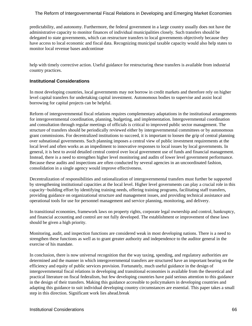predictability, and autonomy. Furthermore, the federal government in a large country usually does not have the administrative capacity to monitor finances of individual municipalities closely. Such transfers should be delegated to state governments, which can restructure transfers to local governments objectively because they have access to local economic and fiscal data. Recognizing municipal taxable capacity would also help states to monitor local revenue bases andcontinue

help with timely corrective action. Useful guidance for restructuring these transfers is available from industrial country practices.

#### **Institutional Considerations**

In most developing countries, local governments may not borrow in credit markets and therefore rely on higher level capital transfers for undertaking capital investment. Autonomous bodies to supervise and assist local borrowing for capital projects can be helpful.

Reform of intergovernmental fiscal relations requires complementary adaptations in the institutional arrangements for intergovernmental coordination, planning, budgeting, and implementation. Intergovernmental coordination and consultation through regular meetings of officials is critical to improved public sector management. The structure of transfers should be periodically reviewed either by intergovernmental committees or by autonomous grant commissions. For decentralized institutions to succeed, it is important to loosen the grip of central planning over subnational governments. Such planning imposes a central view of public investment requirements at the local level and often works as an impediment to innovative responses to local issues by local governments. In general, it is best to avoid detailed central control over local government use of funds and financial management. Instead, there is a need to strengthen higher level monitoring and audits of lower level government performance. Because these audits and inspections are often conducted by several agencies in an uncoordinated fashion, consolidation in a single agency would improve effectiveness.

Decentralization of responsibilities and rationalization of intergovernmental transfers must further be supported by strengthening institutional capacities at the local level. Higher level governments can play a crucial role in this capacity−building effort by identifying training needs, offering training programs, facilitating staff transfers, providing guidance on organizational structure and management issues, and providing technical assistance and operational tools for use for personnel management and service planning, monitoring, and delivery.

In transitional economies, framework laws on property rights, corporate legal ownership and control, bankruptcy, and financial accounting and control are not fully developed. The establishment or improvement of these laws should be given a high priority.

Monitoring, audit, and inspection functions are considered weak in most developing nations. There is a need to strengthen these functions as well as to grant greater authority and independence to the auditor general in the exercise of his mandate.

In conclusion, there is now universal recognition that the way taxing, spending, and regulatory authorities are determined and the manner in which intergovernmental transfers are structured have an important bearing on the efficiency and equity of public services provision. Fortunately, much useful guidance in the design of intergovernmental fiscal relations in developing and transitional economies is available from the theoretical and practical literature on fiscal federalism, but few developing countries have paid serious attention to this guidance in the design of their transfers. Making this guidance accessible to policymakers in developing countries and adapting this guidance to suit individual developing country circumstances are essential. This paper takes a small step in this direction. Significant work lies ahead.break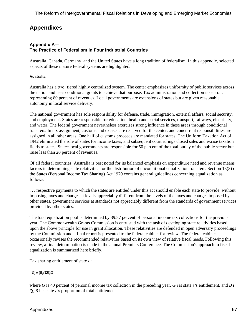# **Appendixes**

#### **Appendix A— The Practice of Federalism in Four Industrial Countries**

Australia, Canada, Germany, and the United States have a long tradition of federalism. In this appendix, selected aspects of these mature federal systems are highlighted.

#### **Australia**

Australia has a two−tiered highly centralized system. The center emphasizes uniformity of public services across the nation and uses conditional grants to achieve that purpose. Tax administration and collection is central, representing 80 percent of revenues. Local governments are extensions of states but are given reasonable autonomy in local service delivery.

The national government has sole responsibility for defense, trade, immigration, external affairs, social security, and employment. States are responsible for education, health and social services, transport, railways, electricity, and water. The federal government nevertheless exercises strong influence in these areas through conditional transfers. In tax assignment, customs and excises are reserved for the center, and concurrent responsibilities are assigned in all other areas. One half of customs proceeds are mandated for states. The Uniform Taxation Act of 1942 eliminated the role of states for income taxes, and subsequent court rulings closed sales and excise taxation fields to states. State−local governments are responsible for 50 percent of the total outlay of the public sector but raise less than 20 percent of revenues.

Of all federal countries, Australia is best noted for its balanced emphasis on expenditure need and revenue means factors in determining state relativities for the distribution of unconditional equalization transfers. Section 13(3) of the States (Personal Income Tax Sharing) Act 1970 contains general guidelines concerning equalization as follows:

. . . respective payments to which the states are entitled under this act should enable each state to provide, without imposing taxes and charges at levels appreciably different from the levels of the taxes and charges imposed by other states, government services at standards not appreciably different from the standards of government services provided by other states.

The total equalization pool is determined by 39.87 percent of personal income tax collections for the previous year. The Commonwealth Grants Commission is entrusted with the task of developing state relativities based upon the above principle for use in grant allocation. These relativities are defended in open adversary proceedings by the Commission and a final report is presented to the federal cabinet for review. The federal cabinet occasionally revises the recommended relativities based on its own view of relative fiscal needs. Following this review, a final determination is made in the annual Premiers Conference. The Commission's approach to fiscal equalization is summarized here briefly.

Tax sharing entitlement of state *i* :

$$
G_i = (B_i / \Sigma B_i) G
$$

where *G* is 40 percent of personal income tax collection in the preceding year, *G* i is state *i* 's entitlement, and *B* i  $\sqrt{\sum B} i$  is state *i* 's proportion of total entitlement.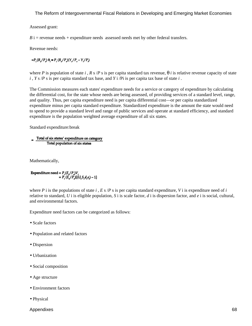Assessed grant:

 $B_i$  i = revenue needs + expenditure needs assessed needs met by other federal transfers.

Revenue needs:

 $= P_i(R_s/P_s) \theta_i = P_i(R_s/P_s)(Y_s/P_s - Y_i/P_s)$ 

where *P* is population of state *i* , *R* s /*P* s is per capita standard tax revenue, θ *i* is relative revenue capacity of state *i* , *Y* s /*P* s is per capita standard tax base, and *Y* i /Pi is per capita tax base of state *i* .

The Commission measures each states' expenditure needs for a service or category of expenditure by calculating the differential cost, for the state whose needs are being assessed, of providing services of a standard level, range, and quality. Thus, per capita expenditure need is per capita differential cost—or per capita standardized expenditure minus per capita standard expenditure. Standardized expenditure is the amount the state would need to spend to provide a standard level and range of public services and operate at standard efficiency, and standard expenditure is the population weighted average expenditure of all six states.

Standard expenditure:break

Total of six states' expenditure on category Total population of six states

Mathematically,

Expenditure need =  $P_i(E_r/P_s)V_i$  $= P_{i}(E_{i}/P_{i})[(U_{i}S_{i},d,e_{i})-1]$ 

where *P* i is the populations of state *i* , *E* s /*P* s is per capita standard expenditure, *V* i is expenditure need of *i* relative to standard, *U* i is eligible population, *S* i is scale factor, *d* i is dispersion factor, and *e* i is social, cultural, and environmental factors.

Expenditure need factors can be categorized as follows:

- Scale factors
- Population and related factors
- Dispersion
- Urbanization
- Social composition
- Age structure
- Environment factors
- Physical

#### Appendixes 68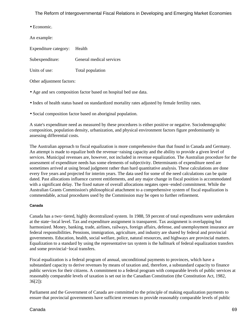• Economic.

An example:

| Expenditure category: | Health                   |
|-----------------------|--------------------------|
| Subexpenditure:       | General medical services |
| Units of use:         | Total population         |

Other adjustment factors:

- Age and sex composition factor based on hospital bed use data.
- Index of health status based on standardized mortality rates adjusted by female fertility rates.
- Social composition factor based on aboriginal population.

A state's expenditure need as measured by these procedures is either positive or negative. Sociodemographic composition, population density, urbanization, and physical environment factors figure predominantly in assessing differential costs.

The Australian approach to fiscal equalization is more comprehensive than that found in Canada and Germany. An attempt is made to equalize both the revenue−raising capacity and the ability to provide a given level of services. Municipal revenues are, however, not included in revenue equalization. The Australian procedure for the assessment of expenditure needs has some elements of subjectivity. Determinants of expenditure need are sometimes arrived at using broad judgment rather than hard quantitative analysis. These calculations are done every five years and projected for interim years. The data used for some of the need calculations can be quite dated. Past allocations influence current entitlements, and any major change in fiscal position is accommodated with a significant delay. The fixed nature of overall allocations negates open−ended commitment. While the Australian Grants Commission's philosophical attachment to a comprehensive system of fiscal equalization is commendable, actual procedures used by the Commission may be open to further refinement.

#### **Canada**

Canada has a two−tiered, highly decentralized system. In 1988, 59 percent of total expenditures were undertaken at the state−local level. Tax and expenditure assignment is transparent. Tax assignment is overlapping but harmonized. Money, banking, trade, airlines, railways, foreign affairs, defense, and unemployment insurance are federal responsibilities. Pensions, immigration, agriculture, and industry are shared by federal and provincial governments. Education, health, social welfare, police, natural resources, and highways are provincial matters. Equalization to a standard by using the representative tax system is the hallmark of federal equalization transfers and some provincial−local transfers.

Fiscal equalization is a federal program of annual, unconditional payments to provinces, which have a substandard capacity to derive revenues by means of taxation and, therefore, a substandard capacity to finance public services for their citizens. A commitment to a federal program with comparable levels of public services at reasonably comparable levels of taxation is set out in the Canadian Constitution (the Constitution Act, 1982, 36[2]):

Parliament and the Government of Canada are committed to the principle of making equalization payments to ensure that provincial governments have sufficient revenues to provide reasonably comparable levels of public

#### Canada 69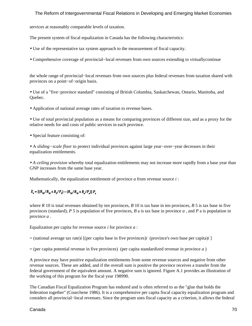services at reasonably comparable levels of taxation.

The present system of fiscal equalization in Canada has the following characteristics:

- Use of the representative tax system approach to the measurement of fiscal capacity.
- Comprehensive coverage of provincial−local revenues from own sources extending to virtuallycontinue

the whole range of provincial−local revenues from own sources plus federal revenues from taxation shared with provinces on a point−of−origin basis.

• Use of a "five−province standard" consisting of British Columbia, Saskatchewan, Ontario, Manitoba, and Quebec.

• Application of national average rates of taxation to revenue bases.

• Use of total provincial population as a means for comparing provinces of different size, and as a proxy for the relative needs for and costs of public services in each province.

• Special feature consisting of:

• A *sliding−scale floor* to protect individual provinces against large year−over−year decreases in their equalization entitlements.

• *A ceiling provision* whereby total equalization entitlements may not increase more rapidly from a base year than GNP increases from the same base year.

Mathematically, the equalization entitlement of province *a* from revenue source *i* :

# $E_a = [(R_{10}/B_{10} \times B_s/P_s) - (R_{10}/B_{10} \times B_s/P_s)] P_a$

where *R* 10 is total revenues obtained by ten provinces, *B* 10 is tax base in ten provinces, *B* 5 is tax base in five provinces (standard), *P* 5 is population of five provinces, *B* a is tax base in province *a* , and *P* a is population in province *a* .

Equalization per capita for revenue source *i* for province *a* :

= (national average tax rate)*i* [(per capita base in five provinces)*i* (province's own base per capita)*i* ]

 $=$  (per capita potential revenue in five provinces) (per capita standardized revenue in province *a*)

A province may have positive equalization entitlements from some revenue sources and negative from other revenue sources. These are added, and if the overall sum is positive the province receives a transfer from the federal government of the equivalent amount. A negative sum is ignored. Figure A.1 provides an illustration of the working of this program for the fiscal year 198990.

The Canadian Fiscal Equalization Program has endured and is often referred to as the "glue that holds the federation together" (Courchene 1986). It is a comprehensive per capita fiscal capacity equalization program and considers all provincial−local revenues. Since the program uses fiscal capacity as a criterion, it allows the federal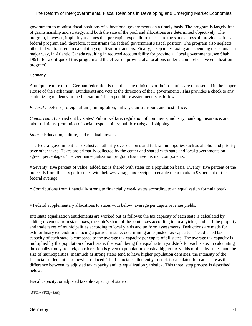government to monitor fiscal positions of subnational governments on a timely basis. The program is largely free of grantsmanship and strategy, and both the size of the pool and allocations are determined objectively. The program, however, implicitly assumes that per capita expenditure needs are the same across all provinces. It is a federal program and, therefore, it constrains the federal government's fiscal position. The program also neglects other federal transfers in calculating equalization transfers. Finally, it separates taxing and spending decisions in a major way, in Atlantic Canada resulting in reduced accountability for provincial−local governments (see Shah 1991a for a critique of this program and the effect on provincial allocations under a comprehensive equalization program).

#### **Germany**

A unique feature of the German federation is that the state ministers or their deputies are represented in the Upper House of the Parliament (Bundesrat) and vote at the direction of their governments. This provides a check to any centralizing tendency in the federation. The expenditure assignment is as follows:

*Federal* : Defense, foreign affairs, immigration, railways, air transport, and post office.

*Concurrent* : (Carried out by states) Public welfare; regulation of commerce, industry, banking, insurance, and labor relations; promotion of social responsibility; public roads; and shipping.

*States* : Education, culture, and residual powers.

The federal government has exclusive authority over customs and federal monopolies such as alcohol and priority over other taxes. Taxes are primarily collected by the center and shared with state and local governments on agreed percentages. The German equalization program has three distinct components:

• Seventy−five percent of value−added tax is shared with states on a population basis. Twenty−five percent of the proceeds from this tax go to states with below−average tax receipts to enable them to attain 95 percent of the federal average.

- Contributions from financially strong to financially weak states according to an equalization formula.break
- Federal supplementary allocations to states with below−average per capita revenue yields.

Interstate equalization entitlements are worked out as follows: the tax capacity of each state is calculated by adding revenues from state taxes, the state's share of the joint taxes according to local yields, and half the property and trade taxes of municipalities according to local yields and uniform assessments. Deductions are made for extraordinary expenditures facing a particular state, determining an adjusted tax capacity. The adjusted tax capacity of each state is compared to the average tax capacity per capita of all states. The average tax capacity is multiplied by the population of each state, the result being the equalization yardstick for each state. In calculating the equalization yardstick, consideration is given to population density, higher tax yields of the city states, and the size of municipalities. Inasmuch as strong states tend to have higher population densities, the intensity of the financial settlement is somewhat reduced. The financial settlement yardstick is calculated for each state as the difference between its adjusted tax capacity and its equalization yardstick. This three−step process is described below:

Fiscal capacity, or adjusted taxable capacity of state *i* :

 $ATC_i = (TC_i - (SB_i))$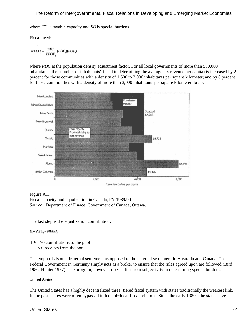where *TC* is taxable capacity and *SB* is special burdens.

Fiscal need:

$$
NEED_i = \frac{\Sigma TC_i}{\Sigma POP_i} \ (PDC_i)(POP_i)
$$

where *PDC* is the population density adjustment factor. For all local governments of more than 500,000 inhabitants, the "number of inhabitants" (used in determining the average tax revenue per capita) is increased by 2 percent for those communities with a density of 1,500 to 2,000 inhabitants per square kilometer; and by 6 percent for those communities with a density of more than 3,000 inhabitants per square kilometer. break



Figure A.1.

Fiscal capacity and equalization in Canada, FY 1989/90 *Source* : Department of Finace, Government of Canada, Ottawa.

The last step is the equalization contribution:

### $E_i = ATC_i - NEED_i$

if  $E$  i  $>0$  contributions to the pool  $i < 0$  receipts from the pool.

The emphasis is on a fraternal settlement as opposed to the paternal settlement in Australia and Canada. The Federal Government in Germany simply acts as a broker to ensure that the rules agreed upon are followed (Bird 1986; Hunter 1977). The program, however, does suffer from subjectivity in determining special burdens.

#### **United States**

The United States has a highly decentralized three−tiered fiscal system with states traditionally the weakest link. In the past, states were often bypassed in federal−local fiscal relations. Since the early 1980s, the states have

#### United States 72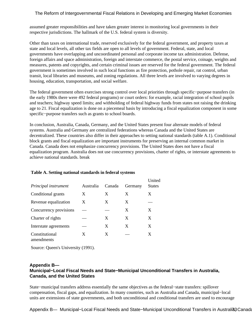assumed greater responsibilities and have taken greater interest in monitoring local governments in their respective jurisdictions. The hallmark of the U.S. federal system is diversity.

Other than taxes on international trade, reserved exclusively for the federal government, and property taxes at state and local levels, all other tax fields are open to all levels of government. Federal, state, and local governments have overlapping and uncoordinated personal and corporate income tax administration. Defense, foreign affairs and space administration, foreign and interstate commerce, the postal service, coinage, weights and measures, patents and copyrights, and certain criminal issues are reserved for the federal government. The federal government is sometimes involved in such local functions as fire protection, pothole repair, rat control, urban transit, local libraries and museums, and zoning regulations. All three levels are involved to varying degrees in housing, education, transportation, and social welfare.

The federal government often exercises strong control over local priorities through specific−purpose transfers (in the early 1980s there were 492 federal programs) or court orders: for example, racial integration of school pupils and teachers; highway speed limits; and withholding of federal highway funds from states not raising the drinking age to 21. Fiscal equalization is done on a piecemeal basis by introducing a fiscal equalization component in some specific−purpose transfers such as grants to school boards.

In conclusion, Australia, Canada, Germany, and the United States present four alternate models of federal systems. Australia and Germany are centralized federations whereas Canada and the United States are decentralized. These countries also differ in their approaches to setting national standards (table A.1). Conditional block grants and fiscal equalization are important instruments for preserving an internal common market in Canada. Canada does not emphasize concurrency provisions. The United States does not have a fiscal equalization program. Australia does not use concurrency provisions, charter of rights, or interstate agreements to achieve national standards. break

| Principal instrument         | Australia | Canada | Germany | United<br><b>States</b> |
|------------------------------|-----------|--------|---------|-------------------------|
| Conditional grants           | X         | X      | X       | X                       |
| Revenue equalization         | X         | X      | X       |                         |
| Concurrency provisions       |           |        | X       | X                       |
| Charter of rights            |           | X      | X       | X                       |
| Interstate agreements        |           | X      | X       | X                       |
| Constitutional<br>amendments | X         | X      |         | X                       |

#### **Table A. Setting national standards in federal systems**

Source: Queen's University (1991).

### **Appendix B—**

# **Municipal−Local Fiscal Needs and State−Municipal Unconditional Transfers in Australia, Canada, and the United States**

State−municipal transfers address essentially the same objectives as the federal−state transfers: spillover compensation, fiscal gaps, and equalization. In many countries, such as Australia and Canada, municipal−local units are extensions of state governments, and both unconditional and conditional transfers are used to encourage

Appendix B— Municipal-Local Fiscal Needs and State-Municipal Unconditional Transfers in Australia3Canada,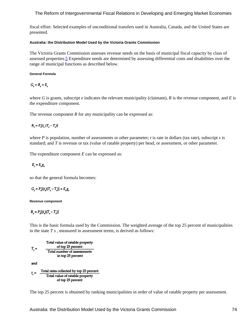fiscal effort. Selected examples of unconditional transfers used in Australia, Canada, and the United States are presented.

#### **Australia: the Distribution Model Used by the Victoria Grants Commission**

The Victoria Grants Commission assesses revenue needs on the basis of municipal fiscal capacity by class of assessed properties.5 Expenditure needs are determined by assessing differential costs and disabilities over the range of municipal functions as described below.

#### **General Formula**

 $G_r = R_r + E_r$ 

where *G* is grants, subscript *e* indicates the relevant municipality (claimant), *R* is the revenue component, and *E* is the expenditure component.

The revenue component *R* for any municipality can be expressed as:

 $R_{\epsilon} = P_{\epsilon}[t_{\epsilon}(T_{\epsilon}-T_{\epsilon})]$ 

where *P* is population, number of assessments or other parameter; *t* is rate in dollars (tax rate), subscript *s* is standard; and *T* is revenue or tax (value of ratable property) per head, or assessment, or other parameter.

The expenditure component *E* can be expressed as:

$$
E_{\epsilon} = E_{\epsilon} g_{\epsilon}
$$

so that the general formula becomes:

 $G_r = P_x[(t_x)(T_x - T_x)] + E_x g_x$ 

**Revenue component**

 $R_{t} = P_{t}[(t_{t})(T_{t} - T_{t})]$ 

This is the basic formula used by the Commission. The weighted average of the top 25 percent of municipalities in the state *T* s , measured in assessment terms, is derived as follows:

The top 25 percent is obtained by ranking municipalities in order of value of ratable property per assessment.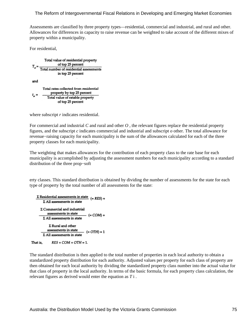Assessments are classified by three property types—residential, commercial and industrial, and rural and other. Allowances for differences in capacity to raise revenue can be weighted to take account of the different mixes of property within a municipality.

For residential,

where subscript *r* indicates residential.

For commercial and industrial *C* and rural and other *O* , the relevant figures replace the residential property figures, and the subscript *c* indicates commercial and industrial and subscript *o* other. The total allowance for revenue−raising capacity for each municipality is the sum of the allowances calculated for each of the three property classes for each municipality.

The weighting that makes allowances for the contribution of each property class to the rate base for each municipality is accomplished by adjusting the assessment numbers for each municipality according to a standard distribution of the three prop−soft

erty classes. This standard distribution is obtained by dividing the number of assessments for the state for each type of property by the total number of all assessments for the state:

 $\Sigma$  Residential assessments in state  $(= RES) +$  $\Sigma$  All assessments in state  $\Sigma$  Commercial and industrial assessments in state  $- (= COM) +$  $\Sigma$  All assessments in state  $\Sigma$  Rural and other assessments in state  $- (= OTH) = 1$  $\Sigma$  All assessments in state

That is,  $RES + COM + OTH = 1.$ 

The standard distribution is then applied to the total number of properties in each local authority to obtain a standardized property distribution for each authority. Adjusted values per property for each class of property are then obtained for each local authority by dividing the standardized property class number into the actual value for that class of property in the local authority. In terms of the basic formula, for each property class calculation, the relevant figures as derived would enter the equation as *T* i .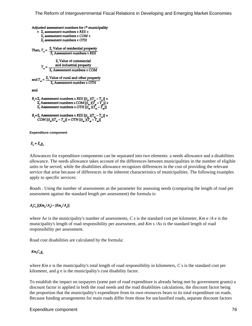```
Adjusted assessment numbers for i^{\text{th}} municipality
       = \Sigma assessment numbers x RES +
            \Sigma assessment numbers x COM +
            \Sigma, assessment numbers x OTH
Then, T_n = \frac{\sum_i \text{Value of residual property}}{\sum_i \text{Assessment numbers} \times \text{RES}}\Sigma, Value of commercial
            T_{\alpha} = \frac{\text{and industrial property}}{\Sigma_i \text{ Assessment numbers x COM}}and T_{\infty} = \frac{\Sigma_i \text{ Value of rural and other property}}{\Sigma_i \text{ Assessment number } x \text{ }OTH}and
R_r = \sum_i Assessment numbers x RES [(t_n)(T_n - T_n)] +\Sigma_i Assessment numbers x COM [(t_k)(T_k - T_k)] +<br>\Sigma_i Assessment numbers x CTH [(t_k)(T_k - T_k)] +R_{\epsilon} = \sum_{i} Assessment numbers x RES [(t_{\epsilon}) (T_{\epsilon} - T_{\epsilon})] +<br>COM [(t_{\epsilon}) (T_{\epsilon} - T_{\epsilon})] + OTH [(t_{\epsilon}) (T_{\epsilon} - T_{\epsilon})]
```
**Expenditure component**

# $E_{\epsilon} = E_{\epsilon} g_{\epsilon}$

Allowances for expenditure components can be separated into two elements: a needs allowance and a disabilities allowance. The needs allowance takes account of the differences between municipalities in the number of eligible units to be served, while the disabilities allowance recognizes differences in the cost of providing the relevant service that arise because of differences in the inherent characteristics of municipalities. The following examples apply to specific services:

*Roads* . Using the number of assessments as the parameter for assessing needs (comparing the length of road per assessment against the standard length per assessment) the formula is:

### $A_{\iota}C_{\iota}[(Km_{\iota}/A_{\iota})-(Km_{\iota}/A_{\iota})]$

where A*e* is the municipality's number of assessments, *C* s is the standard cost per kilometer, *Km* e /*A* e is the municipality's length of road responsibility per assessment, and *Km* s /As is the standard length of road responsibility per assessment.

Road cost disabilities are calculated by the formula:

### $Km.C.g.$

where *Km* e is the municipality's total length of road responsibility in kilometers, *C* s is the standard cost per kilometer, and *g* e is the municipality's cost disability factor.

To establish the impact on taxpayers (some part of road expenditure is already being met by government grants) a discount factor is applied in both the road needs and the road disabilities calculations, the discount factor being the proportion that the municipality's expenditure from its own resources bears to its total expenditure on roads. Because funding arrangements for main roads differ from those for unclassified roads, separate discount factors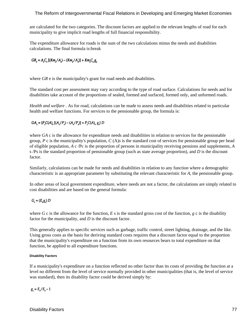are calculated for the two categories. The discount factors are applied to the relevant lengths of road for each municipality to give implicit road lengths of full financial responsibility.

The expenditure allowance for roads is the sum of the two calculations minus the needs and disabilities calculations. The final formula is:break

 $GR = A.C. [(Km/A) - (Km/A)] + Km.C. g.$ 

where *GR* e is the municipality's grant for road needs and disabilities.

The standard cost per assessment may vary according to the type of road surface. Calculations for needs and for disabilities take account of the proportions of sealed, formed and surfaced, formed only, and unformed roads.

*Health and welfare* . As for road, calculations can be made to assess needs and disabilities related to particular health and welfare functions. For services to the pensionable group, the formula is:

 $GA_c = {P_cC(A), [(A_c/P_c) - (A_s/P_c)] + P_cC(A), g_c} D$ 

where *GA* c is the allowance for expenditure needs and disabilities in relation to services for the pensionable group, P c is the municipality's population,  $C(A)s$  is the standard cost of services for pensionable group per head of eligible population, *A* c /Pc is the proportion of persons in municipality receiving pensions and supplements, *A* s /Ps is the standard proportion of pensionable group (such as state average proportion), and *D* is the discount factor.

Similarly, calculations can be made for needs and disabilities in relation to any function where a demographic characteristic is an appropriate parameter by substituting the relevant characteristic for *A,* the pensionable group.

In other areas of local government expenditure, where needs are not a factor, the calculations are simply related to cost disabilities and are based on the general formula:

$$
G_c = (E_s g_c) D
$$

where *G* c is the allowance for the function, *E* s is the standard gross cost of the function, *g* c is the disability factor for the municipality, and *D* is the discount factor.

This generally applies to specific services such as garbage, traffic control, street lighting, drainage, and the like. Using gross costs as the basis for deriving standard costs requires that a discount factor equal to the proportion that the municipality's expenditure on a function from its own resources bears to total expenditure on that function, be applied to all expenditure functions.

#### **Disability Factors**

If a municipality's expenditure on a function reflected no other factor than its costs of providing the function at a level no different from the level of service normally provided in other municipalities (that is, the level of service was standard), then its disability factor could be derived simply by:

$$
g_c = E_c/E_s - 1
$$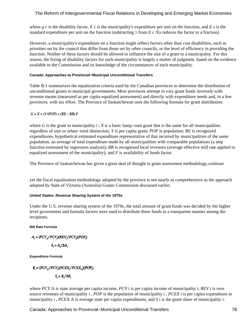where *g* c is the disability factor, *E* c is the municipality's expenditure per unit on the function, and *E* s is the standard expenditure per unit on the function (subtracting 1 from *E* c /Es reduces the factor to a fraction).

However, a municipality's expenditure on a function might reflect factors other than cost disabilities, such as priorities set by the council that differ from those set by other councils, or the level of efficiency in providing the function. Neither of these factors should be allowed to influence the size of a grant to a municipality. For this reason, the fixing of disability factors for each municipality is largely a matter of judgment, based on the evidence available to the Commission and its knowledge of the circumstances of each municipality.

#### **Canada: Approaches to Provincial−Municipal Unconditional Transfers**

Table B.1 summarizes the equalization criteria used by the Canadian provinces to determine the distribution of unconditional grants to municipal governments. Most provinces attempt to vary grant funds inversely with revenue means (measured as per capita equalized assessment) and directly with expenditure needs and, in a few provinces, with tax effort. The Province of Saskatchewan uses the following formula for grant distribution:

#### $G = X + (Y * POP) + (RE - RR) F$

where *G* is the grant to municipality *i* ; *X* is a basic lump−sum grant that is the same for all municipalities regardless of size or urban−rural distinction; *Y* is per capita grant; *POP* is population; *RE* is recognized expenditures, hypothetical estimated expenditure representative of that incurred by municipalities of the same population, an average of total expenditure made by all municipalities with comparable populations (a step function estimated by regression analysis); *RR* is recognized local revenues (average effective mill rate applied to equalized assessment of the municipality); and *F* is availability of funds factor.

The Province of Saskatchewan has given a great deal of thought to grant assessment methodology,continue

yet the fiscal equalization methodology adopted by the province is not nearly as comprehensive as the approach adopted by State of Victoria (Australia) Grants Commission discussed earlier.

#### **United States: Revenue Sharing System of the 1970s**

Under the U.S. revenue sharing system of the 1970s, the total amount of grant funds was decided by the higher level government and formula factors were used to distribute these funds in a transparent manner among the recipients.

#### **Mill Rate Formula**

 $A_i = (PCY_A/PCY_i)(REV_i/PCY_i)(POP_i)$ 

$$
S_i = A_i / \Sigma A_i
$$

**Expenditure Formula**

 $B_i = (PCY_A/PCY_i)(PCEX_i/PCEX_A)(POP_i)$ 

 $S_i = B_i / \Sigma B_i$ 

where *PCY* A is state average per capita income, *PCY* i is per capita income of municipality *i, REV* i is own source revenues of municipality *i* , *POP* is the population of municipality *i* , *PCEX* i is per capita expenditure in municipality *i* , *PCEX* A is average state per capita expenditures, and *S* i is the grant share of municipality i.

Canada: Approaches to Provincial−Municipal Unconditional Transfers 78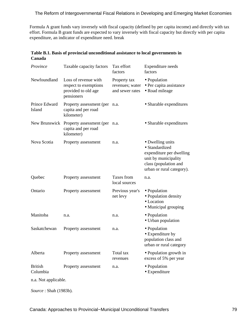Formula A grant funds vary inversely with fiscal capacity (defined by per capita income) and directly with tax effort. Formula B grant funds are expected to vary inversely with fiscal capacity but directly with per capita expenditure, an indicator of expenditure need. break

| Province                   | Taxable capacity factors                                                           | Tax effort<br>factors                              | Expenditure needs<br>factors                                                                                                                 |
|----------------------------|------------------------------------------------------------------------------------|----------------------------------------------------|----------------------------------------------------------------------------------------------------------------------------------------------|
| Newfoundland               | Loss of revenue with<br>respect to exemptions<br>provided to old age<br>pensioners | Property tax<br>revenues; water<br>and sewer rates | • Population<br>• Per capita assistance<br>• Road mileage                                                                                    |
| Prince Edward<br>Island    | Property assessment (per<br>capita and per road<br>kilometer)                      | n.a.                                               | • Sharable expenditures                                                                                                                      |
| New Brunswick              | Property assessment (per n.a.<br>capita and per road<br>kilometer)                 |                                                    | • Sharable expenditures                                                                                                                      |
| Nova Scotia                | Property assessment                                                                | n.a.                                               | • Dwelling units<br>• Standardized<br>expenditure per dwelling<br>unit by municipality<br>class (population and<br>urban or rural category). |
| Quebec                     | Property assessment                                                                | Taxes from<br>local sources                        | n.a.                                                                                                                                         |
| Ontario                    | Property assessment                                                                | Previous year's<br>net levy                        | • Population<br>• Population density<br>• Location<br>• Municipal grouping                                                                   |
| Manitoba                   |                                                                                    |                                                    |                                                                                                                                              |
|                            | n.a.                                                                               | n.a.                                               | • Population<br>· Urban population                                                                                                           |
| Saskatchewan               | Property assessment                                                                | n.a.                                               | • Population<br>• Expenditure by<br>population class and<br>urban or rural category                                                          |
| Alberta                    | Property assessment                                                                | Total tax<br>revenues                              | • Population growth in<br>excess of 5% per year                                                                                              |
| <b>British</b><br>Columbia | Property assessment                                                                | n.a.                                               | • Population<br>· Expenditure                                                                                                                |

# **Table B.1. Basis of provincial unconditional assistance to local governments in Canada**

*Source* : Shah (1983b).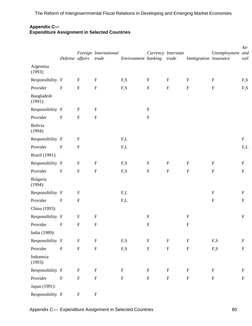# **Appendix C— Expenditure Assignment in Selected Countries**

|                       | Defense affairs           |                           | Foreign International<br>trade | Environment banking |                           | Currency Interstate<br>trade | Immigration insurance     | Unemployment              | Air<br>and<br>rail        |
|-----------------------|---------------------------|---------------------------|--------------------------------|---------------------|---------------------------|------------------------------|---------------------------|---------------------------|---------------------------|
| Argentina<br>(1993):  |                           |                           |                                |                     |                           |                              |                           |                           |                           |
| Responsibility F      |                           | $\boldsymbol{\mathrm{F}}$ | $\boldsymbol{\mathrm{F}}$      | F,S                 | $\boldsymbol{\mathrm{F}}$ | $\boldsymbol{\mathrm{F}}$    | $\boldsymbol{\mathrm{F}}$ | ${\bf F}$                 | F,S                       |
| Provider              | $\boldsymbol{\mathrm{F}}$ | ${\bf F}$                 | ${\bf F}$                      | F,S                 | $\boldsymbol{\mathrm{F}}$ | $\boldsymbol{\mathrm{F}}$    | ${\bf F}$                 | ${\bf F}$                 | F,S                       |
| Bangladesh<br>(1991): |                           |                           |                                |                     |                           |                              |                           |                           |                           |
| Responsibility F      |                           | $\boldsymbol{\mathrm{F}}$ | $\boldsymbol{\mathrm{F}}$      |                     | $\boldsymbol{\mathrm{F}}$ |                              |                           |                           |                           |
| Provider              | ${\bf F}$                 | $\boldsymbol{\mathrm{F}}$ | ${\bf F}$                      |                     | $\boldsymbol{\mathrm{F}}$ |                              |                           |                           |                           |
| Bolivia<br>(1994):    |                           |                           |                                |                     |                           |                              |                           |                           |                           |
| Responsibility F      |                           | $\boldsymbol{\mathrm{F}}$ |                                | F,L                 |                           |                              |                           |                           | $\boldsymbol{\mathrm{F}}$ |
| Provider              | $\mathbf F$               | $\boldsymbol{\mathrm{F}}$ |                                | F,L                 |                           |                              |                           |                           | F,L                       |
| Brazil (1991):        |                           |                           |                                |                     |                           |                              |                           |                           |                           |
| Responsibility F      |                           | $\boldsymbol{\mathrm{F}}$ | $\boldsymbol{\mathrm{F}}$      | F,S                 | $\boldsymbol{\mathrm{F}}$ | $\boldsymbol{\mathrm{F}}$    | $\boldsymbol{\mathrm{F}}$ | $\boldsymbol{\mathrm{F}}$ | ${\bf F}$                 |
| Provider              | $\boldsymbol{\mathrm{F}}$ | $\boldsymbol{\mathrm{F}}$ | $\boldsymbol{\mathrm{F}}$      | F,S                 | $\boldsymbol{\mathrm{F}}$ | $\boldsymbol{\mathrm{F}}$    | $\boldsymbol{\mathrm{F}}$ | ${\bf F}$                 | $\boldsymbol{\mathrm{F}}$ |
| Bulgaria<br>(1994):   |                           |                           |                                |                     |                           |                              |                           |                           |                           |
| Responsibility F      |                           | $\boldsymbol{\mathrm{F}}$ |                                | F,L                 |                           |                              |                           | $\boldsymbol{\mathrm{F}}$ | ${\bf F}$                 |
| Provider              | $\mathbf F$               | $\boldsymbol{\mathrm{F}}$ |                                | F,L                 |                           |                              |                           | ${\bf F}$                 | $\boldsymbol{\mathrm{F}}$ |
| China (1993):         |                           |                           |                                |                     |                           |                              |                           |                           |                           |
| Responsibility F      |                           | $\boldsymbol{\mathrm{F}}$ | $\boldsymbol{\mathrm{F}}$      |                     | ${\bf F}$                 |                              | $\boldsymbol{\mathrm{F}}$ |                           | $\boldsymbol{\mathrm{F}}$ |
| Provider              | ${\bf F}$                 | ${\bf F}$                 | $\boldsymbol{\mathrm{F}}$      |                     | ${\bf F}$                 |                              | ${\bf F}$                 |                           |                           |
| India (1989):         |                           |                           |                                |                     |                           |                              |                           |                           |                           |
| Responsibility F      |                           | $\boldsymbol{\mathrm{F}}$ | $\boldsymbol{\mathrm{F}}$      | F,S                 | $\boldsymbol{\mathrm{F}}$ | $\boldsymbol{\mathrm{F}}$    | $\boldsymbol{\mathrm{F}}$ | F,S                       | ${\bf F}$                 |
| Provider              | ${\bf F}$                 | ${\bf F}$                 | ${\bf F}$                      | $_{\rm F,S}$        | ${\bf F}$                 | ${\bf F}$                    | ${\bf F}$                 | $_{\rm F,S}$              | $\boldsymbol{\mathrm{F}}$ |
| Indonesia<br>(1993):  |                           |                           |                                |                     |                           |                              |                           |                           |                           |
| Responsibility F      |                           | $\boldsymbol{\mathrm{F}}$ | $\boldsymbol{\mathrm{F}}$      | ${\bf F}$           | $\boldsymbol{\mathrm{F}}$ | $\boldsymbol{\mathrm{F}}$    | $\boldsymbol{\mathrm{F}}$ | $\boldsymbol{\mathrm{F}}$ | $\boldsymbol{\mathrm{F}}$ |
| Provider              | ${\bf F}$                 | ${\bf F}$                 | ${\bf F}$                      | ${\bf F}$           | ${\bf F}$                 | ${\bf F}$                    | ${\bf F}$                 | $\boldsymbol{\mathrm{F}}$ | $\boldsymbol{\mathrm{F}}$ |
| Japan (1991):         |                           |                           |                                |                     |                           |                              |                           |                           |                           |
| Responsibility F      |                           | $\boldsymbol{\mathrm{F}}$ | $\boldsymbol{\mathrm{F}}$      |                     |                           |                              |                           |                           |                           |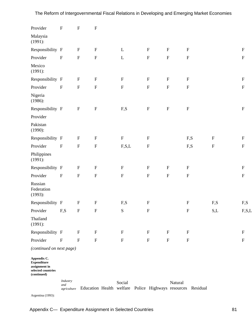| Provider                                                                                | $\boldsymbol{\mathrm{F}}$      | $\boldsymbol{\mathrm{F}}$ | $\boldsymbol{\mathrm{F}}$ |                                                                       |                           |             |                           |                           |                           |
|-----------------------------------------------------------------------------------------|--------------------------------|---------------------------|---------------------------|-----------------------------------------------------------------------|---------------------------|-------------|---------------------------|---------------------------|---------------------------|
| Malaysia<br>(1991):                                                                     |                                |                           |                           |                                                                       |                           |             |                           |                           |                           |
| Responsibility F                                                                        |                                | ${\bf F}$                 | ${\bf F}$                 | L                                                                     | ${\bf F}$                 | ${\bf F}$   | $\boldsymbol{\mathrm{F}}$ |                           | ${\bf F}$                 |
| Provider                                                                                | $\mathbf F$                    | $\boldsymbol{\mathrm{F}}$ | $\mathbf F$               | $\mathbf L$                                                           | ${\bf F}$                 | ${\bf F}$   | $\boldsymbol{\mathrm{F}}$ |                           | $\boldsymbol{\mathrm{F}}$ |
| Mexico<br>(1991):                                                                       |                                |                           |                           |                                                                       |                           |             |                           |                           |                           |
| Responsibility F                                                                        |                                | $\boldsymbol{\mathrm{F}}$ | ${\bf F}$                 | ${\bf F}$                                                             | ${\bf F}$                 | ${\bf F}$   | $\boldsymbol{\mathrm{F}}$ |                           | ${\bf F}$                 |
| Provider                                                                                | ${\bf F}$                      | $\boldsymbol{\mathrm{F}}$ | $\mathbf F$               | ${\bf F}$                                                             | ${\bf F}$                 | ${\bf F}$   | $\boldsymbol{\mathrm{F}}$ |                           | ${\bf F}$                 |
| Nigeria<br>(1986):                                                                      |                                |                           |                           |                                                                       |                           |             |                           |                           |                           |
| Responsibility F                                                                        |                                | $\boldsymbol{\mathrm{F}}$ | ${\bf F}$                 | F,S                                                                   | ${\bf F}$                 | ${\bf F}$   | $\boldsymbol{\mathrm{F}}$ |                           | ${\bf F}$                 |
| Provider                                                                                |                                |                           |                           |                                                                       |                           |             |                           |                           |                           |
| Pakistan<br>(1990):                                                                     |                                |                           |                           |                                                                       |                           |             |                           |                           |                           |
| Responsibility F                                                                        |                                | $\boldsymbol{\mathrm{F}}$ | $\boldsymbol{\mathrm{F}}$ | $\boldsymbol{\mathrm{F}}$                                             | $\boldsymbol{\mathrm{F}}$ |             | F,S                       | ${\bf F}$                 | $\boldsymbol{\mathrm{F}}$ |
| Provider                                                                                | ${\bf F}$                      | $\boldsymbol{\mathrm{F}}$ | $\boldsymbol{\mathrm{F}}$ | $_{\rm F,S,L}$                                                        | $\boldsymbol{\mathrm{F}}$ |             | $_{\rm F,S}$              | $\boldsymbol{\mathrm{F}}$ | ${\bf F}$                 |
| Philippines<br>(1991):                                                                  |                                |                           |                           |                                                                       |                           |             |                           |                           |                           |
| Responsibility F                                                                        |                                | $\boldsymbol{\mathrm{F}}$ | $\boldsymbol{\mathrm{F}}$ | ${\bf F}$                                                             | $\boldsymbol{\mathrm{F}}$ | $\mathbf F$ | $\boldsymbol{\mathrm{F}}$ |                           | $\boldsymbol{\mathrm{F}}$ |
| Provider                                                                                | $\boldsymbol{\mathrm{F}}$      | $\boldsymbol{\mathrm{F}}$ | ${\bf F}$                 | ${\bf F}$                                                             | ${\bf F}$                 | ${\bf F}$   | ${\bf F}$                 |                           | ${\bf F}$                 |
| Russian<br>Federation<br>(1993):                                                        |                                |                           |                           |                                                                       |                           |             |                           |                           |                           |
| Responsibility F                                                                        |                                | $\boldsymbol{\mathrm{F}}$ | $\boldsymbol{\mathrm{F}}$ | F,S                                                                   | $\boldsymbol{\mathrm{F}}$ |             | $\boldsymbol{\mathrm{F}}$ | F,S                       | F,S                       |
| Provider                                                                                | F,S                            | $\boldsymbol{\mathrm{F}}$ | ${\bf F}$                 | ${\bf S}$                                                             | $\boldsymbol{\mathrm{F}}$ |             | $\boldsymbol{\mathrm{F}}$ | S,L                       | F,S,L                     |
| Thailand<br>(1991):                                                                     |                                |                           |                           |                                                                       |                           |             |                           |                           |                           |
| Responsibility F                                                                        |                                | ${\bf F}$                 | $\boldsymbol{\mathrm{F}}$ | $\boldsymbol{\mathrm{F}}$                                             | $\boldsymbol{\mathrm{F}}$ | $\mathbf F$ | $\mathbf F$               |                           | $\mathbf F$               |
| Provider                                                                                | ${\bf F}$                      | ${\bf F}$                 | $\boldsymbol{\mathrm{F}}$ | ${\bf F}$                                                             | $\boldsymbol{\mathrm{F}}$ | ${\bf F}$   | $\boldsymbol{\mathrm{F}}$ |                           | $\boldsymbol{F}$          |
| (continued on next page)                                                                |                                |                           |                           |                                                                       |                           |             |                           |                           |                           |
| Appendix C.<br><b>Expenditure</b><br>assignment in<br>selected countries<br>(continued) |                                |                           |                           |                                                                       |                           |             |                           |                           |                           |
|                                                                                         | Industry<br>and<br>agriculture |                           |                           | Social<br>Education Health welfare Police Highways resources Residual |                           | Natural     |                           |                           |                           |

Argentina (1993):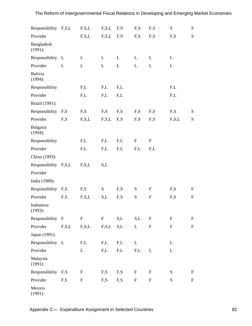| Responsibility F,S,L      |             | F,S,L                     | F,S,L                     | F.S | F,S                       | F,S                       | S                         | S                         |
|---------------------------|-------------|---------------------------|---------------------------|-----|---------------------------|---------------------------|---------------------------|---------------------------|
| Provider                  |             | F,S,L                     | F.S.L                     | F,S | F,S                       | F,S                       | F,S                       | S                         |
| Bangladesh<br>(1991):     |             |                           |                           |     |                           |                           |                           |                           |
| Responsibility            | L           | L                         | L                         | L   | L                         | L                         | L                         |                           |
| Provider                  | L           | L                         | L                         | L   | L                         | L                         | L                         |                           |
| <b>Bolivia</b><br>(1994): |             |                           |                           |     |                           |                           |                           |                           |
| Responsibility            |             | F,L                       | F,L                       | F,L |                           |                           | F.L                       |                           |
| Provider                  |             | F,L                       | F,L                       | F,L |                           |                           | F,L                       |                           |
| Brazil (1991):            |             |                           |                           |     |                           |                           |                           |                           |
| Responsibility            | F,S         | F,S                       | F,S                       | F,S | F,S                       | F,S                       | F,S                       | S                         |
| Provider                  | F,S         | F.S.L                     | F,S,L                     | F,S | F,S                       | F,S                       | F,S,L                     | S                         |
| Bulgaria<br>(1994):       |             |                           |                           |     |                           |                           |                           |                           |
| Responsibility            |             | F,L                       | F,L                       | F,L | $\mathbf F$               | $\boldsymbol{\mathrm{F}}$ |                           |                           |
| Provider                  |             | F,L                       | F,L                       | F,L | F,L                       | F,L                       |                           |                           |
| China (1993):             |             |                           |                           |     |                           |                           |                           |                           |
| Responsibility F,S,L      |             | F,S,L                     | S,L                       |     |                           |                           |                           |                           |
| Provider                  |             |                           |                           |     |                           |                           |                           |                           |
| India (1989):             |             |                           |                           |     |                           |                           |                           |                           |
| Responsibility            | F,S         | F,S                       | ${\bf S}$                 | F,S | S                         | $\boldsymbol{F}$          | F,S                       | $\mathbf F$               |
| Provider                  | F,S         | F,S,L                     | S,L                       | F,S | ${\bf S}$                 | $\boldsymbol{\mathrm{F}}$ | F,S                       | $\boldsymbol{\mathrm{F}}$ |
| Indonesia<br>(1993):      |             |                           |                           |     |                           |                           |                           |                           |
| Responsibility            | $\mathbf F$ | $\mathbf F$               | $\boldsymbol{\mathrm{F}}$ | S,L | S,L                       | $\boldsymbol{F}$          | ${\bf F}$                 | $_{\rm F}$                |
| Provider                  | F,S,L       | F,S,L                     | F,S,L                     | S,L | L                         | $\boldsymbol{\mathrm{F}}$ | $\boldsymbol{\mathrm{F}}$ | $\mathbf F$               |
| Japan (1991):             |             |                           |                           |     |                           |                           |                           |                           |
| Responsibility L          |             | F,L                       | F,L                       | F,L | L                         |                           | L                         |                           |
| Provider                  |             | L                         | F,L                       | F,L | F,L                       | L                         | L                         |                           |
| Malaysia<br>(1991):       |             |                           |                           |     |                           |                           |                           |                           |
| Responsibility            | F,S         | ${\bf F}$                 | F,S                       | F,S | $\mathbf F$               | $\boldsymbol{\mathrm{F}}$ | S                         | $\boldsymbol{\mathrm{F}}$ |
| Provider                  | F,S         | $\boldsymbol{\mathrm{F}}$ | F,S                       | F,S | $\boldsymbol{\mathrm{F}}$ | $\boldsymbol{\mathrm{F}}$ | S                         | $\mathbf F$               |
| Mexico<br>(1991):         |             |                           |                           |     |                           |                           |                           |                           |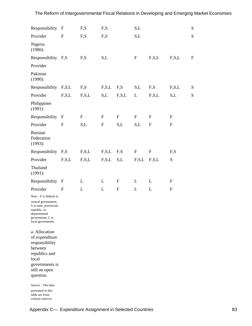| The Reform of Intergovernmental Fiscal Relations in Developing and Emerging Market Economies |  |  |
|----------------------------------------------------------------------------------------------|--|--|
|                                                                                              |  |  |

| Responsibility F                                                                                                                       |              | F,S                       | F,S         |                           | S,L                       |                           |             | ${\bf S}$                 |
|----------------------------------------------------------------------------------------------------------------------------------------|--------------|---------------------------|-------------|---------------------------|---------------------------|---------------------------|-------------|---------------------------|
| Provider                                                                                                                               | $\mathbf{F}$ | F,S                       | F,S         |                           | S,L                       |                           |             | S                         |
| Nigeria<br>(1986):                                                                                                                     |              |                           |             |                           |                           |                           |             |                           |
| Responsibility F,S                                                                                                                     |              | F,S                       | S,L         |                           | $\boldsymbol{\mathrm{F}}$ | F,S,L                     | F,S,L       | $\boldsymbol{\mathrm{F}}$ |
| Provider                                                                                                                               |              |                           |             |                           |                           |                           |             |                           |
| Pakistan<br>(1990):                                                                                                                    |              |                           |             |                           |                           |                           |             |                           |
| Responsibility                                                                                                                         | F,S,L        | F,S                       | F,S,L       | F,S                       | S,L                       | F,S                       | F,S,L       | S                         |
| Provider                                                                                                                               | F,S,L        | F,S,L                     | S,L         | F,S,L                     | L                         | F,S,L                     | S,L         | S                         |
| Philippines<br>(1991):                                                                                                                 |              |                           |             |                           |                           |                           |             |                           |
| Responsibility                                                                                                                         | $\mathbf F$  | $\boldsymbol{\mathrm{F}}$ | $\mathbf F$ | ${\bf F}$                 | ${\bf F}$                 | ${\rm F}$                 | ${\rm F}$   |                           |
| Provider                                                                                                                               | $\mathbf F$  | S,L                       | $\mathbf F$ | S,L                       | S,L                       | $\mathbf{F}$              | $\mathbf F$ |                           |
| Russian<br>Federation<br>(1993):                                                                                                       |              |                           |             |                           |                           |                           |             |                           |
| Responsibility F,S                                                                                                                     |              | F,S,L                     | F,S,L       | F,S                       | $\mathbf{F}$              | $\boldsymbol{\mathrm{F}}$ | F,S         |                           |
| Provider                                                                                                                               | F,S,L        | F,S,L                     | F,S,L       | S,L                       | F,S,L                     | F,S,L                     | S           |                           |
| Thailand<br>(1991):                                                                                                                    |              |                           |             |                           |                           |                           |             |                           |
| Responsibility F                                                                                                                       |              | L                         | L           | $\boldsymbol{\mathrm{F}}$ | L                         | L                         | ${\bf F}$   |                           |
| Provider                                                                                                                               | $\mathbf{F}$ | L                         | L           | $\boldsymbol{\mathrm{F}}$ | L                         | L                         | $\mathbf F$ |                           |
| Note: F is federal or                                                                                                                  |              |                           |             |                           |                           |                           |             |                           |
| central government,<br>S is state, provincial,<br>republic, or<br>departmental<br>government, L is<br>local government.                |              |                           |             |                           |                           |                           |             |                           |
| a. Allocation<br>of expenditure<br>responsibility<br>between<br>republics and<br>local<br>governments is<br>still an open<br>question. |              |                           |             |                           |                           |                           |             |                           |
| Source: The data<br>presented in this<br>table are from<br>various sources;                                                            |              |                           |             |                           |                           |                           |             |                           |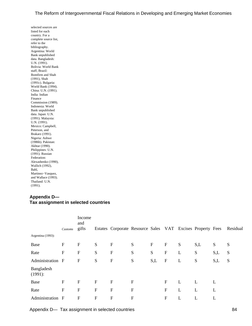selected sources are listed for each country. For a complete source list, refer to the bibliography. Argentina: World Bank unpublished data. Bangladesh: U.N. (1991). Bolivia: World Bank staff, Brazil: Bomfirm and Shah (1991), Shah (1991c). Bulgaria: World Bank (1994). China: U.N. (1991). India: Indian Finance Commission (1989). Indonesia: World Bank unpublished data. Japan: U.N. (1991). Malaysia: U.N. (1991). Mexico: Campbell, Peterson, and Brakarz (1991). Nigeria: Ashwe (1986b). Pakistan: Akhtar (1990). Philippines: U.N. (1991). Russian Federation: Alexashenko (1990), Wallich (1992), Bahl, Martinez−Vasquez, and Wallace (1993). Thailand: U.N. (1991).

## **Appendix D— Tax assignment in selected countries**

|                       | Customs                   | Income<br>and<br>gifts    |             | Estates Corporate Resource Sales VAT Excises Property Fees |              |                           |                           |   |     |     | Residual |
|-----------------------|---------------------------|---------------------------|-------------|------------------------------------------------------------|--------------|---------------------------|---------------------------|---|-----|-----|----------|
| Argentina (1993):     |                           |                           |             |                                                            |              |                           |                           |   |     |     |          |
| Base                  | F                         | $\mathbf F$               | S           | $\boldsymbol{\mathrm{F}}$                                  | S            | $\boldsymbol{\mathrm{F}}$ | F                         | S | S,L | S   | S        |
| Rate                  | $\boldsymbol{\mathrm{F}}$ | $\boldsymbol{\mathrm{F}}$ | S           | $\mathbf F$                                                | S            | S                         | $\boldsymbol{\mathrm{F}}$ | L | S   | S,L | S        |
| Administration F      |                           | $\mathbf F$               | S           | $\mathbf F$                                                | S            | S,L                       | $\mathbf F$               | L | S   | S,L | S        |
| Bangladesh<br>(1991): |                           |                           |             |                                                            |              |                           |                           |   |     |     |          |
| Base                  | $\mathbf F$               | $\mathbf{F}$              | $\mathbf F$ | $\boldsymbol{\mathrm{F}}$                                  | $\mathbf{F}$ |                           | $\boldsymbol{\mathrm{F}}$ | L | L   | L   |          |
| Rate                  | F                         | $\boldsymbol{\mathrm{F}}$ | ${\rm F}$   | $\mathbf F$                                                | $\mathbf{F}$ |                           | ${\bf F}$                 | L | L   | L   |          |
| Administration F      |                           | F                         | ${\rm F}$   | $\mathbf F$                                                | $\mathbf{F}$ |                           | ${\rm F}$                 | L | L   | L   |          |

Appendix D— Tax assignment in selected countries 84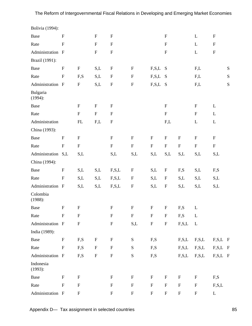| <b>Bolivia</b> (1994): |                           |             |                           |                           |                           |                           |                           |                  |                           |                           |           |
|------------------------|---------------------------|-------------|---------------------------|---------------------------|---------------------------|---------------------------|---------------------------|------------------|---------------------------|---------------------------|-----------|
| Base                   | $\boldsymbol{\mathrm{F}}$ |             | $\boldsymbol{\mathrm{F}}$ | ${\bf F}$                 |                           |                           | ${\bf F}$                 |                  | L                         | $\mathbf{F}$              |           |
| Rate                   | $\boldsymbol{\mathrm{F}}$ |             | ${\bf F}$                 | $\boldsymbol{\mathrm{F}}$ |                           |                           | $\boldsymbol{\mathrm{F}}$ |                  | L                         | $\mathbf{F}$              |           |
| Administration F       |                           |             | $\boldsymbol{\mathrm{F}}$ | ${\bf F}$                 |                           |                           | $\boldsymbol{\mathrm{F}}$ |                  | L                         | ${\bf F}$                 |           |
| Brazil (1991):         |                           |             |                           |                           |                           |                           |                           |                  |                           |                           |           |
| Base                   | $\boldsymbol{\mathrm{F}}$ | ${\bf F}$   | S,L                       | $\boldsymbol{\mathrm{F}}$ | $\mathbf{F}$              | $F, S, L$ S               |                           |                  | F,L                       |                           | ${\bf S}$ |
| Rate                   | ${\bf F}$                 | F,S         | S,L                       | ${\bf F}$                 | $\boldsymbol{F}$          | $F,S,L$ S                 |                           |                  | F,L                       |                           | ${\bf S}$ |
| Administration F       |                           | ${\bf F}$   | S,L                       | ${\bf F}$                 | ${\bf F}$                 | $F,S,L$ S                 |                           |                  | F,L                       |                           | ${\bf S}$ |
| Bulgaria<br>(1994):    |                           |             |                           |                           |                           |                           |                           |                  |                           |                           |           |
| Base                   |                           | $\mathbf F$ | $\boldsymbol{\mathrm{F}}$ | ${\bf F}$                 |                           |                           | ${\bf F}$                 |                  | $\mathbf{F}$              | $\mathbf L$               |           |
| Rate                   |                           | ${\bf F}$   | ${\bf F}$                 | $\boldsymbol{\mathrm{F}}$ |                           |                           | ${\bf F}$                 |                  | $\boldsymbol{\mathrm{F}}$ | $\mathbf L$               |           |
| Administration         |                           | FL          | F,L                       | $\boldsymbol{\mathrm{F}}$ |                           |                           | F,L                       |                  | L                         | L                         |           |
| China (1993):          |                           |             |                           |                           |                           |                           |                           |                  |                           |                           |           |
| <b>Base</b>            | $\boldsymbol{\mathrm{F}}$ | $\mathbf F$ |                           | ${\bf F}$                 | $\boldsymbol{\mathrm{F}}$ | $\boldsymbol{\mathrm{F}}$ | $\boldsymbol{\mathrm{F}}$ | $\mathbf F$      | $\boldsymbol{\mathrm{F}}$ | $\boldsymbol{\mathrm{F}}$ |           |
| Rate                   | ${\bf F}$                 | ${\bf F}$   |                           | ${\bf F}$                 | ${\bf F}$                 | ${\bf F}$                 | ${\bf F}$                 | ${\bf F}$        | ${\bf F}$                 | $\mathbf F$               |           |
| Administration S,L     |                           | S,L         |                           | S,L                       | S,L                       | S,L                       | S,L                       | S,L              | S,L                       | S,L                       |           |
| China (1994):          |                           |             |                           |                           |                           |                           |                           |                  |                           |                           |           |
| <b>Base</b>            | $\boldsymbol{\mathrm{F}}$ | S,L         | S,L                       | F,S,L                     | $\boldsymbol{\mathrm{F}}$ | S,L                       | $\boldsymbol{\mathrm{F}}$ | F,S              | S,L                       | F,S                       |           |
| Rate                   | $\boldsymbol{\mathrm{F}}$ | S,L         | S,L                       | F,S,L                     | $\boldsymbol{\mathrm{F}}$ | S,L                       | $\boldsymbol{\mathrm{F}}$ | S,L              | S,L                       | S,L                       |           |
| Administration F       |                           | S,L         | S,L                       | F,S,L                     | ${\bf F}$                 | S,L                       | $\boldsymbol{\mathrm{F}}$ | S,L              | S,L                       | S,L                       |           |
| Colombia<br>(1988):    |                           |             |                           |                           |                           |                           |                           |                  |                           |                           |           |
| Base                   | ${\bf F}$                 | $\mathbf F$ |                           | ${\bf F}$                 | $\mathbf F$               | $\boldsymbol{\mathrm{F}}$ | ${\bf F}$                 | F,S              | L                         |                           |           |
| Rate                   | ${\bf F}$                 | ${\bf F}$   |                           | ${\bf F}$                 | ${\bf F}$                 | $\boldsymbol{\mathrm{F}}$ | ${\bf F}$                 | F,S              | L                         |                           |           |
| Administration F       |                           | ${\bf F}$   |                           | ${\bf F}$                 | S,L                       | ${\bf F}$                 | $\boldsymbol{\mathrm{F}}$ | F,S,L            | L                         |                           |           |
| India (1989):          |                           |             |                           |                           |                           |                           |                           |                  |                           |                           |           |
| <b>Base</b>            | ${\bf F}$                 | F,S         | $\boldsymbol{\mathrm{F}}$ | ${\bf F}$                 | ${\bf S}$                 | F,S                       |                           | F,S,L            | F,S,L                     | $F,S,L$ F                 |           |
| Rate                   | ${\bf F}$                 | F,S         | $\boldsymbol{\mathrm{F}}$ | $\boldsymbol{\mathrm{F}}$ | ${\bf S}$                 | F,S                       |                           | F,S,L            | F,S,L                     | $F,S,L$ F                 |           |
| Administration F       |                           | F,S         | $\boldsymbol{\mathrm{F}}$ | $\boldsymbol{\mathrm{F}}$ | ${\bf S}$                 | F,S                       |                           | F,S,L            | F,S,L                     | $F,S,L$ F                 |           |
| Indonesia<br>(1993):   |                           |             |                           |                           |                           |                           |                           |                  |                           |                           |           |
| <b>Base</b>            | ${\bf F}$                 | F           |                           | ${\bf F}$                 | ${\bf F}$                 | $\boldsymbol{\mathrm{F}}$ | ${\bf F}$                 | $\boldsymbol{F}$ | ${\bf F}$                 | F,S                       |           |
| Rate                   | $\boldsymbol{\mathrm{F}}$ | ${\bf F}$   |                           | ${\bf F}$                 | $\boldsymbol{\mathrm{F}}$ | ${\bf F}$                 | ${\bf F}$                 | ${\bf F}$        | ${\bf F}$                 | F,S,L                     |           |
| Administration F       |                           | $\mathbf F$ |                           | ${\bf F}$                 | ${\bf F}$                 | ${\bf F}$                 | ${\bf F}$                 | ${\bf F}$        | $\boldsymbol{\mathrm{F}}$ | $\mathbf L$               |           |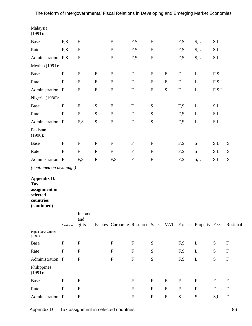| Malaysia<br>(1991): |           |                           |                |                           |                           |                           |                           |           |             |       |   |
|---------------------|-----------|---------------------------|----------------|---------------------------|---------------------------|---------------------------|---------------------------|-----------|-------------|-------|---|
| Base                | F,S       | ${\bf F}$                 |                | ${\bf F}$                 | F,S                       | $\mathbf F$               |                           | F,S       | S,L         | S,L   |   |
| Rate                | F,S       | ${\bf F}$                 |                | $\boldsymbol{\mathrm{F}}$ | F,S                       | $\mathbf{F}$              |                           | F,S       | S,L         | S,L   |   |
| Administration F,S  |           | ${\bf F}$                 |                | ${\bf F}$                 | F,S                       | $\overline{F}$            |                           | F,S       | S,L         | S,L   |   |
| Mexico (1991):      |           |                           |                |                           |                           |                           |                           |           |             |       |   |
| Base                | ${\bf F}$ | $\mathbf F$               | ${\bf F}$      | ${\bf F}$                 | $\boldsymbol{\mathrm{F}}$ | $\boldsymbol{\mathrm{F}}$ | $\boldsymbol{\mathrm{F}}$ | ${\bf F}$ | $\mathbf L$ | F,S,L |   |
| Rate                | ${\bf F}$ | $\mathbf F$               | $\overline{F}$ | ${\bf F}$                 | $\overline{F}$            | $\overline{F}$            | ${\bf F}$                 | ${\bf F}$ | L           | F,S,L |   |
| Administration F    |           | ${\bf F}$                 | ${\bf F}$      | $\boldsymbol{\mathrm{F}}$ | $\mathbf F$               | ${\bf F}$                 | ${\bf S}$                 | ${\bf F}$ | L           | F,S,L |   |
| Nigeria (1986):     |           |                           |                |                           |                           |                           |                           |           |             |       |   |
| Base                | ${\bf F}$ | ${\bf F}$                 | ${\bf S}$      | ${\bf F}$                 | $\boldsymbol{\mathrm{F}}$ | ${\bf S}$                 |                           | F,S       | $\mathbf L$ | S,L   |   |
| Rate                | ${\bf F}$ | ${\bf F}$                 | S              | ${\bf F}$                 | $\boldsymbol{\mathrm{F}}$ | ${\bf S}$                 |                           | F,S       | $\mathbf L$ | S,L   |   |
| Administration F    |           | F,S                       | S              | ${\bf F}$                 | $\mathbf F$               | S                         |                           | F,S       | L           | S,L   |   |
| Pakistan<br>(1990): |           |                           |                |                           |                           |                           |                           |           |             |       |   |
| Base                | ${\bf F}$ | $\boldsymbol{\mathrm{F}}$ | $\mathbf F$    | ${\bf F}$                 | $\mathbf F$               | ${\bf F}$                 |                           | F,S       | ${\bf S}$   | S,L   | S |
| Rate                | ${\bf F}$ | ${\bf F}$                 | ${\bf F}$      | ${\bf F}$                 | $\boldsymbol{\mathrm{F}}$ | ${\bf F}$                 |                           | F,S       | ${\bf S}$   | S,L   | S |
| Administration F    |           | F,S                       | $\mathbf F$    | F,S                       | $\mathbf F$               | $\overline{F}$            |                           | F,S       | S,L         | S,L   | S |

*(continued on next page)*

**Appendix D. Tax assignment in selected countries (continued)**

|                             | Customs      | Income<br>and<br>gifts    | Estates Corporate Resource Sales VAT Excises Property Fees Residual |              |                           |                           |              |              |             |              |
|-----------------------------|--------------|---------------------------|---------------------------------------------------------------------|--------------|---------------------------|---------------------------|--------------|--------------|-------------|--------------|
| Papua New Guinea<br>(1991): |              |                           |                                                                     |              |                           |                           |              |              |             |              |
| Base                        | $\mathbf{F}$ | ${\bf F}$                 | $\mathbf F$                                                         | $\mathbf{F}$ | S                         |                           | F,S          | L            | S           | $\mathbf{F}$ |
| Rate                        | $\mathbf F$  | $\boldsymbol{\mathrm{F}}$ | $\boldsymbol{\mathrm{F}}$                                           | $\mathbf F$  | S                         |                           | F,S          | L            | S           | $\mathbf F$  |
| Administration F            |              | $\mathbf F$               | $\mathbf F$                                                         | $\mathbf F$  | S                         |                           | F,S          | L            | S           | $\mathbf F$  |
| Philippines<br>(1991):      |              |                           |                                                                     |              |                           |                           |              |              |             |              |
| Base                        | $\mathbf{F}$ | $\mathbf{F}$              |                                                                     | $\mathbf{F}$ | $\boldsymbol{\mathrm{F}}$ | $\mathbf F$               | $\mathbf{F}$ | $\mathbf{F}$ | $\mathbf F$ | $\mathbf{F}$ |
| Rate                        | $\mathbf{F}$ | ${\rm F}$                 |                                                                     | $\mathbf{F}$ | ${\bf F}$                 | $\mathbf F$               | $\mathbf{F}$ | $\mathbf F$  | $\mathbf F$ | $\mathbf{F}$ |
| Administration F            |              | $\mathbf{F}$              |                                                                     | $\mathbf{F}$ | $\mathbf F$               | $\boldsymbol{\mathrm{F}}$ | S            | S            | S,L         | F            |

Appendix D— Tax assignment in selected countries 86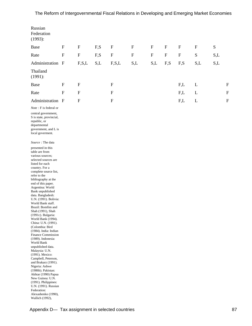| Russian<br>Federation<br>(1993):                                                                                                                                                                                                                                                                                                                                                                                                                                                                                                                                                                                                                                                                                                                                                                                                              |                           |                           |     |                           |                           |                           |                           |           |                           |           |              |
|-----------------------------------------------------------------------------------------------------------------------------------------------------------------------------------------------------------------------------------------------------------------------------------------------------------------------------------------------------------------------------------------------------------------------------------------------------------------------------------------------------------------------------------------------------------------------------------------------------------------------------------------------------------------------------------------------------------------------------------------------------------------------------------------------------------------------------------------------|---------------------------|---------------------------|-----|---------------------------|---------------------------|---------------------------|---------------------------|-----------|---------------------------|-----------|--------------|
| Base                                                                                                                                                                                                                                                                                                                                                                                                                                                                                                                                                                                                                                                                                                                                                                                                                                          | ${\bf F}$                 | ${\bf F}$                 | F,S | $\boldsymbol{\mathrm{F}}$ | $\boldsymbol{\mathrm{F}}$ | $\boldsymbol{\mathrm{F}}$ | $\boldsymbol{\mathrm{F}}$ | ${\bf F}$ | $\boldsymbol{\mathrm{F}}$ | ${\bf S}$ |              |
| Rate                                                                                                                                                                                                                                                                                                                                                                                                                                                                                                                                                                                                                                                                                                                                                                                                                                          | ${\bf F}$                 | $\boldsymbol{\mathrm{F}}$ | F,S | $\boldsymbol{\mathrm{F}}$ | $\boldsymbol{\mathrm{F}}$ | $\boldsymbol{\mathrm{F}}$ | $\boldsymbol{\mathrm{F}}$ | ${\bf F}$ | ${\bf S}$                 | S,L       |              |
| Administration F                                                                                                                                                                                                                                                                                                                                                                                                                                                                                                                                                                                                                                                                                                                                                                                                                              |                           | F,S,L                     | S,L | F,S,L                     | S,L                       | S,L                       | F,S                       | F,S       | S,L                       | S,L       |              |
| Thailand<br>(1991):                                                                                                                                                                                                                                                                                                                                                                                                                                                                                                                                                                                                                                                                                                                                                                                                                           |                           |                           |     |                           |                           |                           |                           |           |                           |           |              |
| Base                                                                                                                                                                                                                                                                                                                                                                                                                                                                                                                                                                                                                                                                                                                                                                                                                                          | $\boldsymbol{\mathrm{F}}$ | $\mathbf F$               |     | $\boldsymbol{\mathrm{F}}$ |                           |                           |                           | F,L       | L                         |           | $\mathbf{F}$ |
| Rate                                                                                                                                                                                                                                                                                                                                                                                                                                                                                                                                                                                                                                                                                                                                                                                                                                          | ${\bf F}$                 | $\boldsymbol{\mathrm{F}}$ |     | $\boldsymbol{\mathrm{F}}$ |                           |                           |                           | F,L       | L                         |           | $\mathbf F$  |
| Administration F                                                                                                                                                                                                                                                                                                                                                                                                                                                                                                                                                                                                                                                                                                                                                                                                                              |                           | $\boldsymbol{\mathrm{F}}$ |     | $\boldsymbol{\mathrm{F}}$ |                           |                           |                           | F,L       | $\mathbf{L}$              |           | $\mathbf F$  |
| Note: F is federal or<br>central government,<br>S is state, provincial,<br>republic, or<br>departmental<br>government, and L is<br>local governent.<br>Source: The data                                                                                                                                                                                                                                                                                                                                                                                                                                                                                                                                                                                                                                                                       |                           |                           |     |                           |                           |                           |                           |           |                           |           |              |
| presented in this<br>table are from<br>various sources;<br>selected sources are<br>listed for each<br>country. For a<br>complete source list,<br>refer to the<br>bibliography at the<br>end of this paper.<br>Argentina: World<br>Bank unpublished<br>data. Bangladesh:<br>U.N. (1991). Bolivia:<br>World Bank staff.<br>Brazil: Bomfim and<br>Shah (1991), Shah<br>(1991c). Bulgaria:<br>World Bank (1994).<br>China: U.N. (1991).<br>(Colombia: Bird<br>(1984). India: Indian<br>Finance Commission<br>(1989). Indonesia:<br>World Bank<br>unpublished data.<br>Malaysia: U.N.<br>(1991). Mexico:<br>Campbell, Peterson,<br>and Brakarz (1991).<br>Nigeria: Ashwe<br>(1986b). Pakistan:<br>Akhtar (1990) Papua<br>New Guinea: U.N.<br>(1991). Philippines:<br>U.N. (1991). Russian<br>Federation:<br>Alexashenko (1990),<br>Wallich (1992), |                           |                           |     |                           |                           |                           |                           |           |                           |           |              |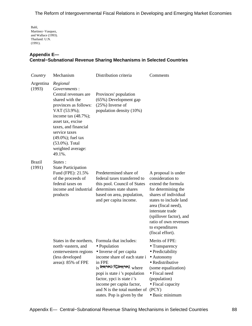Bahl, Martinez−Vasquez, and Wallace (1993). Thailand: U.N. (1991).

# **Appendix E— Central−Subnational Revenue Sharing Mechanisms in Selected Countries**

| Country             | Mechanism                                                                                                                                                                                                                                                                           | Distribution criteria                                                                                                                                                                                                                                                                                                                                                            | Comments                                                                                                                                                                                                                                                                     |
|---------------------|-------------------------------------------------------------------------------------------------------------------------------------------------------------------------------------------------------------------------------------------------------------------------------------|----------------------------------------------------------------------------------------------------------------------------------------------------------------------------------------------------------------------------------------------------------------------------------------------------------------------------------------------------------------------------------|------------------------------------------------------------------------------------------------------------------------------------------------------------------------------------------------------------------------------------------------------------------------------|
| Argentina<br>(1993) | Regional<br>Governments:<br>Central revenues are<br>shared with the<br>provinces as follows:<br>VAT (53.9%);<br>income tax $(48.7\%)$ ;<br>asset tax, excise<br>taxes, and financial<br>service taxes<br>$(49.0\%)$ ; fuel tax<br>$(53.0\%)$ . Total<br>weighted average:<br>49.1%. | Provinces' population<br>(65%) Development gap<br>$(25%)$ Inverse of<br>population density (10%)                                                                                                                                                                                                                                                                                 |                                                                                                                                                                                                                                                                              |
| Brazil<br>(1991)    | States:<br><b>State Participation</b><br>Fund (FPE): 21.5%<br>of the proceeds of<br>federal taxes on<br>income and industrial<br>products                                                                                                                                           | Predetermined share of<br>federal taxes transferred to<br>this pool. Council of States<br>determines state shares<br>based on area, population,<br>and per capita income.                                                                                                                                                                                                        | A proposal is under<br>consideration to<br>extend the formula<br>for determining the<br>shares of individual<br>states to include land<br>area (fiscal need),<br>interstate trade<br>(spillover factor), and<br>ratio of own revenues<br>to expenditures<br>(fiscal effort). |
|                     | north-eastern, and<br>centerwestern regions<br>(less developed<br>areas): 85% of FPE                                                                                                                                                                                                | States in the northern, Formula that includes:<br>• Population<br>• Inverse of per capita<br>income share of each state i ● Autonomy<br>in FPE<br>$_{1S}$ (pop,*ypc) / $\Sigma_{\rm Pl}^{\rm M}$ (pop,*ypc) where<br>popi is state $i$ 's population<br>factor, ypci is state $i$ 's<br>income per capita factor,<br>and N is the total number of<br>states. Pop is given by the | Merits of FPE:<br>• Transparency<br>• Predictability<br>• Redistributive<br>(some equalization)<br>• Fiscal need<br>(population)<br>• Fiscal capacity<br>(PCY)<br>· Basic minimum                                                                                            |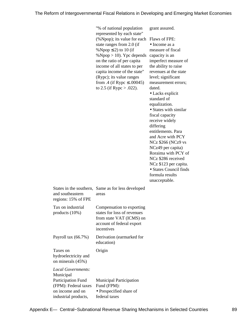|                                                                       | "% of national population<br>represented by each state"<br>(%Npop); its value for each<br>state ranges from 2.0 (if<br>% Npop $\leq$ 2) to 10 (if<br>% Npop $> 10$ ). Ypc depends<br>on the ratio of per capita<br>income of all states to per<br>capita income of the state"<br>(Rypc); its value ranges<br>from .4 (if Rypc $\leq$ .00045)<br>to 2.5 (if Rypc $> .022$ ). | grant assured.<br>Flaws of FPE:<br>$\bullet$ Income as a<br>measure of fiscal<br>capacity is an<br>imperfect measure of<br>the ability to raise<br>revenues at the state<br>level; significant<br>measurement errors;<br>dated.<br>• Lacks explicit<br>standard of<br>equalization.<br>• States with similar<br>fiscal capacity<br>receive widely<br>differing<br>entitlements. Para<br>and Acre with PCY<br><b>NCz \$266 (NCz9 vs</b><br>NCz49 per capita)<br>Roraima with PCY of<br>NCz \$286 received<br>NCz \$123 per capita.<br>• States Council finds<br>formula results<br>unacceptable. |
|-----------------------------------------------------------------------|-----------------------------------------------------------------------------------------------------------------------------------------------------------------------------------------------------------------------------------------------------------------------------------------------------------------------------------------------------------------------------|-------------------------------------------------------------------------------------------------------------------------------------------------------------------------------------------------------------------------------------------------------------------------------------------------------------------------------------------------------------------------------------------------------------------------------------------------------------------------------------------------------------------------------------------------------------------------------------------------|
| and southeastern<br>regions: 15% of FPE                               | States in the southern, Same as for less developed<br>areas                                                                                                                                                                                                                                                                                                                 |                                                                                                                                                                                                                                                                                                                                                                                                                                                                                                                                                                                                 |
| Tax on industrial<br>products $(10\%)$                                | Compensation to exporting<br>states for loss of revenues<br>from state VAT (ICMS) on<br>account of federal export<br>incentives                                                                                                                                                                                                                                             |                                                                                                                                                                                                                                                                                                                                                                                                                                                                                                                                                                                                 |
| Payroll tax (66.7%)                                                   | Derivation (earmarked for<br>education)                                                                                                                                                                                                                                                                                                                                     |                                                                                                                                                                                                                                                                                                                                                                                                                                                                                                                                                                                                 |
| Taxes on<br>hydroelectricity and<br>on minerals (45%)                 | Origin                                                                                                                                                                                                                                                                                                                                                                      |                                                                                                                                                                                                                                                                                                                                                                                                                                                                                                                                                                                                 |
| Local Governments:<br>Municipal<br>Participation Fund<br>$CDM$ . $Dz$ | <b>Municipal Participation</b><br>$(T)$ $\Lambda$                                                                                                                                                                                                                                                                                                                           |                                                                                                                                                                                                                                                                                                                                                                                                                                                                                                                                                                                                 |

(FPM): Federal taxes Fund (FPM): on income and on • Prespecified share of

industrial products, federal taxes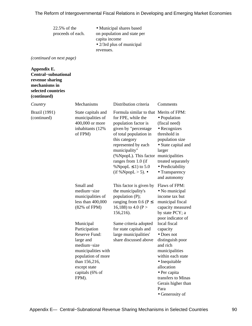| 22.5% of the      | • Municipal shares based     |
|-------------------|------------------------------|
| proceeds of each. | on population and state per  |
|                   | capita income                |
|                   | • $2/3$ rd plus of municipal |
|                   | revenues.                    |
|                   |                              |

*(continued on next page)*

### **Appendix E. Central−subnational revenue sharing mechanisms in selected countries (continued)**

| Country                             | Mechanisms                                                                                                                                                                        | Distribution criteria                                                                                                                                                                                                                                                                                       | Comments                                                                                                                                                                                                                            |
|-------------------------------------|-----------------------------------------------------------------------------------------------------------------------------------------------------------------------------------|-------------------------------------------------------------------------------------------------------------------------------------------------------------------------------------------------------------------------------------------------------------------------------------------------------------|-------------------------------------------------------------------------------------------------------------------------------------------------------------------------------------------------------------------------------------|
| <b>Brazil</b> (1991)<br>(continued) | State capitals and<br>municipalities of<br>400,000 or more<br>inhabitants (12%<br>of FPM)                                                                                         | Formula similar to that Merits of FPM:<br>for FPE, while the<br>population factor is<br>given by "percentage<br>of total population in<br>this category<br>represented by each<br>municipality"<br>(%NpopL). This factor<br>ranges from 1.0 (if<br>% NpopL $\leq$ 1) to 5.0<br>(if %NpopL $>$ 5). $\bullet$ | • Population<br>(fiscal need)<br>• Recognizes<br>threshold in<br>population size<br>• State capital and<br>larger<br>municipalities<br>treated separately<br>• Predictability<br>• Transparency<br>and autonomy                     |
|                                     | Small and<br>medium-size<br>municipalities of<br>less than $400,000$<br>(82% of FPM)                                                                                              | This factor is given by<br>the municipality's<br>population (P);<br>ranging from 0.6 ( $P \le$<br>16,188) to 4.0 (P ><br>156,216).                                                                                                                                                                          | Flaws of FPM:<br>• No municipal<br>income tax but<br>municipal fiscal<br>capacity measured<br>by state PCY; a<br>poor indicator of                                                                                                  |
|                                     | Municipal<br>Participation<br>Reserve Fund:<br>large and<br>medium-size<br>municipalities with<br>population of more<br>than 156,216,<br>except state<br>capitals (6% of<br>FPM). | Same criteria adopted<br>for state capitals and<br>large municipalities'<br>share discussed above                                                                                                                                                                                                           | local fiscal<br>capacity<br>• Does not<br>distinguish poor<br>and rich<br>municipalities<br>within each state<br>• Inequitable<br>allocation<br>• Per capita<br>transfers to Minas<br>Gerais higher than<br>Para<br>• Generosity of |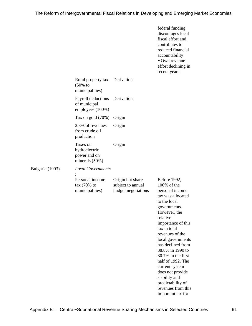federal funding discourages local fiscal effort and contributes to reduced financial accountability • Own revenue effort declining in recent years. Rural property tax (50% to municipalities) Derivation Payroll deductions Derivation of municipal employees (100%) Tax on gold (70%) Origin 2.3% of revenues from crude oil production Origin Taxes on hydroelectric power and on minerals (50%) Origin Bulgaria (1993) *Local Governments* : Personal income tax (70% to municipalities) Origin but share subject to annual budget negotiations Before 1992, 100% of the personal income tax was allocated to the local governments. However, the relative importance of this tax in total revenues of the local governments has declined from 38.8% in 1990 to 30.7% in the first half of 1992. The current system

does not provide stability and predictability of revenues from this important tax for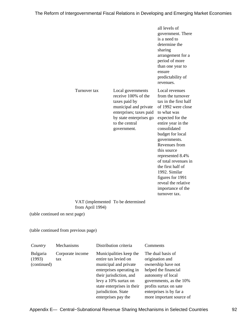|              |                                                                                                                                                                           | all levels of<br>government. There<br>is a need to<br>determine the<br>sharing<br>arrangement for a<br>period of more<br>than one year to<br>ensure<br>predictability of<br>revenues.                                                                                                                                                                                                              |
|--------------|---------------------------------------------------------------------------------------------------------------------------------------------------------------------------|----------------------------------------------------------------------------------------------------------------------------------------------------------------------------------------------------------------------------------------------------------------------------------------------------------------------------------------------------------------------------------------------------|
| Turnover tax | Local governments<br>receive 100% of the<br>taxes paid by<br>municipal and private<br>enterprises; taxes paid<br>by state enterprises go<br>to the central<br>government. | Local revenues<br>from the turnover<br>tax in the first half<br>of 1992 were close<br>to what was<br>expected for the<br>entire year in the<br>consolidated<br>budget for local<br>governments.<br>Revenues from<br>this source<br>represented 8.4%<br>of total revenues in<br>the first half of<br>1992. Similar<br>figures for 1991<br>reveal the relative<br>importance of the<br>turnover tax. |

VAT (implemented To be determined from April 1994)

(table continued on next page)

(table continued from previous page)

| Country                           | Mechanisms              | Distribution criteria                                                                                                                                                                                                               | Comments                                                                                                                                                                                                            |
|-----------------------------------|-------------------------|-------------------------------------------------------------------------------------------------------------------------------------------------------------------------------------------------------------------------------------|---------------------------------------------------------------------------------------------------------------------------------------------------------------------------------------------------------------------|
| Bulgaria<br>(1993)<br>(continued) | Corporate income<br>tax | Municipalities keep the<br>entire tax levied on<br>municipal and private<br>enterprises operating in<br>their jurisdiction, and<br>levy a 10% surtax on<br>state enterprises in their<br>jurisdiction. State<br>enterprises pay the | The dual basis of<br>origination and<br>ownership have not<br>helped the financial<br>autonomy of local<br>governments, as the 10%<br>profits surtax on sate<br>enterprises is by far a<br>more important source of |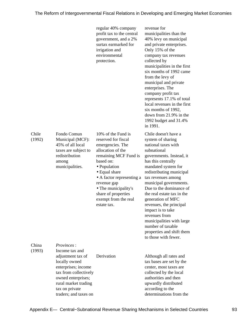|                 |                                                                                                                                                                                                             | regular 40% company<br>profit tax to the central<br>government, and a 2%<br>surtax earmarked for<br>irrigation and<br>environmental<br>protection.                                                                                                                                          | revenue for<br>municipalities than the<br>40% levy on municipal<br>and private enterprises.<br>Only 15% of the<br>company tax revenues<br>collected by<br>municipalities in the first<br>six months of 1992 came<br>from the levy of<br>municipal and private<br>enterprises. The<br>company profit tax<br>represents 17.1% of total<br>local revenues in the first<br>six months of 1992,<br>down from 21.9% in the<br>1992 budget and 31.4%<br>in 1991.                                  |
|-----------------|-------------------------------------------------------------------------------------------------------------------------------------------------------------------------------------------------------------|---------------------------------------------------------------------------------------------------------------------------------------------------------------------------------------------------------------------------------------------------------------------------------------------|--------------------------------------------------------------------------------------------------------------------------------------------------------------------------------------------------------------------------------------------------------------------------------------------------------------------------------------------------------------------------------------------------------------------------------------------------------------------------------------------|
| Chile<br>(1992) | Fondo Comun<br>Municipal (MCF):<br>45% of all local<br>taxes are subject to<br>redistribution<br>among<br>municipalities.                                                                                   | 10% of the Fund is<br>reserved for fiscal<br>emergencies. The<br>allocation of the<br>remaining MCF Fund is<br>based on:<br>• Population<br>• Equal share<br>• A factor representing a<br>revenue gap<br>• The municipality's<br>share of properties<br>exempt from the real<br>estate tax. | Chile doesn't have a<br>system of sharing<br>national taxes with<br>subnational<br>governments. Instead, it<br>has this centrally<br>mandated system for<br>redistributing municipal<br>tax revenues among<br>municipal governments.<br>Due to the dominance of<br>the real estate tax in the<br>generation of MFC<br>revenues, the principal<br>impact is to take<br>revenues from<br>municipalities with large<br>number of taxable<br>properties and shift them<br>to those with fewer. |
| China<br>(1993) | Provinces:<br>Income tax and<br>adjustment tax of<br>locally owned<br>enterprises; income<br>tax from collectively<br>owned enterprises;<br>rural market trading<br>tax on private<br>traders; and taxes on | Derivation                                                                                                                                                                                                                                                                                  | Although all rates and<br>tax bases are set by the<br>center, most taxes are<br>collected by the local<br>authorities and then<br>upwardly distributed<br>according to the<br>determinations from the                                                                                                                                                                                                                                                                                      |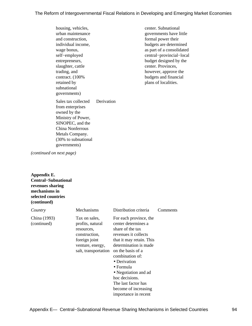housing, vehicles, urban maintenance and construction, individual income, wage bonus, self−employed entrepreneurs, slaughter, cattle trading, and contract. (100% retained by subnational governments) Sales tax collected from enterprises owned by the Ministry of Power, SINOPEC, and the China Nonferrous Metals Company. (30% to subnational governments) Derivation center. Subnational governments have little formal power their budgets are determined as part of a consolidated central−provincial−local budget designed by the center. Provinces, however, approve the budgets and financial plans of localities.

*(continued on next page)*

**Appendix E. Central−Subnational revenues sharing mechanisms in selected countries (continued)**

| Country                     | Mechanisms                                                                                                                    | Distribution criteria                                                                                                                                                                                                                                                                                                                        | Comments |
|-----------------------------|-------------------------------------------------------------------------------------------------------------------------------|----------------------------------------------------------------------------------------------------------------------------------------------------------------------------------------------------------------------------------------------------------------------------------------------------------------------------------------------|----------|
| China (1993)<br>(continued) | Tax on sales,<br>profits, natural<br>resources,<br>construction,<br>foreign joint<br>venture, energy,<br>salt, transportation | For each province, the<br>center determines a<br>share of the tax<br>revenues it collects<br>that it may retain. This<br>determination is made<br>on the basis of a<br>combination of:<br>• Derivation<br>$\bullet$ Formula<br>• Negotiation and ad<br>hoc decisions.<br>The last factor has<br>become of increasing<br>importance in recent |          |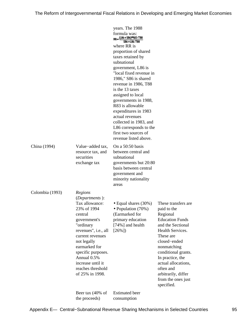|                 |                                                                                                                                                                                                                                                                                  | years. The 1988<br>formula was:<br>RR= $\frac{(L86+586)PR83-T88}{586+L86-T88}$<br>where RR is<br>proportion of shared<br>taxes retained by<br>subnational<br>government, L86 is<br>"local fixed revenue in<br>1986," S86 is shared<br>revenue in 1986, T88<br>is the 13 taxes<br>assigned to local<br>governments in 1988,<br>R83 is allowable<br>expenditures in 1983<br>actual revenues<br>collected in 1983, and<br>L86 corresponds to the<br>first two sources of<br>revenue listed above. |                                                                                                                                                                                                                                                                                                         |
|-----------------|----------------------------------------------------------------------------------------------------------------------------------------------------------------------------------------------------------------------------------------------------------------------------------|------------------------------------------------------------------------------------------------------------------------------------------------------------------------------------------------------------------------------------------------------------------------------------------------------------------------------------------------------------------------------------------------------------------------------------------------------------------------------------------------|---------------------------------------------------------------------------------------------------------------------------------------------------------------------------------------------------------------------------------------------------------------------------------------------------------|
| China (1994)    | Value-added tax,<br>resource tax, and<br>securities<br>exchange tax                                                                                                                                                                                                              | On a $50:50$ basis<br>between central and<br>subnational<br>governments but 20:80<br>basis between central<br>government and<br>minority nationality<br>areas                                                                                                                                                                                                                                                                                                                                  |                                                                                                                                                                                                                                                                                                         |
| Colombia (1993) | Regions<br>(Departments):<br>Tax allowance:<br>23% of 1994<br>central<br>government's<br>"ordinary<br>revenues", i.e., all<br>current revenues<br>not legally<br>earmarked for<br>specific purposes.<br>Annual 0.5%<br>increase until it<br>reaches threshold<br>of 25% in 1998. | • Equal shares $(30\%)$<br>• Population (70%)<br>(Earmarked for<br>primary education<br>[74%] and health<br>$[26\%]$                                                                                                                                                                                                                                                                                                                                                                           | These transfers are<br>paid to the<br>Regional<br><b>Education Funds</b><br>and the Sectional<br>Health Services.<br>These are<br>closed-ended<br>nonmatching<br>conditional grants.<br>In practice, the<br>actual allocations,<br>often and<br>arbitrarily, differ<br>from the ones just<br>specified. |
|                 | Beer tax $(40\% \text{ of }$<br>the proceeds)                                                                                                                                                                                                                                    | <b>Estimated</b> beer<br>consumption                                                                                                                                                                                                                                                                                                                                                                                                                                                           |                                                                                                                                                                                                                                                                                                         |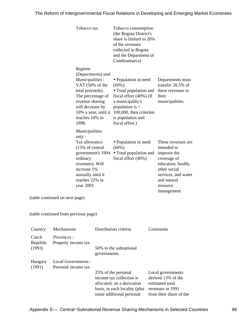|                             |                                           | Tobacco tax                                                                                                                                                                       |                      | Tobacco consumption<br>(the Bogota District's<br>share is limited to 20%<br>of the revenues<br>collected in Bogota<br>and the Department of<br>Cundinamarca)                                          |                                                                                                                                                                       |
|-----------------------------|-------------------------------------------|-----------------------------------------------------------------------------------------------------------------------------------------------------------------------------------|----------------------|-------------------------------------------------------------------------------------------------------------------------------------------------------------------------------------------------------|-----------------------------------------------------------------------------------------------------------------------------------------------------------------------|
|                             |                                           | Regions<br>(Departments) and<br>Municipalities:<br>VAT (50% of the<br>total proceeds).<br>The percentage of<br>revenue sharing<br>will decrease by<br>reaches 10% in<br>1998.     | 10% a year, until it | • Population in need<br>$(60\%)$<br>• Total population and<br>fiscal effort $(40%)$ (If<br>a municipality's<br>population is $\lt$<br>100,000, then criterion<br>is population and<br>fiscal effort.) | Departments must<br>transfer 28.5% of<br>these revenues to<br>their<br>municipalities.                                                                                |
|                             |                                           | <b>Municipalities</b><br>only:<br>Tax allowance<br>$(15\% \text{ of central})$<br>ordinary<br>revenues). Will<br>increase 1%<br>annually until it<br>reaches 22% in<br>year 2001. | government's 1994    | • Population in need<br>(60%)<br>• Total population and<br>fiscal effort $(40\%)$                                                                                                                     | These revenues are<br>intended to<br>improve the<br>coverage of<br>education, health,<br>other social<br>services, and water<br>and natural<br>resource<br>management |
|                             | (table continued on next page)            |                                                                                                                                                                                   |                      |                                                                                                                                                                                                       |                                                                                                                                                                       |
|                             | (table continued from previous page)      |                                                                                                                                                                                   |                      |                                                                                                                                                                                                       |                                                                                                                                                                       |
| Country                     | Mechanisms                                |                                                                                                                                                                                   |                      | Distribution criteria                                                                                                                                                                                 | Comments                                                                                                                                                              |
| Czech<br>Republic<br>(1993) | <i>Provinces</i> :<br>Property income tax |                                                                                                                                                                                   | governments.         | 50% to the subnational                                                                                                                                                                                |                                                                                                                                                                       |

Hungary *Local Governments* :

| (1991) | Personal income tax |                                |                         |
|--------|---------------------|--------------------------------|-------------------------|
|        |                     | 25% of the personal            | Local governments       |
|        |                     | income tax collection is       | derived 13% of the      |
|        |                     | allocated, on a derivation     | estimated total         |
|        |                     | basis, to each locality (plus) | revenues in 1991        |
|        |                     | some additional personal       | from their share of the |
|        |                     |                                |                         |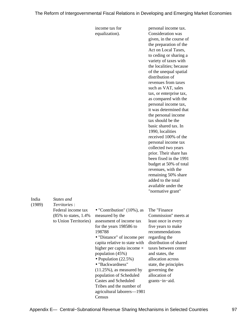|                 |                                                                                                                | income tax for<br>equalization).                                                                                                                                                                                                                                                                                                                                                                                                                        | personal income tax.<br>Consideration was<br>given, in the course of<br>the preparation of the<br>Act on Local Taxes,<br>to ceding or sharing a<br>variety of taxes with<br>the localities; because<br>of the unequal spatial<br>distribution of<br>revenues from taxes<br>such as VAT, sales<br>tax, or enterprise tax,<br>as compared with the<br>personal income tax,<br>it was determined that<br>the personal income<br>tax should be the<br>basic shared tax. In<br>1990, localities<br>received 100% of the<br>personal income tax<br>collected two years<br>prior. Their share has<br>been fixed in the 1991<br>budget at 50% of total<br>revenues, with the<br>remaining 50% share<br>added to the total<br>available under the<br>"normative grant" |
|-----------------|----------------------------------------------------------------------------------------------------------------|---------------------------------------------------------------------------------------------------------------------------------------------------------------------------------------------------------------------------------------------------------------------------------------------------------------------------------------------------------------------------------------------------------------------------------------------------------|---------------------------------------------------------------------------------------------------------------------------------------------------------------------------------------------------------------------------------------------------------------------------------------------------------------------------------------------------------------------------------------------------------------------------------------------------------------------------------------------------------------------------------------------------------------------------------------------------------------------------------------------------------------------------------------------------------------------------------------------------------------|
| India<br>(1989) | States and<br>Territories:<br>Federal income tax<br>$(85\% \text{ to states}, 1.4\%)$<br>to Union Territories) | • "Contribution" $(10\%)$ , as<br>measured by the<br>assessment of income tax<br>for the years 198586 to<br>198788<br>• "Distance" of income per<br>capita relative to state with<br>higher per capita income $\times$<br>population (45%)<br>• Population $(22.5\%)$<br>· "Backwardness"<br>$(11.25\%)$ , as measured by<br>population of Scheduled<br><b>Castes and Scheduled</b><br>Tribes and the number of<br>agricultural laborers-1981<br>Census | The "Finance<br>Commission" meets at<br>least once in every<br>five years to make<br>recommendations<br>regarding the<br>distribution of shared<br>taxes between center<br>and states, the<br>allocation across<br>state, the principles<br>governing the<br>allocation of<br>grants-in-aid.                                                                                                                                                                                                                                                                                                                                                                                                                                                                  |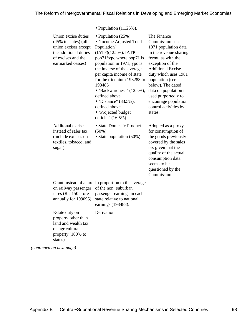|                                                                                                                                                    | • Population $(11.25\%)$ .                                                                                                                                                                                                                                                                                                                                                                                    |                                                                                                                                                                                                                                                                                                                                   |
|----------------------------------------------------------------------------------------------------------------------------------------------------|---------------------------------------------------------------------------------------------------------------------------------------------------------------------------------------------------------------------------------------------------------------------------------------------------------------------------------------------------------------------------------------------------------------|-----------------------------------------------------------------------------------------------------------------------------------------------------------------------------------------------------------------------------------------------------------------------------------------------------------------------------------|
| Union excise duties<br>$(45\% \text{ to states})$ (all<br>union excises except<br>the additional duties<br>of excises and the<br>earmarked cesses) | • Population $(25%)$<br>• "Income Adjusted Total<br>Population"<br>$(IATP)(12.5\%)$ . $IATP =$<br>pop71*ypc where pop71 is<br>population in 1971, ypc is<br>the inverse of the average<br>per capita income of state<br>for the triennium 198283 to<br>198485<br>$\bullet$ "Backwardness" (12.5%),<br>defined above<br>• "Distance" $(33.5\%)$ ,<br>defined above<br>• "Projected budget<br>deficits" (16.5%) | The Finance<br>Commission uses<br>1971 population data<br>in the revenue sharing<br>formulas with the<br>exception of the<br><b>Additional Excise</b><br>duty which uses 1981<br>population (see<br>below). The dated<br>data on population is<br>used purportedly to<br>encourage population<br>control activities by<br>states. |
| <b>Additonal excises</b><br>instead of sales tax<br>(include excises on<br>textiles, tobacco, and<br>sugar)                                        | • State Domestic Product<br>$(50\%)$<br>• State population (50%)                                                                                                                                                                                                                                                                                                                                              | Adopted as a proxy<br>for consumption of<br>the goods previously<br>covered by the sales<br>tax given that the<br>quality of the actual<br>consumption data<br>seems to be<br>questioned by the<br>Commission.                                                                                                                    |
| Grant instead of a tax<br>on railway passenger<br>fares (Rs. 150 crore<br>annually for 199095)                                                     | In proportion to the average<br>of the non-suburban<br>passenger earnings in each<br>state relative to national<br>earnings (198488).                                                                                                                                                                                                                                                                         |                                                                                                                                                                                                                                                                                                                                   |
| Estate duty on<br>property other than<br>land and wealth tax<br>on agricultural<br>property $(100\%$ to<br>states)                                 | Derivation                                                                                                                                                                                                                                                                                                                                                                                                    |                                                                                                                                                                                                                                                                                                                                   |

*(continued on next page)*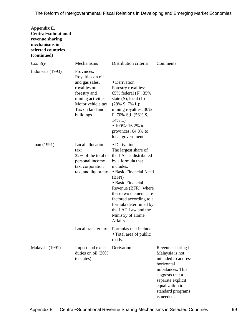## **Appendix E. Central−subnational revenue sharing mechanisms in selected countries (continued)**

| Country          | Mechanisms                                                                                                                                                 | Distribution criteria                                                                                                                                                                                                                                                                                                                     | Comments                                                                                                                                                                                     |
|------------------|------------------------------------------------------------------------------------------------------------------------------------------------------------|-------------------------------------------------------------------------------------------------------------------------------------------------------------------------------------------------------------------------------------------------------------------------------------------------------------------------------------------|----------------------------------------------------------------------------------------------------------------------------------------------------------------------------------------------|
| Indonesia (1993) | Provinces:<br>Royalties on oil<br>and gas sales,<br>royalties on<br>forestry and<br>mining activities<br>Motor vehicle tax<br>Tax on land and<br>buildings | • Derivation<br>Forestry royalties:<br>65% federal (F), 35%<br>state $(S)$ , local $(L)$<br>$(28\% S, 7\% L);$<br>mining royalties: 30%<br>F, 70% S, L (56% S,<br>14% L)<br>• $100\%$ : 16.2% to<br>provinces; 64.8% to<br>local government                                                                                               |                                                                                                                                                                                              |
| Japan (1991)     | Local allocation<br>tax:<br>personal income<br>tax, corporation<br>tax, and liquor tax                                                                     | • Derivation<br>The largest share of<br>32% of the total of the LAT is distributed<br>by a formula that<br>includes:<br>• Basic Financial Need<br>(BFN)<br>• Basic Financial<br>Revenue (BFR), where<br>these two elements are<br>factored according to a<br>formula determined by<br>the LAT Law and the<br>Ministry of Home<br>Affairs. |                                                                                                                                                                                              |
|                  | Local transfer tax                                                                                                                                         | Formulas that include:<br>• Total area of public<br>roads.                                                                                                                                                                                                                                                                                |                                                                                                                                                                                              |
| Malaysia (1991)  | Import and excise<br>duties on oil (30%<br>to states)                                                                                                      | Derivation                                                                                                                                                                                                                                                                                                                                | Revenue sharing in<br>Malaysia is not<br>intended to address<br>horizontal<br>imbalances. This<br>suggests that a<br>separate explicit<br>equalization to<br>standard programs<br>is needed. |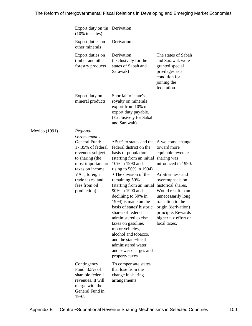|               | Export duty on tin Derivation<br>$(10\% \text{ to states})$                                                                                                                                                        |                                                                                                                                                                                                                                                                                                                                                                                                                                                                                                                                    |                                                                                                                                                                                                                                                                                                                |
|---------------|--------------------------------------------------------------------------------------------------------------------------------------------------------------------------------------------------------------------|------------------------------------------------------------------------------------------------------------------------------------------------------------------------------------------------------------------------------------------------------------------------------------------------------------------------------------------------------------------------------------------------------------------------------------------------------------------------------------------------------------------------------------|----------------------------------------------------------------------------------------------------------------------------------------------------------------------------------------------------------------------------------------------------------------------------------------------------------------|
|               | Export duties on<br>other minerals                                                                                                                                                                                 | Derivation                                                                                                                                                                                                                                                                                                                                                                                                                                                                                                                         |                                                                                                                                                                                                                                                                                                                |
|               | Export duties on<br>timber and other<br>forestry products                                                                                                                                                          | Derivation<br>(exclusively for the<br>states of Sabah and<br>Sarawak)                                                                                                                                                                                                                                                                                                                                                                                                                                                              | The states of Sabah<br>and Sarawak were<br>granted special<br>privileges as a<br>condition for<br>joining the<br>federation.                                                                                                                                                                                   |
|               | Export duty on<br>mineral products                                                                                                                                                                                 | Shortfall of state's<br>royalty on minerals<br>export from 10% of<br>export duty payable.<br>(Exclusively for Sabah<br>and Sarawak)                                                                                                                                                                                                                                                                                                                                                                                                |                                                                                                                                                                                                                                                                                                                |
| Mexico (1991) | Regional<br>Government:<br>General Fund:<br>17.35% of federal<br>revenues subject<br>to sharing (the<br>most important are<br>taxes on income,<br>VAT, foreign<br>trade taxes, and<br>fees from oil<br>production) | • 50% to states and the<br>federal district on the<br>basis of population<br>(starting from an initial<br>10% in 1990 and<br>rising to $50\%$ in 1994)<br>• The division of the<br>remaining 50%<br>(starting from an initial<br>90% in 1990 and<br>declining to 50% in<br>1994) is made on the<br>basis of states' historic<br>shares of federal<br>administered excise<br>taxes on gasoline,<br>motor vehicles,<br>alcohol and tobacco,<br>and the state-local<br>administered water<br>and sewer charges and<br>property taxes. | A welcome change<br>toward more<br>equitable revenue<br>sharing was<br>introduced in 1990.<br>Arbitrariness and<br>overemphasis on<br>historical shares.<br>Would result in an<br>unnecessarily long<br>transition to the<br>origin (derivation)<br>principle. Rewards<br>higher tax effort on<br>local taxes. |
|               | Contingency<br>Fund: 3.5% of<br>sharable federal<br>revenues. It will<br>merge with the<br>General Fund in<br>1997.                                                                                                | To compensate states<br>that lose from the<br>change in sharing<br>arrangements                                                                                                                                                                                                                                                                                                                                                                                                                                                    |                                                                                                                                                                                                                                                                                                                |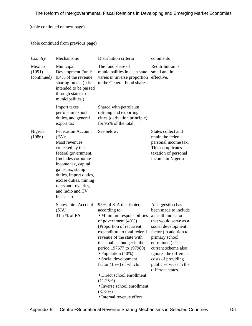(table continued on next page)

(table continued from previous page)

| Country                         | Mechanisms                                                                                                                                                                                                                                                                       | Distribution criteria                                                                                                                                                                                                                                                                                                                                                                                                                      | comments                                                                                                                                                                                                                                                                                           |
|---------------------------------|----------------------------------------------------------------------------------------------------------------------------------------------------------------------------------------------------------------------------------------------------------------------------------|--------------------------------------------------------------------------------------------------------------------------------------------------------------------------------------------------------------------------------------------------------------------------------------------------------------------------------------------------------------------------------------------------------------------------------------------|----------------------------------------------------------------------------------------------------------------------------------------------------------------------------------------------------------------------------------------------------------------------------------------------------|
| Mexico<br>(1991)<br>(continued) | Municipal<br>Development Fund:<br>0.4% of the revenue<br>sharing funds. (It is<br>intended to be passed<br>through states to<br>municipalities.)                                                                                                                                 | The fund share of<br>municipalities in each state<br>varies in inverse proportion<br>to the General Fund shares.                                                                                                                                                                                                                                                                                                                           | Reditribution is<br>small and in<br>effective.                                                                                                                                                                                                                                                     |
|                                 | Import taxes<br>petroleum export<br>duties, and general<br>export tax                                                                                                                                                                                                            | Shared with petroleum<br>refining and exporting<br>cities (derivation principle)<br>for 95% of the total.                                                                                                                                                                                                                                                                                                                                  |                                                                                                                                                                                                                                                                                                    |
| Nigeria<br>(1986)               | <b>Federation Account</b><br>$(FA)$ :<br>Most revenues<br>collected by the<br>federal government.<br>(Includes corporate<br>income tax, capital<br>gains tax, stamp<br>duties, import duties,<br>excise duties, mining<br>rents and royalties,<br>and radio and TV<br>licenses.) | See below.                                                                                                                                                                                                                                                                                                                                                                                                                                 | States collect and<br>retain the federal<br>personal income tax.<br>This complicates<br>taxation of personal<br>income in Nigeria                                                                                                                                                                  |
|                                 | <b>States Joint Account</b><br>(SJA):<br>31.5 % of FA                                                                                                                                                                                                                            | 95% of SJA distributed<br>according to:<br>• Minimum responsibilities<br>of government (40%)<br>(Proportion of recurrent<br>expenditure to total federal<br>revenue of the state with<br>the smallest budget in the<br>period 197677 to 197980)<br>• Population (40%)<br>• Social development<br>factor $(15%)$ of which:<br>• Direct school enrollment<br>(11.25%)<br>• Inverse school enrollment<br>(3.75%)<br>• Internal revenue effort | A suggestion has<br>been made to include<br>a health indicator<br>that would serve as a<br>social development<br>factor (in addition to<br>primary school<br>enrollment). The<br>current scheme also<br>ignores the different<br>costs of providing<br>public services in the<br>different states. |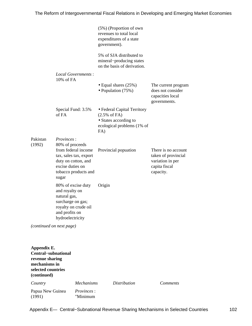|                          |                                                                                                                                                            | $(5%)$ (Proportion of own<br>revenues to total local<br>expenditures of a state<br>government).                      |                                                                                              |
|--------------------------|------------------------------------------------------------------------------------------------------------------------------------------------------------|----------------------------------------------------------------------------------------------------------------------|----------------------------------------------------------------------------------------------|
|                          |                                                                                                                                                            | 5% of SJA distributed to<br>mineral-producing states<br>on the basis of derivation.                                  |                                                                                              |
|                          | Local Governments:<br>10% of FA                                                                                                                            |                                                                                                                      |                                                                                              |
|                          |                                                                                                                                                            | • Equal shares $(25%)$<br>• Population $(75%)$                                                                       | The current program<br>does not consider<br>capacities local<br>governments.                 |
|                          | Special Fund: 3.5%<br>of FA                                                                                                                                | • Federal Capital Territory<br>$(2.5\% \text{ of FA})$<br>• States according to<br>ecological problems (1% of<br>FA) |                                                                                              |
| Pakistan<br>(1992)       | Provinces:<br>80% of proceeds<br>from federal income<br>tax, sales tax, export<br>duty on cotton, and<br>excise duties on<br>tobacco products and<br>sugar | Provincial popuation                                                                                                 | There is no account<br>taken of provincial<br>variation in per<br>capita fiscal<br>capacity. |
|                          | 80% of excise duty<br>and royalty on<br>natural gas,<br>surcharge on gas;<br>royalty on crude oil<br>and profits on<br>hydroelectricity                    | Origin                                                                                                               |                                                                                              |
| (continued on next page) |                                                                                                                                                            |                                                                                                                      |                                                                                              |

| Appendix E.<br><b>Central-subnational</b><br>revenue sharing<br>mechanisms in<br>selected countries<br>(continued) |                    |              |                 |  |
|--------------------------------------------------------------------------------------------------------------------|--------------------|--------------|-----------------|--|
| Country                                                                                                            | <i>Mechanisms</i>  | Distribution | <i>Comments</i> |  |
| Papua New Guinea                                                                                                   | <i>Provinces</i> : |              |                 |  |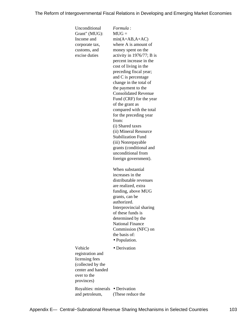| Unconditional<br>Grant" (MUG):<br>Income and<br>corporate tax,<br>customs, and<br>excise duties                      | Formula:<br>$MUG =$<br>$min(A+AB, A+AC)$<br>where A is amount of<br>money spent on the<br>activity in $1976/77$ ; B is<br>percent increase in the<br>cost of living in the<br>preceding fiscal year;<br>and C is percentage<br>change in the total of<br>the payment to the<br><b>Consolidated Revenue</b><br>Fund (CRF) for the year<br>of the grant as<br>compared with the total<br>for the preceding year<br>from:<br>(i) Shared taxes<br>(ii) Mineral Resource<br><b>Stabilization Fund</b><br>(iii) Nonrepayable<br>grants (conditional and<br>unconditional from<br>foreign government).<br>When substantial<br>increases in the<br>distributable revenues<br>are realized, extra<br>funding, above MUG<br>grants, can be<br>authorized.<br>Interprovincial sharing |
|----------------------------------------------------------------------------------------------------------------------|----------------------------------------------------------------------------------------------------------------------------------------------------------------------------------------------------------------------------------------------------------------------------------------------------------------------------------------------------------------------------------------------------------------------------------------------------------------------------------------------------------------------------------------------------------------------------------------------------------------------------------------------------------------------------------------------------------------------------------------------------------------------------|
|                                                                                                                      | of these funds is<br>determined by the<br><b>National Finance</b><br>Commission (NFC) on<br>the basis of:<br>· Population.                                                                                                                                                                                                                                                                                                                                                                                                                                                                                                                                                                                                                                                 |
| Vehicle<br>registration and<br>licensing fees<br>(collected by the<br>center and handed<br>over to the<br>provinces) | • Derivation                                                                                                                                                                                                                                                                                                                                                                                                                                                                                                                                                                                                                                                                                                                                                               |
| Royalties: minerals • Derivation<br>and petroleum,                                                                   | (These reduce the                                                                                                                                                                                                                                                                                                                                                                                                                                                                                                                                                                                                                                                                                                                                                          |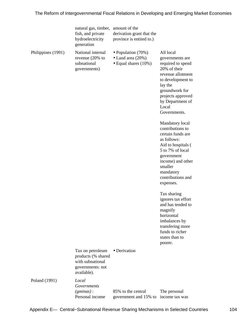|                    | natural gas, timber,<br>fish, and private<br>hydroelectricity<br>generation                   | amount of the<br>derivation grant that the<br>province is entited to.)          |                                                                                                                                                                                                                               |
|--------------------|-----------------------------------------------------------------------------------------------|---------------------------------------------------------------------------------|-------------------------------------------------------------------------------------------------------------------------------------------------------------------------------------------------------------------------------|
| Philippines (1991) | National internal<br>revenue $(20\%$ to<br>subnational<br>governments)                        | · Population (70%)<br>$\bullet$ Land area (20%)<br>$\bullet$ Equal shares (10%) | All local<br>governments are<br>required to spend<br>20% of their<br>revenue allotment<br>to development to<br>lay the<br>groundwork for<br>projects approved<br>by Department of<br>Local<br>Governments.<br>Mandatory local |
|                    |                                                                                               |                                                                                 | contributions to<br>certain funds are<br>as follows:<br>Aid to hospitals (<br>5 to 7% of local<br>government<br>income) and other<br>smaller<br>mandatory<br>contributions and<br>expenses.                                   |
|                    |                                                                                               |                                                                                 | Tax sharing<br>ignores tax effort<br>and has tended to<br>magnify<br>horizontal<br>imbalances by<br>transfering more<br>funds to richer<br>states than to<br>poorer.                                                          |
|                    | Tax on petroleum<br>products (% shared<br>with subnational<br>governments: not<br>available). | • Derivation                                                                    |                                                                                                                                                                                                                               |
| Poland (1991)      | Local<br>Governments<br>$(gminas)$ :<br>Personal income                                       | 85% to the central<br>government and 15% to                                     | The personal<br>income tax was                                                                                                                                                                                                |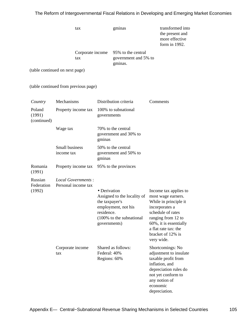| tax | gminas                                                      | transformed into<br>the present and<br>more effective<br>form in 1992. |
|-----|-------------------------------------------------------------|------------------------------------------------------------------------|
| tax | Corporate income 95% to the central<br>government and 5% to |                                                                        |
|     | gminas.                                                     |                                                                        |

(table continued on next page)

(table continued from previous page)

| Country                         | Mechanisms                                       | Distribution criteria                                                                                                                          | Comments                                                                                                                                                                                                               |
|---------------------------------|--------------------------------------------------|------------------------------------------------------------------------------------------------------------------------------------------------|------------------------------------------------------------------------------------------------------------------------------------------------------------------------------------------------------------------------|
| Poland<br>(1991)<br>(continued) | Property income tax                              | 100% to subnational<br>governments                                                                                                             |                                                                                                                                                                                                                        |
|                                 | Wage tax                                         | 70% to the central<br>government and 30% to<br>gminas                                                                                          |                                                                                                                                                                                                                        |
|                                 | Small business<br>income tax                     | 50% to the central<br>government and 50% to<br>gminas                                                                                          |                                                                                                                                                                                                                        |
| Romania<br>(1991)               | Property income tax                              | 95% to the provinces                                                                                                                           |                                                                                                                                                                                                                        |
| Russian<br>Federation<br>(1992) | <b>Local Governments:</b><br>Personal income tax | • Derivation<br>Assigned to the locality of<br>the taxpayer's<br>employment, not his<br>residence.<br>(100% to the subnational<br>governments) | Income tax applies to<br>most wage earners.<br>While in principle it<br>incorporates a<br>schedule of rates<br>ranging from 12 to<br>60%, it is essentially<br>a flat rate tax: the<br>bracket of 12% is<br>very wide. |
|                                 | Corporate income<br>tax                          | Shared as follows:<br>Federal: 40%<br>Regions: 60%                                                                                             | Shortcomings: No<br>adjustment to insulate<br>taxable profit from<br>inflation, and<br>depreciation rules do<br>not yet conform to<br>any notion of<br>economic<br>depreciation.                                       |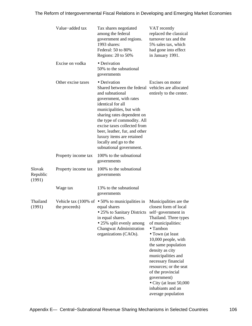|                              | Value-added tax     | Tax shares negotiated<br>among the federal<br>government and regions.<br>1993 shares:<br>Federal: 50 to 80%<br>Regions: $20$ to $50\%$                                                                                                                                                                                                                                       | VAT recently<br>replaced the classical<br>turnover tax and the<br>5% sales tax, which<br>had gone into effect<br>in January 1991.                                                                                                                                                                                                                                                                              |
|------------------------------|---------------------|------------------------------------------------------------------------------------------------------------------------------------------------------------------------------------------------------------------------------------------------------------------------------------------------------------------------------------------------------------------------------|----------------------------------------------------------------------------------------------------------------------------------------------------------------------------------------------------------------------------------------------------------------------------------------------------------------------------------------------------------------------------------------------------------------|
|                              | Excise on vodka     | • Derivation<br>50% to the subnational<br>governments                                                                                                                                                                                                                                                                                                                        |                                                                                                                                                                                                                                                                                                                                                                                                                |
|                              | Other excise taxes  | • Derivation<br>Shared between the federal vehicles are allocated<br>and subnational<br>government, with rates<br>identical for all<br>municipalities, but with<br>sharing rates dependent on<br>the type of commodity. All<br>excise taxes collected from<br>beer, leather, fur, and other<br>luxury items are retained<br>locally and go to the<br>subnational government. | Excises on motor<br>entirely to the center.                                                                                                                                                                                                                                                                                                                                                                    |
|                              | Property income tax | 100% to the subnational<br>governments                                                                                                                                                                                                                                                                                                                                       |                                                                                                                                                                                                                                                                                                                                                                                                                |
| Slovak<br>Republic<br>(1991) | Property income tax | 100% to the subnational<br>governments                                                                                                                                                                                                                                                                                                                                       |                                                                                                                                                                                                                                                                                                                                                                                                                |
|                              | Wage tax            | 13% to the subnational<br>governments                                                                                                                                                                                                                                                                                                                                        |                                                                                                                                                                                                                                                                                                                                                                                                                |
| Thailand<br>(1991)           | the proceeds)       | Vehicle tax (100% of $\bullet$ 50% to municipalities in<br>equal shares<br>• 25% to Sanitary Districts<br>in equal shares.<br>• 25% split evenly among<br><b>Changwat Administration</b><br>organizations (CAOs).                                                                                                                                                            | Municipalities are the<br>closest form of local<br>self-government in<br>Thailand. Three types<br>of municipalities:<br>$\bullet$ Tambon<br>• Town (at least<br>10,000 people, with<br>the same population<br>density as city<br>municipalities and<br>necessary financial<br>resources; or the seat<br>of the provincial<br>government)<br>• City (at least 50,000<br>inhabiants and an<br>average population |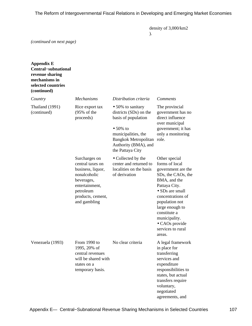density of 3,000/km2 ).

agreements, and

*(continued on next page)*

| <b>Appendix E</b><br><b>Central-subnational</b><br>revenue sharing<br>mechanisms in<br>selected countries<br>(continued) |                                                                                                                                                          |                                                                                                                                                                                   |                                                                                                                                                                                                                                                                             |
|--------------------------------------------------------------------------------------------------------------------------|----------------------------------------------------------------------------------------------------------------------------------------------------------|-----------------------------------------------------------------------------------------------------------------------------------------------------------------------------------|-----------------------------------------------------------------------------------------------------------------------------------------------------------------------------------------------------------------------------------------------------------------------------|
| Country                                                                                                                  | <i>Mechanisms</i>                                                                                                                                        | Distribution criteria                                                                                                                                                             | <i>Comments</i>                                                                                                                                                                                                                                                             |
| Thailand (1991)<br>(continued)                                                                                           | Rice export tax<br>$(95\% \text{ of the})$<br>proceeds)                                                                                                  | • 50% to sanitary<br>districts (SDs) on the<br>basis of population<br>$\bullet$ 50% to<br>municipalities, the<br>Bangkok Metropolitan<br>Authority (BMA), and<br>the Pattaya City | The provincial<br>government has no<br>direct influence<br>over municipal<br>government; it has<br>only a monitoring<br>role.                                                                                                                                               |
|                                                                                                                          | Surcharges on<br>central taxes on<br>business, liquor,<br>nonalcoholic<br>beverages,<br>entertainment,<br>petroleum<br>products, cement,<br>and gambling | • Collected by the<br>center and returned to<br>localities on the basis<br>of derivation                                                                                          | Other special<br>forms of local<br>government are the<br>SDs, the CAOs, the<br>BMA, and the<br>Pattaya City.<br>• SDs are small<br>concentrations of<br>population not<br>large enough to<br>constitute a<br>municipality.<br>• CAOs provide<br>services to rural<br>areas. |
| Venezuela (1993)                                                                                                         | From 1990 to<br>1995, 20% of<br>central revenues<br>will be shared with<br>states on a<br>temporary basis.                                               | No clear criteria                                                                                                                                                                 | A legal framework<br>in place for<br>transferring<br>services and<br>expenditure<br>responsibilities to<br>states, but actual<br>transfers require<br>voluntary,<br>negotiated                                                                                              |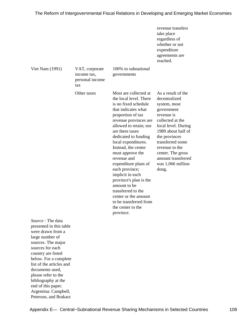|                                                                                                                                                                                                                             |                                                         |                                                                                                                                                                                                                                                                                                                                                                                                                                                                                                                      | revenue transfers<br>take place<br>regardless of<br>whether or not<br>expenditure<br>agreements are<br>reached.                                                                                                                                                                  |
|-----------------------------------------------------------------------------------------------------------------------------------------------------------------------------------------------------------------------------|---------------------------------------------------------|----------------------------------------------------------------------------------------------------------------------------------------------------------------------------------------------------------------------------------------------------------------------------------------------------------------------------------------------------------------------------------------------------------------------------------------------------------------------------------------------------------------------|----------------------------------------------------------------------------------------------------------------------------------------------------------------------------------------------------------------------------------------------------------------------------------|
| Viet Nam (1991)                                                                                                                                                                                                             | VAT, corporate<br>income tax,<br>personal income<br>tax | 100% to subnational<br>governments                                                                                                                                                                                                                                                                                                                                                                                                                                                                                   |                                                                                                                                                                                                                                                                                  |
|                                                                                                                                                                                                                             | Other taxes                                             | Most are collected at<br>the local level. There<br>is no fixed schedule<br>that indicates what<br>proportion of tax<br>revenue provinces are<br>allowed to retain; nor<br>are there taxes<br>dedicated to funding<br>local expenditures.<br>Instead, the center<br>must approve the<br>revenue and<br>expenditure plans of<br>each province;<br>implicit in each<br>province's plan is the<br>amount to be<br>transferred to the<br>center or the amount<br>to be transferred from<br>the center to the<br>province. | As a result of the<br>decentralized<br>system, most<br>government<br>revenue is<br>collected at the<br>local level. During<br>1989 about half of<br>the provinces<br>transferred some<br>revenue to the<br>center. The gross<br>amount transferred<br>was 1,066 million<br>dong. |
| Source: The data<br>presented in this table<br>were drawn from a<br>large number of<br>sources. The major<br>sources for each<br>country are listed<br>below. For a complete<br>list of the articles and<br>documents used, |                                                         |                                                                                                                                                                                                                                                                                                                                                                                                                                                                                                                      |                                                                                                                                                                                                                                                                                  |
| please refer to the<br>bibliography at the<br>end of this paper.<br>Argentina: Campbell,                                                                                                                                    |                                                         |                                                                                                                                                                                                                                                                                                                                                                                                                                                                                                                      |                                                                                                                                                                                                                                                                                  |

Peterson, and Brakarz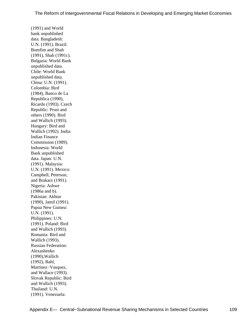(1991) and World bank unpublished data. Bangladesh: U.N. (1991). Brazil: Bomfim and Shah (1991), Shah (1991c). Bulgaria: World Bank unpublished data. Chile: World Bank unpublished data. China: U.N. (1991). Colombia: Bird (1984), Banco de La Republica (1990), Ricardo (1993). Czech Republic: Prust and others (1990). Bird and Wallich (1993). Hungary: Bird and Wallich (1992). India: Indian Finance Commission (1989). Indonesia: World Bank unpublished data. Japan: U.N. (1991). Malaysia: U.N. (1991). Mexico: Campbell, Peterson, and Brakarz (1991). Nigeria: Ashwe (1986a and b). Pakistan: Akhtar (1990), Jamil (1991). Papua New Guinea: U.N. (1991). Philippines: U.N. (1991). Poland: Bird and Wallich (1993). Romania: Bird and Wallich (1993). Russian Federation: Alexashenko (1990),Wallich (1992), Bahl, Martinez−Vasquez, and Wallace (1993). Slovak Republic: Bird and Wallich (1993). Thailand: U.N. (1991). Venezuela: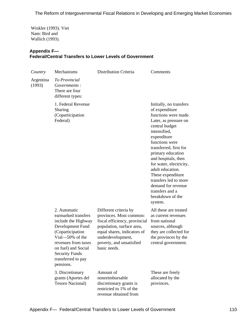Winkler (1993). Viet Nam: Bird and Wallich (1993).

### **Appendix F— Federal/Central Transfers to Lower Levels of Government**

| Country             | Mechanisms                                                                                                                                                                                                                      | Distribution Criteria                                                                                                                                                                                          | Comments                                                                                                                                                                                                                                                                                                                                                                                                 |
|---------------------|---------------------------------------------------------------------------------------------------------------------------------------------------------------------------------------------------------------------------------|----------------------------------------------------------------------------------------------------------------------------------------------------------------------------------------------------------------|----------------------------------------------------------------------------------------------------------------------------------------------------------------------------------------------------------------------------------------------------------------------------------------------------------------------------------------------------------------------------------------------------------|
| Argentina<br>(1993) | To Provincial<br>Governments:<br>There are four<br>different types:                                                                                                                                                             |                                                                                                                                                                                                                |                                                                                                                                                                                                                                                                                                                                                                                                          |
|                     | 1. Federal Revenue<br>Sharing<br>(Coparticipation<br>Federal)                                                                                                                                                                   |                                                                                                                                                                                                                | Initially, no transfers<br>of expenditure<br>functions were made.<br>Later, as pressure on<br>central budget<br>intensified,<br>expenditure<br>functions were<br>transferred, first for<br>primary education<br>and hospitals, then<br>for water, electricity,<br>adult education.<br>These expenditure<br>transfers led to more<br>demand for revenue<br>transfers and a<br>breakdown of the<br>system. |
|                     | 2. Automatic<br>earmarked transfers<br>include the Highway<br>Development Fund<br>(Coparticipation<br>Vial-50% of the<br>revenues from taxes<br>on fuel) and Social<br><b>Security Funds</b><br>transferred to pay<br>pensions. | Different criteria by<br>provinces. Most common:<br>fiscal efficiency, provincial<br>population, surface area,<br>equal shares, indicators of<br>underdevelopment,<br>poverty, and unsatisfied<br>basic needs. | All these are treated<br>as current revenues<br>from national<br>sources, although<br>they are collected for<br>the provinces by the<br>central government.                                                                                                                                                                                                                                              |
|                     | 3. Discretionary<br>grants (Aportes del<br><b>Tesoro Nacional)</b>                                                                                                                                                              | Amount of<br>nonreimbursable<br>discretionary grants is<br>restricted to 1% of the<br>revenue obtained from                                                                                                    | These are freely<br>allocated by the<br>provinces.                                                                                                                                                                                                                                                                                                                                                       |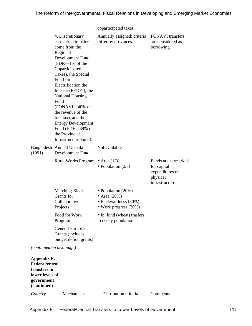|                                                                                                      |                                                                                                                                                                                                                                                                                                                                                                                                         | coparticipated taxes.                                                                          |                                                                                      |
|------------------------------------------------------------------------------------------------------|---------------------------------------------------------------------------------------------------------------------------------------------------------------------------------------------------------------------------------------------------------------------------------------------------------------------------------------------------------------------------------------------------------|------------------------------------------------------------------------------------------------|--------------------------------------------------------------------------------------|
|                                                                                                      | 4. Discretionary<br>earmarked transfers<br>come from the<br>Regional<br>Development Fund<br>$(FDR-1%$ of the<br>Coparticipated<br>Taxes), the Special<br>Fund for<br>Electrification the<br>Interior (FEDEI), the<br>National Housing<br>Fund<br>(FONAVI-40% of<br>the revenue of the<br>fuel tax), and the<br><b>Energy Development</b><br>Fund (EDF-34% of<br>the Provincial<br>Infrastructure Fund). | Annually assigned; criteria<br>differ by provinces.                                            | <b>FONAVI</b> transfers<br>are considered as<br>borrowing.                           |
| (1991)                                                                                               | Bangladesh Annual Upazila<br>Development Fund                                                                                                                                                                                                                                                                                                                                                           | Not available                                                                                  |                                                                                      |
|                                                                                                      | Rural Works Program $\bullet$ Area (1/3)                                                                                                                                                                                                                                                                                                                                                                | • Population $(2/3)$                                                                           | Funds are earmarked<br>for capital<br>expenditures on<br>physical<br>infrastructure. |
|                                                                                                      | <b>Matching Block</b><br>Grants for<br>Collaborative<br>Projects                                                                                                                                                                                                                                                                                                                                        | • Population $(20\%)$<br>$\bullet$ Area (20%)<br>• Backwardness (30%)<br>• Work progress (30%) |                                                                                      |
|                                                                                                      | Food for Work<br>Program                                                                                                                                                                                                                                                                                                                                                                                | • In-kind (wheat) trasfers<br>to needy population                                              |                                                                                      |
|                                                                                                      | <b>General Purpose</b><br>Grants (includes<br>budget deficit grants)                                                                                                                                                                                                                                                                                                                                    |                                                                                                |                                                                                      |
|                                                                                                      | (continued on next page)                                                                                                                                                                                                                                                                                                                                                                                |                                                                                                |                                                                                      |
| Appendix F.<br><b>Federal/entral</b><br>transfers to<br>lower levels of<br>government<br>(continued) |                                                                                                                                                                                                                                                                                                                                                                                                         |                                                                                                |                                                                                      |
| Country                                                                                              | Mechanisms                                                                                                                                                                                                                                                                                                                                                                                              | Distribution criteria                                                                          | Comments                                                                             |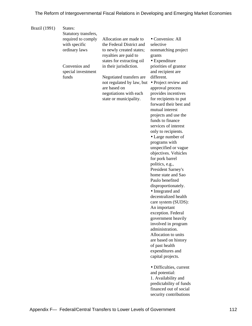| Brazil (1991) | States:<br>Statutory transfers,                      |                                                                                                                                                                                  |                                                                                                                                                                                                                                                                                                                                                                                                                                                                                                                                                                             |
|---------------|------------------------------------------------------|----------------------------------------------------------------------------------------------------------------------------------------------------------------------------------|-----------------------------------------------------------------------------------------------------------------------------------------------------------------------------------------------------------------------------------------------------------------------------------------------------------------------------------------------------------------------------------------------------------------------------------------------------------------------------------------------------------------------------------------------------------------------------|
|               | required to comply<br>with specific<br>ordinary laws | Allocation are made to<br>the Federal District and<br>to newly created states;<br>royalties are paid to                                                                          | • Convenios: All<br>selective<br>nonmatching project<br>grants                                                                                                                                                                                                                                                                                                                                                                                                                                                                                                              |
|               | Convenios and<br>special investment<br>funds         | states for extracting oil<br>in their jurisdiction.<br>Negotiated transfers are<br>not regulated by law, but<br>are based on<br>negotiations with each<br>state or municipality. | · Expenditure<br>priorities of grantor<br>and recipient are<br>different.<br>• Project review and<br>approval process<br>provides incentives<br>for recipients to put<br>forward their best and<br>mutual interest<br>projects and use the<br>funds to finance<br>services of interest<br>only to recipients.<br>• Large number of<br>programs with<br>unspecified or vague<br>objectives. Vehicles<br>for pork barrel<br>politics, e.g.,<br>President Sarney's<br>home state and Sao<br>Paulo benefited<br>disproportionately.<br>• Integrated and<br>decentralized health |
|               |                                                      |                                                                                                                                                                                  | care system (SUDS):<br>An important<br>exception. Federal<br>government heavily<br>involved in program<br>administration.<br>Allocation to units<br>are based on history<br>of past health<br>expenditures and<br>capital projects.<br>• Difficulties, current<br>and potential:<br>1. Availability and<br>predictability of funds<br>financed out of social                                                                                                                                                                                                                |
|               |                                                      |                                                                                                                                                                                  | security contributions                                                                                                                                                                                                                                                                                                                                                                                                                                                                                                                                                      |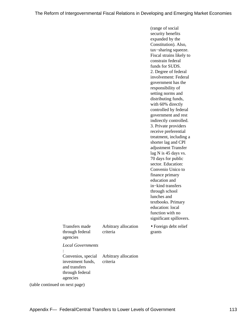(range of social security benefits expanded by the Constitution). Also, tax−sharing squeeze. Fiscal strains likely to constrain federal funds for SUDS. 2. Degree of federal involvement: Federal government has the responsibility of setting norms and distributing funds, with 60% directly controlled by federal government and rest indirectly controlled. 3. Private providers receive preferential treatment, including a shorter lag and CPI adjustment Transfer lag N is 45 days vs. 70 days for public sector. Education: Convenio Unico to finance primary education and in−kind transfers through school lunches and textbooks. Primary education: local function with no significant spillovers. • Foreign debt relief grants

*Local Governments*

Transfers made through federal

agencies

: Convenios, special investment funds, and transfers through federal agencies Arbitrary allocation criteria

Arbitrary allocation

criteria

(table continued on next page)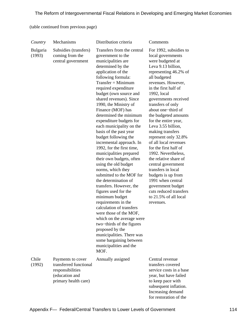(table continued from previous page)

| Country                   | Mechanisms                                                                                                | Distribution criteria                                                                                                                                                                                                                                                                                                                                                                                                                                                                                                                                                                                                                                                                                                                                                                                                                                                                                                                                                  | Comments                                                                                                                                                                                                                                                                                                                                                                                                                                                                                                                                                                                                                                                       |
|---------------------------|-----------------------------------------------------------------------------------------------------------|------------------------------------------------------------------------------------------------------------------------------------------------------------------------------------------------------------------------------------------------------------------------------------------------------------------------------------------------------------------------------------------------------------------------------------------------------------------------------------------------------------------------------------------------------------------------------------------------------------------------------------------------------------------------------------------------------------------------------------------------------------------------------------------------------------------------------------------------------------------------------------------------------------------------------------------------------------------------|----------------------------------------------------------------------------------------------------------------------------------------------------------------------------------------------------------------------------------------------------------------------------------------------------------------------------------------------------------------------------------------------------------------------------------------------------------------------------------------------------------------------------------------------------------------------------------------------------------------------------------------------------------------|
| <b>Bulgaria</b><br>(1993) | Subsidies (transfers)<br>coming from the<br>central government                                            | Transfers from the central<br>government to the<br>municipalities are<br>determined by the<br>application of the<br>following formula:<br>$Transfer = Minimum$<br>required expenditure<br>budget (own source and<br>shared revenues). Since<br>1990, the Ministry of<br>Finance (MOF) has<br>determined the minimum<br>expenditure budgets for<br>each municipality on the<br>basis of the past year<br>budget following the<br>incremental approach. In<br>1992, for the first time,<br>municipalities prepared<br>their own budgets, often<br>using the old budget<br>norms, which they<br>submitted to the MOF for<br>the determination of<br>transfers. However, the<br>figures used for the<br>minimum budget<br>requirements in the<br>calculation of transfers<br>were those of the MOF,<br>which on the average were<br>two-thirds of the figures<br>proposed by the<br>municipalities. There was<br>some bargaining between<br>municipalities and the<br>MOF. | For 1992, subsidies to<br>local governments<br>were budgeted at<br>Leva 9.13 billion,<br>representing 46.2% of<br>all budgeted<br>revenues. However,<br>in the first half of<br>1992, local<br>governments received<br>transfers of only<br>about one-third of<br>the budgeted amounts<br>for the entire year,<br>Leva 3.55 billion,<br>making transfers<br>represent only 32.8%<br>of all local revenues<br>for the first half of<br>1992. Nevertheless,<br>the relative share of<br>central government<br>transfers in local<br>budgets is up from<br>1991 when central<br>government budget<br>cuts reduced transfers<br>to 21.5% of all local<br>revenues. |
| Chile<br>(1992)           | Payments to cover<br>transferred functional<br>responsibilities<br>(education and<br>primary health care) | Annually assigned                                                                                                                                                                                                                                                                                                                                                                                                                                                                                                                                                                                                                                                                                                                                                                                                                                                                                                                                                      | Central revenue<br>transfers covered<br>service costs in a base<br>year, but have failed<br>to keep pace with<br>subsequent inflation.<br>Increasing demand<br>for restoration of the                                                                                                                                                                                                                                                                                                                                                                                                                                                                          |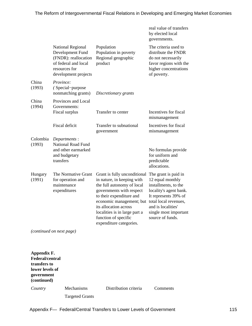|                    |                                                                                                                                       |                                                                                                                                                                                                                                                                                           | real value of transfers<br>by elected local<br>governments.                                                                                                                                                    |
|--------------------|---------------------------------------------------------------------------------------------------------------------------------------|-------------------------------------------------------------------------------------------------------------------------------------------------------------------------------------------------------------------------------------------------------------------------------------------|----------------------------------------------------------------------------------------------------------------------------------------------------------------------------------------------------------------|
|                    | <b>National Regional</b><br>Development Fund<br>(FNDR): reallocation<br>of federal and local<br>resources for<br>development projects | Population<br>Population in poverty<br>Regional geographic<br>product                                                                                                                                                                                                                     | The criteria used to<br>distribute the FNDR<br>do not necessarily<br>favor regions with the<br>higher concentrations<br>of poverty.                                                                            |
| China<br>(1993)    | Province:<br>(Special-purpose<br>nonmatching grants)                                                                                  | Discretionary grants                                                                                                                                                                                                                                                                      |                                                                                                                                                                                                                |
| China<br>(1994)    | Provinces and Local<br>Governments:                                                                                                   |                                                                                                                                                                                                                                                                                           |                                                                                                                                                                                                                |
|                    | Fiscal surplus                                                                                                                        | Transfer to center                                                                                                                                                                                                                                                                        | Incentives for fiscal<br>mismanagement                                                                                                                                                                         |
|                    | <b>Fiscal deficit</b>                                                                                                                 | Transfer to subnational<br>government                                                                                                                                                                                                                                                     | Incentives for fiscal<br>mismanagement                                                                                                                                                                         |
| Colombia<br>(1993) | Departments:<br><b>National Road Fund</b><br>and other earmarked<br>and budgetary<br>transfers                                        |                                                                                                                                                                                                                                                                                           | No formulas provide<br>for uniform and<br>predictable<br>allocations.                                                                                                                                          |
| Hungary<br>(1991)  | The Normative Grant<br>for operation and<br>maintenance<br>expenditures                                                               | Grant is fully unconditional<br>in nature, in keeping with<br>the full autonomy of local<br>governments with respect<br>to their expenditure and<br>economic management; but<br>its allocation across<br>localities is in large part a<br>function of specific<br>expenditure categories. | The grant is paid in<br>12 equal monthly<br>installments, to the<br>locality's agent bank.<br>It represents 39% of<br>total local revenues,<br>and is localities'<br>single most important<br>source of funds. |

*(continued on next page)*

| Appendix F.<br><b>Federal/central</b><br>transfers to<br>lower levels of<br>government<br>(continued) |                        |                       |          |
|-------------------------------------------------------------------------------------------------------|------------------------|-----------------------|----------|
| Country                                                                                               | Mechanisms             | Distribution criteria | Comments |
|                                                                                                       | <b>Targeted Grants</b> |                       |          |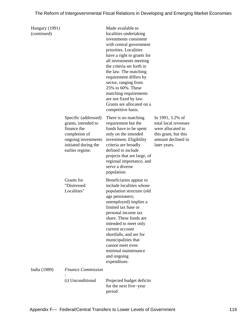| Hungary (1991)<br>(continued) |                                                                                                                                               | Made available to<br>localities undertaking<br>investments consistent<br>with central government<br>priorities. Localities<br>have a right to grants for<br>all investments meeting<br>the criteria set forth in<br>the law. The matching<br>requirement differs by<br>sector, ranging from<br>25% to 60%. These<br>matching requirements<br>are not fixed by law.<br>Grants are allocated on a<br>competitive basis. |                                                                                                                             |
|-------------------------------|-----------------------------------------------------------------------------------------------------------------------------------------------|-----------------------------------------------------------------------------------------------------------------------------------------------------------------------------------------------------------------------------------------------------------------------------------------------------------------------------------------------------------------------------------------------------------------------|-----------------------------------------------------------------------------------------------------------------------------|
|                               | Specific (addressed)<br>grants, intended to<br>finance the<br>completion of<br>ongoing investments<br>initiated during the<br>earlier regime. | There is no matching<br>requirement but the<br>funds have to be spent<br>only on the intended<br>investment. Eligibility<br>criteria are broadly<br>defined to include<br>projects that are large, of<br>regional importance, and<br>serve a diverse<br>population.                                                                                                                                                   | In 1991, 3.2% of<br>total local revenues<br>were allocated to<br>this grant, but this<br>amount declined in<br>later years. |
|                               | Grants for<br>"Distressed<br>Localities"                                                                                                      | Beneficiaries appear to<br>include localities whose<br>population structure (old<br>age pensioners;<br>unemployed) implies a<br>limited tax base or<br>personal income tax<br>share. These funds are<br>intended to meet only<br>current account<br>shortfalls, and are for<br>municipalities that<br>cannot meet even<br>minimal maintenance<br>and ongoing<br>expenditure.                                          |                                                                                                                             |
| India (1989)                  | <b>Finance Commission</b>                                                                                                                     |                                                                                                                                                                                                                                                                                                                                                                                                                       |                                                                                                                             |
|                               | (i) Unconditional                                                                                                                             | Projected budget deficits<br>for the next five-year<br>period                                                                                                                                                                                                                                                                                                                                                         |                                                                                                                             |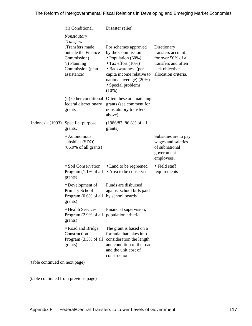|                  | (ii) Conditional                                                                                                                             | Disaster relief                                                                                                                                                                                                   |                                                                                                                          |
|------------------|----------------------------------------------------------------------------------------------------------------------------------------------|-------------------------------------------------------------------------------------------------------------------------------------------------------------------------------------------------------------------|--------------------------------------------------------------------------------------------------------------------------|
|                  | <b>Nonstautory</b><br>Transfers:<br>(Transfers made<br>outside the Finance<br>Commission)<br>(i) Planning<br>Commission (plan<br>assistance) | For schemes approved<br>by the Commission<br>$\bullet$ Population (60%)<br>• Tax effort $(10\%)$<br>• Backwardness (per<br>capita income relative to<br>national average) (20%)<br>• Special problems<br>$(10\%)$ | Diretionary<br>transfers account<br>for over 50% of all<br>transfers and often<br>lack objective<br>allocation criteria. |
|                  | federal discretionary<br>grants                                                                                                              | (ii) Other conditional Often these are matching<br>grants (see comment for<br>nonstatutory transfers<br>above)                                                                                                    |                                                                                                                          |
| Indonesia (1993) | Specific-purpose<br>grants:                                                                                                                  | $(1986/87: 86.8\% \text{ of all})$<br>grants)                                                                                                                                                                     |                                                                                                                          |
|                  | • Autonomous<br>subsidies (SDO)<br>$(66.9\% \text{ of all grants})$                                                                          |                                                                                                                                                                                                                   | Subsidies are to pay<br>wages and salaries<br>of subnational<br>government<br>employees.                                 |
|                  | • Soil Conservation<br>Program $(1.1\% \text{ of all})$<br>grants)                                                                           | • Land to be regreened<br>• Area to be conserved                                                                                                                                                                  | • Field staff<br>requirements                                                                                            |
|                  | • Development of<br>Primary School<br>Program (0.6% of all<br>grants)                                                                        | Funds are disbursed<br>against school bills paid<br>by school boards                                                                                                                                              |                                                                                                                          |
|                  | • Health Services<br>Program (2.9% of all population criteria<br>grants)                                                                     | Financial supervision;                                                                                                                                                                                            |                                                                                                                          |
|                  | • Road and Bridge<br>Construction<br>Program (3.3% of all<br>grants)                                                                         | The grant is based on a<br>formula that takes into<br>consideration the length<br>and condition of the road<br>and the unit cost of<br>construction.                                                              |                                                                                                                          |
|                  |                                                                                                                                              |                                                                                                                                                                                                                   |                                                                                                                          |

(table continued on next page)

(table continued from previous page)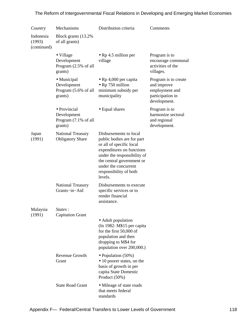| Country                            | Mechanisms                                                     | Distribution criteria                                                                                                                                                                                                                  | Comments                                                                                  |
|------------------------------------|----------------------------------------------------------------|----------------------------------------------------------------------------------------------------------------------------------------------------------------------------------------------------------------------------------------|-------------------------------------------------------------------------------------------|
| Indonesia<br>(1993)<br>(continued) | Block grants (13.2%)<br>of all grants)                         |                                                                                                                                                                                                                                        |                                                                                           |
|                                    | • Village<br>Development<br>Program (2.5% of all<br>grants)    | $\bullet$ Rp 4.5 million per<br>village                                                                                                                                                                                                | Program is to<br>encourage communal<br>activities of the<br>villages.                     |
|                                    | • Municipal<br>Development<br>Program (5.6% of all<br>grants)  | • Rp 4,000 per capita<br>• Rp 750 million<br>minimum subsidy per<br>municipality                                                                                                                                                       | Program is to create<br>and improve<br>employment and<br>participation in<br>development. |
|                                    | • Provincial<br>Development<br>Program (7.1% of all<br>grants) | • Equal shares                                                                                                                                                                                                                         | Program is to<br>harmonize sectoral<br>and regional<br>development.                       |
| Japan<br>(1991)                    | <b>National Treasury</b><br><b>Obligatory Share</b>            | Disbursements to local<br>public bodies are for part<br>or all of specific local<br>expenditures on functions<br>under the responsibility of<br>the central government or<br>under the concurrent<br>responsibility of both<br>levels. |                                                                                           |
|                                    | <b>National Treasury</b><br>Grants-in-Aid                      | Disbursements to execute<br>specific services or to<br>render financial<br>assistance.                                                                                                                                                 |                                                                                           |
| Malaysia<br>(1991)                 | States:<br><b>Capitation Grant</b>                             | • Adult population<br>(In 1982: M\$15 per capita)<br>for the first $50,000$ of<br>population and then<br>dropping to M\$4 for<br>population over 200,000.)                                                                             |                                                                                           |
|                                    | Revenue Growth<br>Grant                                        | $\bullet$ Population (50%)<br>• 10 poorer states, on the<br>basis of growth in per<br>capita State Domestic<br>Product (50%)                                                                                                           |                                                                                           |
|                                    | <b>State Road Grant</b>                                        | • Mileage of state roads<br>that meets federal<br>standards                                                                                                                                                                            |                                                                                           |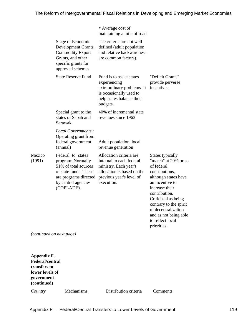|                          | Stage of Economic<br>Development Grants,<br><b>Commodity Export</b><br>Grants, and other<br>specific grants for<br>approved schemes                   | • Average cost of<br>maintaining a mile of road<br>The criteria are not well<br>defined (adult population<br>and relative backwardness<br>are common factors). |                                                                                                                                                                                                                                                                                            |
|--------------------------|-------------------------------------------------------------------------------------------------------------------------------------------------------|----------------------------------------------------------------------------------------------------------------------------------------------------------------|--------------------------------------------------------------------------------------------------------------------------------------------------------------------------------------------------------------------------------------------------------------------------------------------|
|                          | <b>State Reserve Fund</b>                                                                                                                             | Fund is to assist states<br>experiencing<br>extraordinary problems. It<br>is occasionally used to<br>help states balance their<br>budgets.                     | "Deficit Grants"<br>provide perverse<br>incentives.                                                                                                                                                                                                                                        |
|                          | Special grant to the<br>states of Sabah and<br>Sarawak                                                                                                | 40% of incremental state<br>revenues since 1963                                                                                                                |                                                                                                                                                                                                                                                                                            |
|                          | Local Governments:<br>Operating grant from<br>federal government<br>(annual)                                                                          | Adult population, local<br>revenue generation                                                                                                                  |                                                                                                                                                                                                                                                                                            |
| Mexico<br>(1991)         | Federal-to-states<br>program: Normally<br>51% of total sources<br>of state funds. These<br>are programs directed<br>by central agencies<br>(COPLADE). | Allocation criteria are<br>internal to each federal<br>ministry. Each year's<br>allocation is based on the<br>previous year's level of<br>execution.           | States typically<br>"match" at 20% or so<br>of federal<br>contributions,<br>although states have<br>an incentive to<br>increase their<br>contribution.<br>Criticized as being<br>contrary to the spirit<br>of decentralization<br>and as not being able<br>to reflect local<br>priorities. |
| (continued on next page) |                                                                                                                                                       |                                                                                                                                                                |                                                                                                                                                                                                                                                                                            |

**Appendix F. Federal/central transfers to lower levels of government (continued)**

*Country* Mechanisms Distribution criteria Comments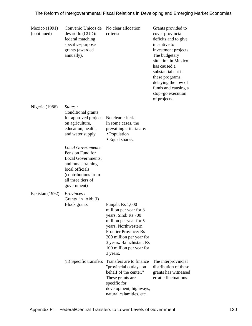| Mexico (1991)<br>(continued) | Convenio Unicos de<br>desarollo (CUD):<br>federal matching<br>specific-purpose<br>grants (awarded<br>annually).                                                          | No clear allocation<br>criteria                                                                                                                                                                                                                    | Grants provided to<br>cover provincial<br>deficits and to give<br>incentive to<br>investment projects.<br>The budgetary<br>situation in Mexico<br>has caused a<br>substantial cut in<br>these programs,<br>delaying the low of<br>funds and causing a<br>stop-go execution<br>of projects. |
|------------------------------|--------------------------------------------------------------------------------------------------------------------------------------------------------------------------|----------------------------------------------------------------------------------------------------------------------------------------------------------------------------------------------------------------------------------------------------|--------------------------------------------------------------------------------------------------------------------------------------------------------------------------------------------------------------------------------------------------------------------------------------------|
| Nigeria (1986)               | States:<br>Conditional grants<br>for approved projects No clear criteria<br>on agriculture,<br>education, health,<br>and water supply                                    | In some cases, the<br>prevailing criteria are:<br>• Population<br>• Equal shares.                                                                                                                                                                  |                                                                                                                                                                                                                                                                                            |
|                              | <b>Local Governments:</b><br>Pension Fund for<br>Local Governments;<br>and funds training<br>local officials<br>(contributions from<br>all three tiers of<br>government) |                                                                                                                                                                                                                                                    |                                                                                                                                                                                                                                                                                            |
| Pakistan (1992)              | <i>Provinces</i> :<br>Grants-in-Aid: $(i)$<br><b>Block</b> grants                                                                                                        | Punjab: Rs 1,000<br>million per year for 3<br>years. Sind: Rs 700<br>million per year for 5<br>years. Northwestern<br><b>Frontier Province: Rs</b><br>200 million per year for<br>3 years. Baluchistan: Rs<br>100 million per year for<br>3 years. |                                                                                                                                                                                                                                                                                            |
|                              | (ii) Specific transfers                                                                                                                                                  | Transfers are to finance<br>"provincial outlays on<br>behalf of the center."<br>These grants are<br>specific for<br>development, highways,<br>natural calamities, etc.                                                                             | The interprovincial<br>distribution of these<br>grants has witnessed<br>erratic fluctuations.                                                                                                                                                                                              |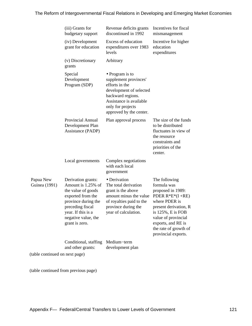|                                | (iii) Grants for<br>budgetary support                                                                                                                                                         | Revenue deficits grants<br>discontinued in 1992                                                                                                                                               | Incentives for fiscal<br>mismanagement                                                                                                                                                                                             |
|--------------------------------|-----------------------------------------------------------------------------------------------------------------------------------------------------------------------------------------------|-----------------------------------------------------------------------------------------------------------------------------------------------------------------------------------------------|------------------------------------------------------------------------------------------------------------------------------------------------------------------------------------------------------------------------------------|
|                                | (iv) Development<br>grant for education                                                                                                                                                       | Excess of education<br>expenditures over 1983<br>levels                                                                                                                                       | Incentive for higher<br>education<br>expenditures                                                                                                                                                                                  |
|                                | (v) Discretionary<br>grants                                                                                                                                                                   | Arbitrary                                                                                                                                                                                     |                                                                                                                                                                                                                                    |
|                                | Special<br>Development<br>Program (SDP)                                                                                                                                                       | $\bullet$ Program is to<br>supplement provinces'<br>efforts in the<br>development of selected<br>backward regions.<br>Assistance is available<br>only for projects<br>approved by the center. |                                                                                                                                                                                                                                    |
|                                | Provincial Annual<br>Development Plan<br>Assistance (PADP)                                                                                                                                    | Plan approval process                                                                                                                                                                         | The size of the funds<br>to be distributed<br>fluctuates in view of<br>the resource<br>constraints and<br>priorities of the<br>center.                                                                                             |
|                                | Local governments                                                                                                                                                                             | Complex negotiations<br>with each local<br>government                                                                                                                                         |                                                                                                                                                                                                                                    |
| Papua New<br>Guinea (1991)     | Derivation grants:<br>Amount is 1.25% of<br>the value of goods<br>exported from the<br>province during the<br>preceding fiscal<br>year. If this is a<br>negative value, the<br>grant is zero. | • Derivation<br>The total derivation<br>grant is the above<br>amount minus the value<br>of royalties paid to the<br>province during the<br>year of calculation.                               | The following<br>formula was<br>proposed in 1989:<br>PDER $R*E*(I+RE)$<br>where PDER is<br>present derivation, R<br>is 125%, E is FOB<br>value of provincial<br>exports, and RE is<br>the rate of growth of<br>provincial exports. |
|                                | Conditional, staffing<br>and other grants:                                                                                                                                                    | Medium-term<br>development plan                                                                                                                                                               |                                                                                                                                                                                                                                    |
| (table continued on next page) |                                                                                                                                                                                               |                                                                                                                                                                                               |                                                                                                                                                                                                                                    |

(table continued from previous page)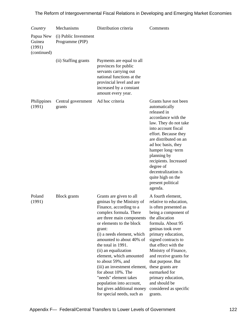| Country                                      | Mechanisms                               | Distribution criteria                                                                                                                                                                                                                                                                                                                                                                                                                                                                                       | Comments                                                                                                                                                                                                                                                                                                                                                                                                             |
|----------------------------------------------|------------------------------------------|-------------------------------------------------------------------------------------------------------------------------------------------------------------------------------------------------------------------------------------------------------------------------------------------------------------------------------------------------------------------------------------------------------------------------------------------------------------------------------------------------------------|----------------------------------------------------------------------------------------------------------------------------------------------------------------------------------------------------------------------------------------------------------------------------------------------------------------------------------------------------------------------------------------------------------------------|
| Papua New<br>Guinea<br>(1991)<br>(continued) | (i) Public Investment<br>Programme (PIP) |                                                                                                                                                                                                                                                                                                                                                                                                                                                                                                             |                                                                                                                                                                                                                                                                                                                                                                                                                      |
|                                              | (ii) Staffing grants                     | Payments are equal to all<br>provinces for public<br>servants carrying out<br>national functions at the<br>provincial level and are<br>increased by a constant<br>amount every year.                                                                                                                                                                                                                                                                                                                        |                                                                                                                                                                                                                                                                                                                                                                                                                      |
| Philippines<br>(1991)                        | Central government<br>grants             | Ad hoc criteria                                                                                                                                                                                                                                                                                                                                                                                                                                                                                             | Grants have not been<br>automatically<br>released in<br>accordance with the<br>law. They do not take<br>into account fiscal<br>effort. Because they<br>are distributed on an<br>ad hoc basis, they<br>hamper long-term<br>planning by<br>recipients. Increased<br>degree of<br>decentralization is<br>quite high on the<br>present political<br>agenda.                                                              |
| Poland<br>(1991)                             | <b>Block</b> grants                      | Grants are given to all<br>gminas by the Ministry of<br>Finance, according to a<br>complex formula. There<br>are three main components<br>or elements to the block<br>grant:<br>(i) a needs element, which<br>amounted to about 40% of<br>the total in 1991.<br>(ii) an equalization<br>element, which amounted<br>to about 59%, and<br>(iii) an investment element,<br>for about 10%. The<br>"needs" element takes<br>population into account,<br>but gives additional money<br>for special needs, such as | A fourth element,<br>relative to education,<br>is often presented as<br>being a component of<br>the allocation<br>formula. About 95<br>gminas took over<br>primary education,<br>signed contracts to<br>that effect with the<br>Ministry of Finance,<br>and receive grants for<br>that purpose. But<br>these grants are<br>earmarked for<br>primary education,<br>and should be<br>considered as specific<br>grants. |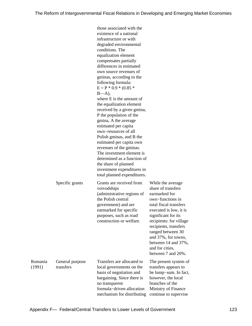|                   |                              | those associated with the<br>existence of a national<br>infrastructure or with<br>degraded environmental<br>conditions. The<br>equalization element<br>compensates partially<br>differences in estimated<br>own source revenues of<br>gminas, according to the<br>following formula:<br>$E = P * 0.9 * (0.85 *$<br>$B-A$ ),<br>where E is the amount of<br>the equalization element<br>received by a given gmina,<br>P the population of the<br>gmina, A the average<br>estimated per capita<br>own-resources of all<br>Polish gminas, and B the<br>estimated per capita own<br>revenues of the gminas.<br>The investment element is<br>determined as a function of<br>the share of planned<br>investment expenditures in<br>total planned expenditures. |                                                                                                                                                                                                                                                                                                                         |
|-------------------|------------------------------|----------------------------------------------------------------------------------------------------------------------------------------------------------------------------------------------------------------------------------------------------------------------------------------------------------------------------------------------------------------------------------------------------------------------------------------------------------------------------------------------------------------------------------------------------------------------------------------------------------------------------------------------------------------------------------------------------------------------------------------------------------|-------------------------------------------------------------------------------------------------------------------------------------------------------------------------------------------------------------------------------------------------------------------------------------------------------------------------|
|                   | Specific grants              | Grants are received from<br>voivodships<br>(administrative regions of<br>the Polish central<br>government) and are<br>earmarked for specific<br>purposes, such as road<br>construction or welfare.                                                                                                                                                                                                                                                                                                                                                                                                                                                                                                                                                       | While the average<br>share of transfers<br>earmarked for<br>own-functions in<br>total fiscal transfers<br>executed is low, it is<br>significant for its<br>recipients: for village<br>recipients, transfers<br>ranged between 30<br>and 37%, for towns,<br>between 14 and 37%,<br>and for cities,<br>between 7 and 20%. |
| Romania<br>(1991) | General purpose<br>transfers | Transfers are allocated to<br>local governments on the<br>basis of negotiation and<br>bargaining. Since there is<br>no transparent<br>formula-driven allocation<br>mechanism for distributing                                                                                                                                                                                                                                                                                                                                                                                                                                                                                                                                                            | The present system of<br>transfers appears to<br>be lump-sum. In fact,<br>however, the local<br>branches of the<br>Ministry of Finance<br>continue to supervise                                                                                                                                                         |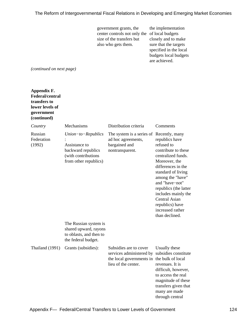government grants, the center controls not only the of local budgets size of the transfers but also who gets them. the implementation closely and to make sure that the targets specified in the local

budgets local budgets

are achieved.

*(continued on next page)*

| Appendix F.<br><b>Federal/central</b><br>transfers to<br>lower levels of<br>government<br>(continued) |                                                                                                             |                                                                                                                         |                                                                                                                                                                                                                                                                                                                          |
|-------------------------------------------------------------------------------------------------------|-------------------------------------------------------------------------------------------------------------|-------------------------------------------------------------------------------------------------------------------------|--------------------------------------------------------------------------------------------------------------------------------------------------------------------------------------------------------------------------------------------------------------------------------------------------------------------------|
| Country                                                                                               | Mechanisms                                                                                                  | Distribution criteria                                                                                                   | Comments                                                                                                                                                                                                                                                                                                                 |
| Russian<br>Federation<br>(1992)                                                                       | $Union-to-Republics$<br>Assistance to<br>backward republics<br>(with contributions<br>from other republics) | The system is a series of<br>ad hoc agreements,<br>bargained and<br>nontransparent.                                     | Recently, many<br>republics have<br>refused to<br>contribute to these<br>centralized funds.<br>Moreover, the<br>differences in the<br>standard of living<br>among the "have"<br>and "have-not"<br>republics (the latter<br>includes mainly the<br>Central Asian<br>republics) have<br>increased rather<br>than declined. |
|                                                                                                       | The Russian system is<br>shared upward, rayons<br>to oblasts, and then to<br>the federal budget.            |                                                                                                                         |                                                                                                                                                                                                                                                                                                                          |
| Thailand (1991)                                                                                       | Grants (subsidies):                                                                                         | Subsidies are to cover<br>services administered by<br>the local governments in the bulk of local<br>lieu of the center. | Usually these<br>subsidies constitute<br>revenues. It is<br>difficult, however,<br>to access the real<br>magnitude of these<br>transfers given that<br>many are made<br>through central                                                                                                                                  |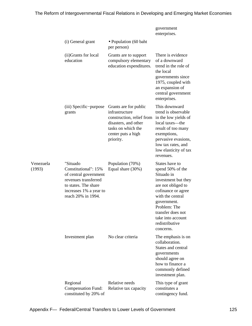|                                                                                                                                                           |                                                                                                                                                       | government<br>enterprises.                                                                                                                                                                                                                      |
|-----------------------------------------------------------------------------------------------------------------------------------------------------------|-------------------------------------------------------------------------------------------------------------------------------------------------------|-------------------------------------------------------------------------------------------------------------------------------------------------------------------------------------------------------------------------------------------------|
| (i) General grant                                                                                                                                         | • Population (60 baht<br>per person)                                                                                                                  |                                                                                                                                                                                                                                                 |
| (ii) Grants for local<br>education                                                                                                                        | Grants are to support<br>compulsory elementary<br>education expenditures.                                                                             | There is evidence<br>of a downward<br>trend in the role of<br>the local<br>governments since<br>1975, coupled with<br>an expansion of<br>central government<br>enterprises.                                                                     |
| (iii) Specific-purpose<br>grants                                                                                                                          | Grants are for public<br>infrastructure<br>construction, relief from<br>disasters, and other<br>tasks on which the<br>center puts a high<br>priority. | This downward<br>trend is observable<br>in the low yields of<br>local taxes—the<br>result of too many<br>exemptions,<br>pervasive evasions,<br>low tax rates, and<br>low elasticity of tax<br>revenues.                                         |
| "Situado<br>Constitutional": 15%<br>of central government<br>revenues transferred<br>to states. The share<br>increases 1% a year to<br>reach 20% in 1994. | Population (70%)<br>Equal share (30%)                                                                                                                 | States have to<br>spend 50% of the<br>Situado in<br>investment but they<br>are not obliged to<br>cofinance or agree<br>with the central<br>government.<br>Problem: The<br>transfer does not<br>take into account<br>redistributive<br>concerns. |
| Investment plan                                                                                                                                           | No clear criteria                                                                                                                                     | The emphasis is on<br>collaboration.<br>States and central<br>governments<br>should agree on<br>how to finance a<br>commonly defined<br>investment plan.                                                                                        |
| Regional<br><b>Compensation Fund:</b><br>constituted by 20% of                                                                                            | Relative needs<br>Relative tax capacity                                                                                                               | This type of grant<br>constitutes a<br>contingency fund.                                                                                                                                                                                        |

Venezuela (1993)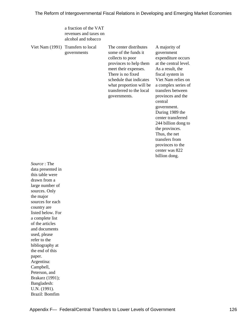|                                                                                                                                                                                                                                                                                                                                                                                                                                     | a fraction of the VAT<br>revenues and taxes on<br>alcohol and tobacco |                                                                                                                                                                                                                                             |                                                                                                                                                                                                                                                                                                                                                                                                                 |  |
|-------------------------------------------------------------------------------------------------------------------------------------------------------------------------------------------------------------------------------------------------------------------------------------------------------------------------------------------------------------------------------------------------------------------------------------|-----------------------------------------------------------------------|---------------------------------------------------------------------------------------------------------------------------------------------------------------------------------------------------------------------------------------------|-----------------------------------------------------------------------------------------------------------------------------------------------------------------------------------------------------------------------------------------------------------------------------------------------------------------------------------------------------------------------------------------------------------------|--|
|                                                                                                                                                                                                                                                                                                                                                                                                                                     | Viet Nam (1991) Transfers to local<br>governments                     | The center distributes<br>some of the funds it<br>collects to poor<br>provinces to help them<br>meet their expenses.<br>There is no fixed<br>schedule that indicates<br>what proportion will be<br>transferred to the local<br>governments. | A majority of<br>government<br>expenditure occurs<br>at the central level.<br>As a result, the<br>fiscal system in<br>Viet Nam relies on<br>a complex series of<br>transfers between<br>provinces and the<br>central<br>government.<br>During 1989 the<br>center transferred<br>244 billion dong to<br>the provinces.<br>Thus, the net<br>transfers from<br>provinces to the<br>center was 822<br>billion dong. |  |
| Source: The<br>data presented in<br>this table were<br>drawn from a<br>large number of<br>sources. Only<br>the major<br>sources for each<br>country are<br>listed below. For<br>a complete list<br>of the articles<br>and documents<br>used, please<br>refer to the<br>bibliography at<br>the end of this<br>paper.<br>Argentina:<br>Campbell,<br>Peterson, and<br>Brakarz (1991);<br>Bangladesh:<br>U.N. (1991).<br>Brazil: Bomfim |                                                                       |                                                                                                                                                                                                                                             |                                                                                                                                                                                                                                                                                                                                                                                                                 |  |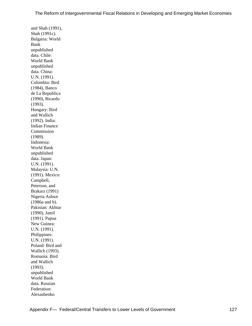and Shah (1991), Shah (1991c). Bulgaria: World Bank unpublished data. Chile: World Bank unpublished data. China: U.N. (1991). Colombia: Bird (1984), Banco de La Republica (1990), Ricardo (1993). Hungary: Bird and Wallich (1992). India: Indian Finance Commission (1989). Indonesia: World Bank unpublished data. Japan: U.N. (1991). Malaysia: U.N. (1991). Mexico: Campbell, Peterson, and Brakarz (1991) Nigeria Ashwe (1986a and b). Pakistan: Akhtar (1990), Jamil (1991). Papua New Guinea: U.N. (1991). Philippines: U.N. (1991). Poland: Bird and Wallich (1993). Romania: Bird and Wallich (1993). unpublished World Bank data. Russian Federation: Alexashenko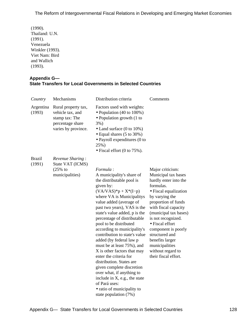(1990). Thailand: U.N. (1991). Venezuela Winkler (1993). Viet Nam: Bird and Wallich (1993).

#### **Appendix G— State Transfers for Local Governments in Selected Countries**

| Country                 | Mechanisms                                                                                           | Distribution criteria                                                                                                                                                                                                                                                                                                                                                                                                                                                                                                                                                                                                                                                       | Comments                                                                                                                                                                                                                                                                                                                                                             |
|-------------------------|------------------------------------------------------------------------------------------------------|-----------------------------------------------------------------------------------------------------------------------------------------------------------------------------------------------------------------------------------------------------------------------------------------------------------------------------------------------------------------------------------------------------------------------------------------------------------------------------------------------------------------------------------------------------------------------------------------------------------------------------------------------------------------------------|----------------------------------------------------------------------------------------------------------------------------------------------------------------------------------------------------------------------------------------------------------------------------------------------------------------------------------------------------------------------|
| Argentina<br>(1993)     | Rural property tax,<br>vehicle tax, and<br>stamp tax: The<br>percentage share<br>varies by province. | Factors used with weights:<br>• Population $(40 \text{ to } 100\%)$<br>$\bullet$ Population growth (1 to<br>3%)<br>• Land surface $(0 \text{ to } 10\%)$<br>• Equal shares (5 to 30%)<br>· Payroll expenditures (0 to<br>25%)<br>$\bullet$ Fiscal effort (0 to 75%).                                                                                                                                                                                                                                                                                                                                                                                                        |                                                                                                                                                                                                                                                                                                                                                                      |
| <b>Brazil</b><br>(1991) | Revenue Sharing:<br>State VAT (ICMS)<br>$(25%$ to<br>municipalities)                                 | Formula:<br>A municipality's share of<br>the distributable pool is<br>given by:<br>$(VA/VAS)*p + X*(I-p)$<br>where VA is Municipalitys<br>value added (average of<br>past two years), VAS is the<br>state's value added, p is the<br>percentage of distributable<br>pool to be distributed<br>according to municipality's<br>contribution to state's value<br>added (by federal law p<br>must be at least 75%), and<br>X is other factors that may<br>enter the criteria for<br>distribution. States are<br>given complete discretion<br>over what, if anything to<br>include in X, e.g., the state<br>of Pará uses:<br>• ratio of municipality to<br>state population (7%) | Major criticism:<br>Municipal tax bases<br>hardly enter into the<br>formulas.<br>• Fiscal equalization<br>by varying the<br>proportion of funds<br>with fiscal capacity<br>(municipal tax bases)<br>is not recognized.<br>• Fiscal effort<br>component is poorly<br>structured and<br>benefits larger<br>municipalities<br>without regard to<br>their fiscal effort. |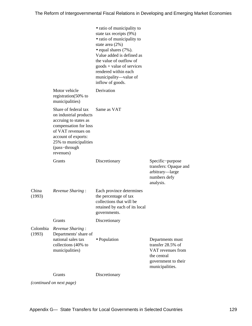|                    |                                                                                                                                                                                                      | • ratio of municipality to<br>state tax receipts (9%)<br>• ratio of municipality to<br>state area $(2\%)$<br>$\bullet$ equal shares (7%).<br>Value added is defined as<br>the value of outflow of<br>$goods + value of$ services<br>rendered within each<br>municipality—value of<br>inflow of goods. |                                                                                                                     |
|--------------------|------------------------------------------------------------------------------------------------------------------------------------------------------------------------------------------------------|-------------------------------------------------------------------------------------------------------------------------------------------------------------------------------------------------------------------------------------------------------------------------------------------------------|---------------------------------------------------------------------------------------------------------------------|
|                    | Motor vehicle<br>registration(50% to<br>municipalities)                                                                                                                                              | Derivation                                                                                                                                                                                                                                                                                            |                                                                                                                     |
|                    | Share of federal tax<br>on industrial products<br>accruing to states as<br>compensation for loss<br>of VAT revenues on<br>account of exports:<br>25% to municipalities<br>(pass-through<br>revenues) | Same as VAT                                                                                                                                                                                                                                                                                           |                                                                                                                     |
|                    | Grants                                                                                                                                                                                               | Discretionary                                                                                                                                                                                                                                                                                         | Specific-purpose<br>transfers: Opaque and<br>arbitrary-large<br>numbers defy<br>analysis.                           |
| China<br>(1993)    | Revenue Sharing:                                                                                                                                                                                     | Each province determines<br>the percentage of tax<br>collections that will be<br>retained by each of its local<br>governments.                                                                                                                                                                        |                                                                                                                     |
|                    | Grants                                                                                                                                                                                               | Discretionary                                                                                                                                                                                                                                                                                         |                                                                                                                     |
| Colombia<br>(1993) | Revenue Sharing:<br>Departments' share of<br>national sales tax<br>collections (40% to<br>municipalities)                                                                                            | • Population                                                                                                                                                                                                                                                                                          | Departments must<br>transfer 28.5% of<br>VAT revenues from<br>the central<br>government to their<br>municipalities. |
|                    | Grants                                                                                                                                                                                               | Discretionary                                                                                                                                                                                                                                                                                         |                                                                                                                     |
|                    |                                                                                                                                                                                                      |                                                                                                                                                                                                                                                                                                       |                                                                                                                     |

*(continued on next page)*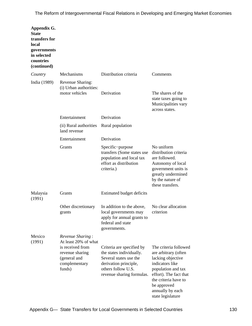| Appendix G.<br><b>State</b><br>transfers for<br>local<br>governments<br>in selected<br>countries<br>(continued) |                                                                                                                            |                                                                                                                                                             |                                                                                                                                                                                                                       |
|-----------------------------------------------------------------------------------------------------------------|----------------------------------------------------------------------------------------------------------------------------|-------------------------------------------------------------------------------------------------------------------------------------------------------------|-----------------------------------------------------------------------------------------------------------------------------------------------------------------------------------------------------------------------|
| Country                                                                                                         | Mechanisms                                                                                                                 | Distribution criteria                                                                                                                                       | Comments                                                                                                                                                                                                              |
| India (1989)                                                                                                    | Revenue Sharing:<br>(i) Urban authorities:<br>motor vehicles                                                               | Derivation                                                                                                                                                  | The shares of the<br>state taxes going to<br>Municipalities vary<br>across states.                                                                                                                                    |
|                                                                                                                 | Entertainment                                                                                                              | Derivation                                                                                                                                                  |                                                                                                                                                                                                                       |
|                                                                                                                 | (ii) Rural authorities<br>land revenue                                                                                     | Rural population                                                                                                                                            |                                                                                                                                                                                                                       |
|                                                                                                                 | Entertainment                                                                                                              | Derivation                                                                                                                                                  |                                                                                                                                                                                                                       |
|                                                                                                                 | Grants                                                                                                                     | Specific-purpose<br>transfers (Some states use<br>population and local tax<br>effort as distribution<br>criteria.)                                          | No uniform<br>distribution criteria<br>are followed.<br>Autonomy of local<br>government units is<br>greatly undermined<br>by the nature of<br>these transfers.                                                        |
| Malaysia<br>(1991)                                                                                              | Grants                                                                                                                     | <b>Estimated budget deficits</b>                                                                                                                            |                                                                                                                                                                                                                       |
|                                                                                                                 | Other discretionary<br>grants                                                                                              | In addition to the above,<br>local governments may<br>apply for annual grants to<br>federal and state<br>governments.                                       | No clear allocation<br>criterion                                                                                                                                                                                      |
| Mexico<br>(1991)                                                                                                | Revenue Sharing:<br>At least 20% of what<br>is received from<br>revenue sharing<br>(general and<br>complementary<br>funds) | Criteria are specified by<br>the states individually.<br>Several states use the<br>derivation principle,<br>others follow U.S.<br>revenue sharing formulas. | The criteria followed<br>are arbitrary (often<br>lacking objective<br>indicators like<br>population and tax<br>effort). The fact that<br>the criteria have to<br>be approved<br>annually by each<br>state legislature |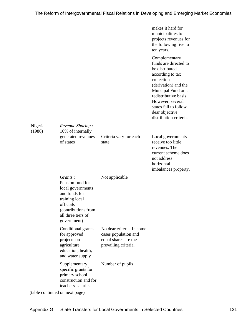|                   |                                                                                                                                                              |                                                                                                   | makes it hard for<br>municipalities to<br>projects revenues for<br>the following five to<br>ten years.                                                                                                                                                     |
|-------------------|--------------------------------------------------------------------------------------------------------------------------------------------------------------|---------------------------------------------------------------------------------------------------|------------------------------------------------------------------------------------------------------------------------------------------------------------------------------------------------------------------------------------------------------------|
|                   |                                                                                                                                                              |                                                                                                   | Complementary<br>funds are directed to<br>be distributed<br>according to tax<br>collection<br>(derivation) and the<br>Muncipal Fund on a<br>redistributive basis.<br>However, several<br>states fail to follow<br>dear objective<br>distribution criteria. |
| Nigeria<br>(1986) | Revenue Sharing:<br>10% of internally<br>generated revenues<br>of states                                                                                     | Criteria vary for each<br>state.                                                                  | Local governments<br>receive too little<br>revenues. The<br>current scheme does<br>not address<br>horizontal<br>imbalances property.                                                                                                                       |
|                   | Grants:<br>Pension fund for<br>local governments<br>and funds for<br>training local<br>officials<br>(contributions from<br>all three tiers of<br>government) | Not applicable                                                                                    |                                                                                                                                                                                                                                                            |
|                   | Conditional grants<br>for approved<br>projects on<br>agriculture,<br>education, health,<br>and water supply                                                  | No dear criteria. In some<br>cases population and<br>equal shares are the<br>prevailing criteria. |                                                                                                                                                                                                                                                            |
|                   | Supplementary<br>specific grants for<br>primary school<br>construction and for<br>teachers' salaries.                                                        | Number of pupils                                                                                  |                                                                                                                                                                                                                                                            |
|                   |                                                                                                                                                              |                                                                                                   |                                                                                                                                                                                                                                                            |

(table continued on next page)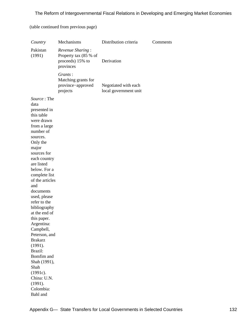### (table continued from previous page)

| Country                                                                                                                                                                                                                                                                                                                                                                                                                                                                                 | Mechanisms                                                                 | Distribution criteria                         | Comments |
|-----------------------------------------------------------------------------------------------------------------------------------------------------------------------------------------------------------------------------------------------------------------------------------------------------------------------------------------------------------------------------------------------------------------------------------------------------------------------------------------|----------------------------------------------------------------------------|-----------------------------------------------|----------|
| Pakistan<br>(1991)                                                                                                                                                                                                                                                                                                                                                                                                                                                                      | Revenue Sharing:<br>Property tax (85 % of<br>proceeds) 15% to<br>provinces | Derivation                                    |          |
|                                                                                                                                                                                                                                                                                                                                                                                                                                                                                         | Grants:<br>Matching grants for<br>province-approved<br>projects            | Negotiated with each<br>local government unit |          |
| Source: The<br>data<br>presented in<br>this table<br>were drawn<br>from a large<br>number of<br>sources.<br>Only the<br>major<br>sources for<br>each country<br>are listed<br>below. For a<br>complete list<br>of the articles<br>and<br>documents<br>used, please<br>refer to the<br>bibliography<br>at the end of<br>this paper.<br>Argentina:<br>Campbell,<br>Peterson, and<br><b>Brakarz</b><br>(1991).<br>Brazil:<br>Bomfim and<br>Shah (1991),<br>Shah<br>(1991c).<br>China: U.N. |                                                                            |                                               |          |
| (1991).<br>Colombia:<br>Bahl and                                                                                                                                                                                                                                                                                                                                                                                                                                                        |                                                                            |                                               |          |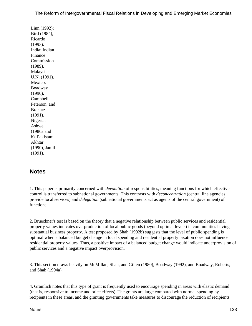Linn (1992); Bird (1984), Ricardo (1993). India: Indian Finance Commission (1989). Malaysia: U.N. (1991). Mexico: Boadway (1990), Campbell, Peterson, and Brakarz (1991). Nigeria: Ashwe (1986a and b). Pakistan: Akhtar (1990), Jamil (1991).

# **Notes**

1. This paper is primarily concerned with *devolution* of responsibilities, meaning functions for which effective control is transferred to subnational governments. This contrasts with *deconcentration* (central line agencies provide local services) and *delegation* (subnational governments act as agents of the central government) of functions.

2. Brueckner's test is based on the theory that a negative relationship between public services and residential property values indicates overproduction of local public goods (beyond optimal levels) in communities having substantial business property. A test proposed by Shah (1992b) suggests that the level of public spending is optimal when a balanced budget change in local spending and residential property taxation does not influence residential property values. Thus, a positive impact of a balanced budget change would indicate underprovision of public services and a negative impact overprovision.

3. This section draws heavily on McMillan, Shah, and Gillen (1980), Boadway (1992), and Boadway, Roberts, and Shah (1994a).

4. Gramlich notes that this type of grant is frequently used to encourage spending in areas with elastic demand (that is, responsive to income and price effects). The grants are large compared with normal spending by recipients in these areas, and the granting governments take measures to discourage the reduction of recipients'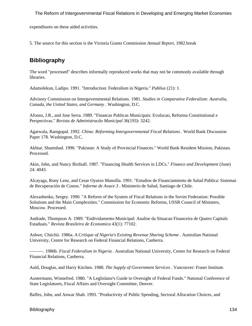expenditures on these aided activities.

5. The source for this section is the Victoria Grants Commission *Annual Report,* 1982.break

# **Bibliography**

The word "processed" describes informally reproduced works that may not be commonly available through libraries.

Adamolekun, Ladipo. 1991. "Introduction: Federalism in Nigeria." *Publius* (21): 1.

Advisory Commission on Intergovernmental Relations. 1981. *Studies in Comparative Federalism: Australia, Canada, the United States, and Germany* . Washington, D.C.

Afonso, J.R., and Jose Serra. 1989. "Financas Publicas Municipais: Evolucao, Reforma Constitutional e Perspectivas." *Revista de Administracão Municipal* 36(193): 3242.

Agarwala, Ramgopal. 1992. *China: Reforming Intergovernmental Fiscal Relations* . World Bank Discussion Paper 178. Washington, D.C.

Akhtar, Shamshad. 1990. "Pakistan: A Study of Provincial Finances." World Bank Resident Mission, Pakistan. Processed.

Akin, John, and Nancy Birdsall. 1987. "Financing Health Services in LDCs." *Finance and Development* (June) 24: 4043.

Alcayaga, Rony Lenz, and Cesar Oyarzo Mansilla. 1991. "Estudios de Financiamiento de Salud Publica: Sistemas de Recuperación de Costos." *Informe de Avace 3* . Ministerio de Salud, Santiago de Chile.

Alexashenko, Sergey. 1990. "A Reform of the System of Fiscal Relations in the Soviet Federation: Possible Solutions and the Main Complexities." Commission for Economic Reforms, USSR Council of Ministers, Moscow. Processed.

Andrade, Thompson A. 1989. "Endividamento Municipal: Analise da Situacao Financeira de Quatro Capitals Estaduais." *Revista Brasileira de Economica* 43(1): 77102.

Ashwe, Chiichii. 1986a. *A Critique of Nigeria's Existing Revenue Sharing Scheme* . Australian National University, Centre for Research on Federal Financial Relations, Canberra.

———. 1986b. *Fiscal Federalism in Nigeria* . Australian National University, Centre for Research on Federal Financial Relations, Canberra.

Auld, Douglas, and Harry Kitchen. 1988. *The Supply of Government Services* . Vancouver: Fraser Institute.

Austermann, Winnefred. 1980. "A Leglislator's Guide to Oversight of Federal Funds." National Conference of State Legislatures, Fiscal Affairs and Oversight Committee, Denver.

Baffes, John, and Anwar Shah. 1993. "Productivity of Public Spending, Sectoral Allocation Choices, and

#### Bibliography 134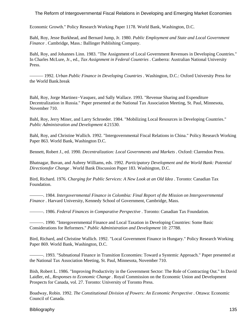Economic Growth." Policy Research Working Paper 1178. World Bank, Washington, D.C.

Bahl, Roy, Jesse Burkhead, and Bernard Jump, Jr. 1980. *Public Employment and State and Local Government Finance* . Cambridge, Mass.: Ballinger Publishing Company.

Bahl, Roy, and Johannes Linn. 1983. "The Assignment of Local Government Revenues in Developing Countries." In Charles McLure, Jr., ed., *Tax Assignment in Federal Countries* . Canberra: Australian National University Press.

——— 1992. *Urban Public Finance in Developing Countries* . Washington, D.C.: Oxford University Press for the World Bank.break

Bahl, Roy, Jorge Martinez−Vasquez, and Sally Wallace. 1993. "Revenue Sharing and Expenditure Decentralization in Russia." Paper presented at the National Tax Association Meeting, St. Paul, Minnesota, November 710.

Bahl, Roy, Jerry Miner, and Larry Schroeder. 1984. "Mobilizing Local Resources in Developing Countries." *Public Administration and Development* 4:21530.

Bahl, Roy, and Christine Wallich. 1992. "Intergovernmental Fiscal Relations in China." Policy Research Working Paper 863. World Bank, Washington D.C.

Bennett, Robert J., ed. 1990. *Decentralization: Local Governments and Markets* . Oxford: Clarendon Press.

Bhatnagar, Buvan, and Aubrey Williams, eds. 1992. *Participatory Development and the World Bank: Potential Directionsfor Change* . World Bank Discussion Paper 183. Washington, D.C.

Bird, Richard. 1976. *Charging for Public Services: A New Look at an Old Idea* . Toronto: Canadian Tax Foundation.

———. 1984. *Intergovernmental Finance in Colombia: Final Report of the Mission on Intergovernmental Finance* . Harvard University, Kennedy School of Government, Cambridge, Mass.

———. 1986. *Federal Finances in Comparative Perspective* . Toronto: Canadian Tax Foundation.

———. 1990. "Intergovernmental Finance and Local Taxation in Developing Countries: Some Basic Considerations for Reformers." *Public Administration and Development* 10: 27788.

Bird, Richard, and Christine Wallich. 1992. "Local Government Finance in Hungary." Policy Research Working Paper 869. World Bank, Washington, D.C.

———. 1993. "Subnational Finance in Transition Economies: Toward a Systemic Approach." Paper presented at the National Tax Association Meeting, St. Paul, Minnesota, November 710.

Bish, Robert L. 1986. "Improving Productivity in the Government Sector: The Role of Contracting Out." In David Laidler, ed., *Responses to Economic Change* . Royal Commission on the Economic Union and Development Prospects for Canada, vol. 27. Toronto: University of Toronto Press.

Boadway, Robin. 1992. *The Constitutional Division of Powers: An Economic Perspective* . Ottawa: Economic Council of Canada.

#### Bibliography 135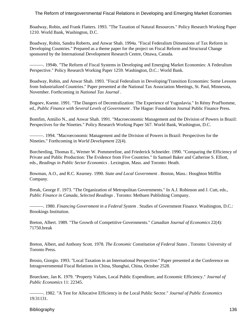Boadway, Robin, and Frank Flatters. 1993. "The Taxation of Natural Resources." Policy Research Working Paper 1210. World Bank, Washington, D.C.

Boadway, Robin, Sandra Roberts, and Anwar Shah. 1994a. "Fiscal Federalism Dimensions of Tax Reform in Developing Countries." Prepared as a theme paper for the project on Fiscal Reform and Structural Change sponsored by the International Development Research Centre, Ottawa, Canada.

———. 1994b. "The Reform of Fiscal Systems in Developing and Emerging Market Economies: A Federalism Perspective." Policy Research Working Paper 1259. Washington, D.C.: World Bank.

Boadway, Robin, and Anwar Shah. 1993. "Fiscal Federalism in Developing/Transition Economies: Some Lessons from Industrialized Countries." Paper presented at the National Tax Association Meetings, St. Paul, Minnesota, November. Forthcoming in *National Tax Journal* .

Bogoev, Ksente. 1991. "The Dangers of Decentralization: The Experience of Yugoslavia." In Rémy Prud'homme, ed., *Public Finance with Several Levels of Government* . The Hague: Foundation Journal Public Finance Press.

Bomfim, Antúlio N., and Anwar Shah. 1991. "Macroeconomic Management and the Division of Powers in Brazil: Perspectives for the Nineties." Policy Research Working Paper 567. World Bank, Washington, D.C.

———. 1994. "Macroeconomic Management and the Division of Powers in Brazil: Perspectives for the Nineties." Forthcoming in *World Development* 22(4).

Borcherding, Thomas E., Werner W. Pommereline, and Friederick Schneider. 1990. "Comparing the Efficiency of Private and Public Production: The Evidence from Five Countries." In Samuel Baker and Catherine S. Elliott, eds., *Readings in Public Sector Economics* . Lexington, Mass. and Toronto: Heath.

Bowman, A.O., and R.C. Kearney. 1990. *State and Local Government* . Boston, Mass.: Houghton Mifflin Company.

Break, George F. 1973. "The Organization of Metropolitan Governments." In A.J. Robinson and J. Cutt, eds., *Public Finance in Canada, Selected Readings* . Toronto: Methuen Publishing Company.

———. 1980. *Financing Government in a Federal System* . Studies of Government Finance. Washington, D.C.: Brookings Institution.

Breton, Albert. 1989. "The Growth of Competitive Governments." *Canadian Journal of Economics* 22(4): 71750.break

Breton, Albert, and Anthony Scott. 1978. *The Economic Constitution of Federal States* . Toronto: University of Toronto Press.

Brosio, Giorgio. 1993. ''Local Taxation in an International Perspective." Paper presented at the Conference on Intragovernmental Fiscal Relations in China, Shanghai, China, October 2528.

Brueckner, Jan K. 1979. "Property Values, Local Public Expenditure, and Economic Efficiency." *Journal of Public Economics* 11: 22345.

———. 1982. "A Test for Allocative Efficiency in the Local Public Sector." *Journal of Public Economics* 19:31131.

#### Bibliography 136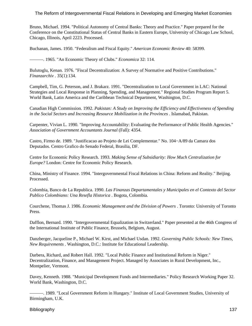Bruno, Michael. 1994. "Political Autonomy of Central Banks: Theory and Practice." Paper prepared for the Conference on the Constitutional Status of Central Banks in Eastern Europe, University of Chicago Law School, Chicago, Illinois, April 2223. Processed.

Buchanan, James. 1950. "Federalism and Fiscal Equity." *American Economic Review* 40: 58399.

———. 1965. "An Economic Theory of Clubs." *Economica* 32: 114.

Bulutoglu, Kenan. 1976. "Fiscal Decentralization: A Survey of Normative and Positive Contributions." *Finanzarchiv* . 35(1):134.

Campbell, Tim, G. Peterson, and J. Brakarz. 1991. "Decentralization to Local Government in LAC: National Strategies and Local Response in Planning, Spending, and Management." Regional Studies Program Report 5. World Bank, Latin America and the Caribbean Technical Department, Washington, D.C.

Canadian High Commission. 1992. *Pakistan: A Study on Improving the Efficiency and Effectiveness of Spending in the Social Sectors and Increasing Resource Mobilization in the Provinces* . Islamabad, Pakistan.

Carpenter, Vivian L. 1990. "Improving Accountability: Evaluating the Performance of Public Health Agencies." *Association of Government Accountants Journal* (Fall): 4354.

Castro, Firmo de. 1989. "Justificacao ao Projeto de Lei Complementar." No. 104−A/89 da Camara dos Deputados. Centro Grafico do Senado Federal, Brasilia, DF.

Centre for Economic Policy Research. 1993. *Making Sense of Subsidiarity: How Much Centralization for Europe?* London: Centre for Economic Policy Research.

China, Ministry of Finance. 1994. "Intergovernmental Fiscal Relations in China: Reform and Reality." Beijing. Processed.

Colombia, Banco de La Republica. 1990. *Las Finanzas Departamentales y Municipales en el Contexto del Sector Publico Colombiano: Una Resefla Historica* . Bogota, Colombia.

Courchene, Thomas J. 1986. *Economic Management and the Division of Powers* . Toronto: University of Toronto Press.

Dafflon, Bernard. 1990. "Intergovernmental Equalization in Switzerland." Paper presented at the 46th Congress of the International Institute of Public Finance, Brussels, Belgium, August.

Danzberger, Jacqueline P., Michael W. Kirst, and Michael Usdan. 1992. *Governing Public Schools: New Times, New Requirements* . Washington, D.C.: Institute for Educational Leadership.

Darbera, Richard, and Robert Hall. 1992. "Local Public Finance and Institutional Reform in Niger." Decentralization, Finance, and Management Project. Managed by Associates in Rural Development, Inc., Montpelier, Vermont.

Davey, Kenneth. 1988. "Municipal Development Funds and Intermediaries." Policy Research Working Paper 32. World Bank, Washington, D.C.

———. 1989. "Local Government Reform in Hungary." Institute of Local Government Studies, University of Birmingham, U.K.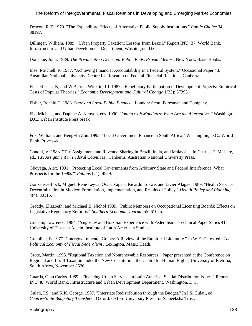Deacon, R.T. 1979. "The Expenditure Effects of Alternative Public Supply Institutions." *Public Choice* 34: 38197.

Dillinger, William. 1989. "Urban Property Taxation: Lessons from Brazil." Report INU−37. World Bank, Infrastructure and Urban Development Department, Washington, D.C.

Donahue, John. 1989. *The Privatization Decision: Public Ends, Private Means* . New York: Basic Books.

Else−Mitchell, R. 1987. "Achieving Financial Accountability in a Federal System." Occasional Paper 43. Australian National University, Centre for Research on Federal Financial Relations, Canberra.

Finsterbusch, K, and W.A. Van Wicklin, III. 1987. "Beneficiary Participation in Development Projects: Empirical Tests of Popular Theories." *Economic Development and Cultural Change* 1(23): 57393.

Fisher, Ronald C. 1988. *State and Local Public Finance* . London: Scott, Foresman and Company.

Fix, Michael, and Daphne A. Kenyon, eds. 1990. *Coping with Mandates: What Are the Alternatives?* Washington, D.C.: Urban Institute Press.break

Fox, William, and Heng−fu Zou. 1992. "Local Government Finance in South Africa." Washington, D.C.: World Bank. Processed.

Gandhi, V. 1983. "Tax Assignment and Revenue Sharing in Brazil, India, and Malaysia." In Charles E. McLure, ed., *Tax Assignment in Federal Countries* . Canberra: Australian National University Press.

Gboyega, Alex. 1991. "Protecting Local Governments from Arbitrary State and Federal Interference: What Prospects for the 1990s?" *Publius* (21): 4559.

Gonzalez−Block, Miguel, René Leyva, Oscar Zapata, Ricardo Loewe, and Javier Alagáe. 1989. "Health Service Decentralization in Mexico: Formulation, Implementation, and Results of Policy." *Health Policy and Planning* 4(4): 30115.

Graddy, Elizabeth, and Michael B. Nichol 1989. "Public Members on Occupational Licensing Boards: Effects on Legislative Regulatory Reforms." *Southern Economic Journal* 55: 61025.

Graham, Lawrence. 1984. "Yugoslav and Brazilian Experience with Federalism." Technical Paper Series 41. University of Texas at Austin, Institute of Latin American Studies.

Gramlich, E. 1977. "Intergovernmental Grants: A Review of the Empirical Literature." In W.E. Oates, ed., *The Political Economy of Fiscal Federalism* . Lexington, Mass.: Heath.

Grote, Martin. 1993. "Regional Taxation and Nonrenewable Resources." Paper presented at the Conference on Regional and Local Taxation under the New Constitution, the Centre for Human Rights, University of Pretoria, South Africa, November 2526.

Guarda, Gian Carlos. 1989. "Financing Urban Services in Latin America: Spatial Distribution Issues." Report INU 48. World Bank, Infrastructure and Urban Development Department, Washington, D.C.

Gulati, I.S., and K.K. George. 1987. "Interstate Redistribution through the Budget." In I.S. Gulati, ed., *Centre−State Budgetary Transfers* . Oxford: Oxford University Press for Sameeksha Trust.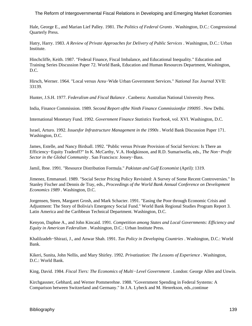Hale, George E., and Marian Lief Palley. 1981. *The Politics of Federal Grants* . Washington, D.C.: Congressional Quarterly Press.

Hatry, Harry. 1983. *A Review of Private Approaches for Delivery of Public Services* . Washington, D.C.: Urban Institute.

Hinchcliffe, Keith. 1987. "Federal Finance, Fiscal Imbalance, and Educational Inequality." Education and Training Series Discussion Paper 72. World Bank, Education and Human Resources Department, Washington, D.C.

Hirsch, Werner. 1964. "Local versus Area−Wide Urban Government Services." *National Tax Journal* XVII: 33139.

Hunter, J.S.H. 1977. *Federalism and Fiscal Balance* . Canberra: Australian National University Press.

India, Finance Commission. 1989. *Second Report ofthe Ninth Finance Commissionfor 199095* . New Delhi.

International Monetary Fund. 1992. *Government Finance Statistics Yearbook,* vol. XVI. Washington, D.C.

Israel, Arturo. 1992. *Issuesfor Infrastructure Management in the 1990s* . World Bank Discussion Paper 171. Washington, D.C.

James, Estelle, and Nancy Birdsall. 1992. "Public versus Private Provision of Social Services: Is There an Efficiency−Equity Tradeoff?" In K. McCarthy, V.A. Hodgkinson, and R.D. Sumariwella, eds., *The Non−Profit Sector in the Global Community* . San Francisco: Jossey−Bass.

Jamil, Ibne. 1991. "Resource Distribution Formula." *Pakistan and Gulf Economist* (April): 1319.

Jimenez, Emmanuel. 1989. "Social Sector Pricing Policy Revisited: A Survey of Some Recent Controversies." In Stanley Fischer and Dennis de Tray, eds., *Proceedings of the World Bank Annual Conference on Development Economics 1989* . Washington, D.C.

Jorgensen, Steen, Margaret Grosh, and Mark Schacter. 1991. "Easing the Poor through Economic Crisis and Adjustment: The Story of Bolivia's Emergency Social Fund." World Bank Regional Studies Program Report 3. Latin America and the Caribbean Technical Department. Washington, D.C.

Kenyon, Daphne A., and John Kincaid. 1991. *Competition among States and Local Governments: Efficiency and Equity in American Federalism* . Washington, D.C.: Urban Institute Press.

Khalilzadeh−Shirazi, J., and Anwar Shah. 1991. *Tax Policy in Developing Countries* . Washington, D.C.: World Bank.

Kikeri, Sunita, John Nellis, and Mary Shirley. 1992. *Privatization: The Lessons of Experience* . Washington, D.C.: World Bank.

King, David. 1984. *Fiscal Tiers: The Economics of Multi−Level Government* . London: George Allen and Unwin.

Kirchgassner, Gebhard, and Werner Pommerehne. 1988. "Government Spending in Federal Systems: A Comparison between Switzerland and Germany." In J.A. Lybeck and M. Henrekson, eds.,continue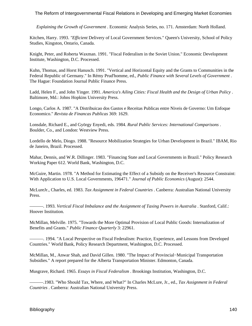*Explaining the Growth of Government* . Economic Analysis Series, no. 171. Amsterdam: North Holland.

Kitchen, Harry. 1993. *"Efficient* Delivery of Local Government Services." Queen's University, School of Policy Studies, Kingston, Ontario, Canada.

Knight, Peter, and Roberta Waxman. 1991. "Fiscal Federalism in the Soviet Union." Economic Development Institute, Washington, D.C. Processed.

Kuhn, Thomas, and Horst Hanusch. 1991. "Vertical and Horizontal Equity and the Grants to Communities in the Federal Republic of Germany." In Rémy Prud'homme, ed., *Public Finance with Several Levels of Government* . The Hague: Foundation Journal Public Finance Press.

Ladd, Helen F., and John Yinger. 1991. *America's Ailing Cities: Fiscal Health and the Design of Urban Policy* . Baltimore, Md.: Johns Hopkins University Press.

Longo, Carlos A. 1987. "A Distribuicao dos Gastos e Receitas Publicas entre Niveis de Governo: Um Enfoque Economico." *Revista de Financas Publicas* 369: 1629.

Lonsdale, Richard E., and György Enyedi, eds. 1984. *Rural Public Services: International Comparisons* . Boulder, Co., and London: Westview Press.

Lordello de Melo, Diogo. 1988. "Resource Mobilization Strategies for Urban Development in Brazil." IBAM, Rio de Janeiro, Brazil. Processed.

Mahar, Dennis, and W.R. Dillinger. 1983. "Financing State and Local Governments in Brazil." Policy Research Working Paper 612. World Bank, Washington, D.C.

McGuire, Martin. 1978. "A Method for Estimating the Effect of a Subsidy on the Receiver's Resource Constraint: With Application to U.S. Local Governments, 196471." *Journal of Public Economics* (August): 2544.

McLureJr., Charles, ed. 1983. *Tax Assignment in Federal Countries* . Canberra: Australian National University Press.

———. 1993. *Vertical Fiscal Imbalance and the Assignment of Taxing Powers in Australia* . Stanford, Calif.: Hoover Institution.

McMillan, Melville. 1975. "Towards the More Optimal Provision of Local Public Goods: Internalization of Benefits and Grants." *Public Finance Quarterly* 3: 22961.

———. 1994. "A Local Perspective on Fiscal Federalism: Practice, Experience, and Lessons from Developed Countries." World Bank, Policy Research Department, Washington, D.C. Processed.

McMillan, M., Anwar Shah, and David Gillen. 1980. "The Impact of Provincial−Municipal Transportation Subsidies." A report prepared for the Alberta Transportation Minister. Edmonton, Canada.

Musgrave, Richard. 1965. *Essays in Fiscal Federalism* . Brookings Institution, Washington, D.C.

———.1983. "Who Should Tax, Where, and What?" In Charles McLure, Jr., ed., *Tax Assignment in Federal Countries* . Canberra: Australian National University Press.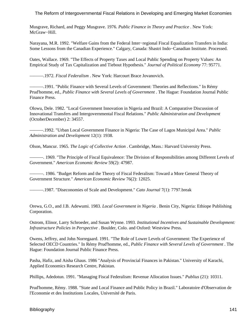Musgrave, Richard, and Peggy Musgrave. 1976. *Public Finance in Theory and Practice* . New York: McGraw−Hill.

Narayana, M.R. 1992. "Welfare Gains from the Federal Inter−regional Fiscal Equalization Transfers in India: Some Lessons from the Canadian Experience." Calgary, Canada: Shastri Indo−Canadian Institute. Processed.

Oates, Wallace. 1969. "The Effects of Property Taxes and Local Public Spending on Property Values: An Empirical Study of Tax Capitalization and Tiebout Hypothesis." *Journal of Political Economy* 77: 95771.

———.1972. *Fiscal Federalism* . New York: Harcourt Brace Jovanovich.

———.1991. "Public Finance with Several Levels of Government: Theories and Reflections." In Rémy Prud'homme, ed., *Public Finance with Several Levels of Government* . The Hague: Foundation Journal Public Finance Press.

Olowu, Dele. 1982. "Local Government Innovation in Nigeria and Brazil: A Comparative Discussion of Innovational Transfers and Intergovernmental Fiscal Relations." *Public Administration and Development* (OctoberDecember) 2: 34557.

———.1992. "Urban Local Government Finance in Nigeria: The Case of Lagos Municipal Area." *Public Administration and Development* 12(1): 1938.

Olson, Mancur. 1965. *The Logic of Collective Action* . Cambridge, Mass.: Harvard University Press.

———. 1969. "The Principle of Fiscal Equivalence: The Division of Responsibilities among Different Levels of Government." *American Economic Review* 59(2): 47987.

———. 1986. "Budget Reform and the Theory of Fiscal Federalism: Toward a More General Theory of Government Structure." *American Economic Review* 76(2): 12025.

———.1987. "Diseconomies of Scale and Development." *Cato Journal* 7(1): 7797.break

Orewa, G.O., and J.B. Adewumi. 1983. *Local Government in Nigeria* . Benin City, Nigeria: Ethiope Publishing Corporation.

Ostrom, Elinor, Larry Schroeder, and Susan Wynne. 1993. *Institutional Incentives and Sustainable Development: Infrastructure Policies in Perspective* . Boulder, Colo. and Oxford: Westview Press.

Owens, Jeffrey, and John Norregaard. 1991. "The Role of Lower Levels of Government: The Experience of Selected OECD Countries." In Rémy Prud'homme, ed., *Public Finance with Several Levels of Government* . The Hague: Foundation Journal Public Finance Press.

Pasha, Hafiz, and Aisha Ghaus. 1986 "Analysis of Provincial Finances in Pakistan." University of Karachi, Applied Economics Research Centre, Pakistan.

Phillips, Adedotun. 1991. "Managing Fiscal Federalism: Revenue Allocation Issues." *Publius* (21): 10311.

Prud'homme, Rémy. 1988. "State and Local Finance and Public Policy in Brazil." Laboratoire d'Observation de l'Economie et des Institutions Locales, Université de Paris.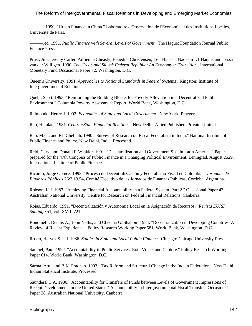———. 1990. "Urban Finance in China." Laboratoire d'Observation de l'Economie et des Institutions Locales, Université de Paris.

———,ed. 1991. *Public Finance with Several Levels of Government* . The Hague: Foundation Journal Public Finance Press.

Prust, Jim, Jeremy Carter, Adrienne Cheasty, Benedict Christensen, Leif Hansen, Nadeem U1 Haque, and Tessa van der Willigen. 1990. *The Czech and Slovak Federal Republic: An Economy in Transition* . International Monetary Fund Occasional Paper 72. Washington, D.C.

Queen's University. 1991. *Approaches to National Standards in Federal Systems* . Kingston: Institute of Intergovernmental Relations.

Quehl, Scott. 1993. "Reinforcing the Building Blocks for Poverty Alleviation in a Decentralized Public Environment." Columbia Poverty Assessment Report. World Bank, Washington, D.C.

Raimondo, Henry J. 1992. *Economics of State and Local Government* . New York: Praeger.

Rao, Hemlata. 1981. *Centre−State Financial Relations* . New Delhi: Allied Publishers Private Limited.

Rao, M.G., and RJ. Chelliah. 1990. "Survey of Research on Fiscal Federalism in India." National Institute of Public Finance and Policy, New Delhi, India. Processed.

Reid, Gary, and Donald R Winkler. 1991. "Decentralization and Government Size in Latin America." Paper prepared for the 47th Congress of Public Finance in a Changing Political Environment, Leningrad, August 2529. International Institute of Public Finance.

Ricardo, Jorge Gomez. 1993. "Proceso de Decentralizaación y Federalismo Fiscal en Colombia." *Jornadas de Finanzas Públicas* 26:3.13.54, Comité Ejecutivo de las Jornados de Finanzas Públicas, Cordoba, Argentina.

Robson, K.J. 1987. "Achieving Financial Accountability in a Federal System, Part 2." Occasional Paper 43. Australian National University, Centre for Research on Federal Financial Relations, Canberra.

Rojas, Eduardo. 1991. "Decentralización y Autonomia Local en la Asignación de Recursos." *Revista EURE Santiago* 51, vol. XVII: 721.

Rondinelli, Dennis A., John Nellis, and Cheema G. Shabbir. 1984. "Decentralization in Developing Countries: A Review of Recent Experience." Policy Research Working Paper 581. World Bank, Washington, D.C.

Rosen, Harvey S., ed. 1986. *Studies in State and Local Public Finance* . Chicago: Chicago University Press.

Samuel, Paul. 1992. "Accountability in Public Services: Exit, Voice, and Capture." Policy Research Working Paper 614. World Bank, Washington, D.C.

Sarma, Atul, and B.K. Pradhan. 1993. "Tax Reform and Structural Change in the Indian Federation." New Delhi: Indian Statistical Institute. Processed.

Saunders, C.A. 1986. "Accountability for Transfers of Funds between Levels of Government Impressions of Recent Developments in the United States." Accountability in Intergovernmental Fiscal Transfers Occasional Paper 38. Australian National University, Canberra.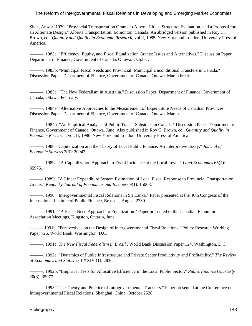Shah, Anwar. 1979. "Provincial Transportation Grants to Alberta Cities: Structure, Evaluation, and a Proposal for an Alternate Design." Alberta Transportation, Edmonton, Canada. An abridged version published in Roy C. Brown, ed., *Quantity and Quality in Economic Research,* vol. I, 1985. New York and London: University Press of America.

———. 1983a. "Efficiency, Equity, and Fiscal Equalization Grants: Issues and Alternatives." Discussion Paper. Department of Finance, Government of Canada, Ottawa. October.

———. 1983b. "Municipal Fiscal Needs and Provincial−Municipal Unconditional Transfers in Canada." Discussion Paper. Department of Finance, Government of Canada, Ottawa. March.break

———. 1983c. "The New Federalism in Australia." Discussion Paper. Department of Finance, Government of Canada, Ottawa. February.

———. 1984a. "Alternative Approaches to the Measurement of Expenditure Needs of Canadian Provinces." Discussion Paper. Department of Finance, Government of Canada, Ottawa. March.

———. 1984b. "An Empirical Analysis of Public Transit Subsidies in Canada." Discussion Paper. Department of Finance, Government of Canada, Ottawa. June. Also published in Roy C. Brown, ed., *Quantity and Quality in Economic Research,* vol. II, 1986. New York and London: University Press of America.

———. 1988. "Capitalization and the Theory of Local Public Finance: An Interpretive Essay." *Journal of Economic Surveys* 2(3): 20943.

———. 1989a. "A Capitalization Approach to Fiscal Incidence at the Local Level." *Land Economics* 65(4): 35975.

———.1989b. "A Linear Expenditure System Estimation of Local Fiscal Response to Provincial Transportation Grants." *Kentucky Journal of Economics and Business* 9(1): 15068.

———. 1990. "Intergovernmental Fiscal Relations in Sri Lanka." Paper presented at the 46th Congress of the International Institute of Public Finance, Brussels, August 2730.

———. 1991a. "A Fiscal Need Approach to Equalization." Paper presented to the Canadian Economic Association Meetings, Kingston, Ontario, June.

———.1991b. "Perspectives on the Design of Intergovernmental Fiscal Relations." Policy Research Working Paper 726. World Bank, Washington, D.C.

———. 1991c. *The New Fiscal Federalism in Brazil* . World Bank Discussion Paper 124. Washington, D.C.

———. 1992a. "Dynamics of Public Infrastructure and Private Sector Productivity and Profitability." *The Review of Economics and Statistics* LXXIV (1): 2836.

———. 1992b. "Empirical Tests for Allocative Efficiency in the Local Public Sector." *Public Finance Quarterly* 20(3): 35977.

———. 1993. "The Theory and Practice of Intragovernmental Transfers." Paper presented at the Conference on Intragovernmental Fiscal Relations, Shanghai, China, October 2528.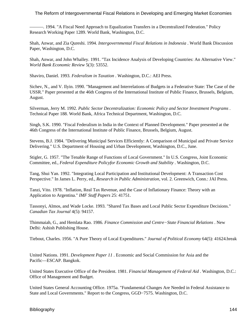The Reform of Intergovernmental Fiscal Relations in Developing and Emerging Market Economies

———. 1994. "A Fiscal Need Approach to Equalization Transfers in a Decentralized Federation." Policy Research Working Paper 1289. World Bank, Washington, D.C.

Shah, Anwar, and Zia Qureshi. 1994. *Intergovernmental Fiscal Relations in Indonesia* . World Bank Discussion Paper, Washington, D.C.

Shah, Anwar, and John Whalley. 1991. "Tax Incidence Analysis of Developing Countries: An Alternative View." *World Bank Economic Review* 5(3): 53552.

Shaviro, Daniel. 1993. *Federalism in Taxation* . Washington, D.C.: AEI Press.

Sichev, N., and V. Ilyin. 1990. "Management and Interrelations of Budgets in a Federative State: The Case of the USSR." Paper presented at the 46th Congress of the International Institute of Public Finance, Brussels, Belgium, August.

Silverman, Jerry M. 1992. *Public Sector Decentralization: Economic Policy and Sector Investment Programs* . Technical Paper 188. World Bank, Africa Technical Department, Washington, D.C.

Singh, S.K. 1990. "Fiscal Federalism in India in the Context of Planned Development." Paper presented at the 46th Congress of the International Institute of Public Finance, Brussels, Belgium, August.

Stevens, B.J. 1984. "Delivering Municipal Services Efficiently: A Comparison of Municipal and Private Service Delivering." U.S. Department of Housing and Urban Development, Washington, D.C., June.

Stigler, G. 1957. "The Tenable Range of Functions of Local Government." In U.S. Congress, Joint Economic Committee, ed., *Federal Expenditure Policyfor Economic Growth and Stability* . Washington, D.C.

Tang, Shui Yan. 1992. "Integrating Local Participation and Institutional Development: A Transaction Cost Perspective." In James L. Perry, ed., *Research in Public Administration,* vol. 2. Greenwich, Conn.: JAI Press.

Tanzi, Vito. 1978. "Inflation, Real Tax Revenue, and the Case of Inflationary Finance: Theory with an Application to Argentina." *IMF Staff Papers* 25: 41751.

Tassonyi, Almos, and Wade Locke. 1993. "Shared Tax Bases and Local Public Sector Expenditure Decisions." *Canadian Tax Journal* 4(5): 94157.

Thimmaiah, G., and Hemlata Rao. 1986. *Finance Commission and Centre−State Financial Relations* . New Delhi: Ashish Publishing House.

Tiebout, Charles. 1956. "A Pure Theory of Local Expenditures." *Journal of Political Economy* 64(5): 41624.break

United Nations. 1991. *Development Paper 11* . Economic and Social Commission for Asia and the Pacific—ESCAP. Bangkok.

United States Executive Office of the President. 1981. *Financial Management of Federal Aid* . Washington, D.C.: Office of Management and Budget.

United States General Accounting Office. 1975a. "Fundamental Changes Are Needed in Federal Assistance to State and Local Governments." Report to the Congress, GGD−7575. Washington, D.C.